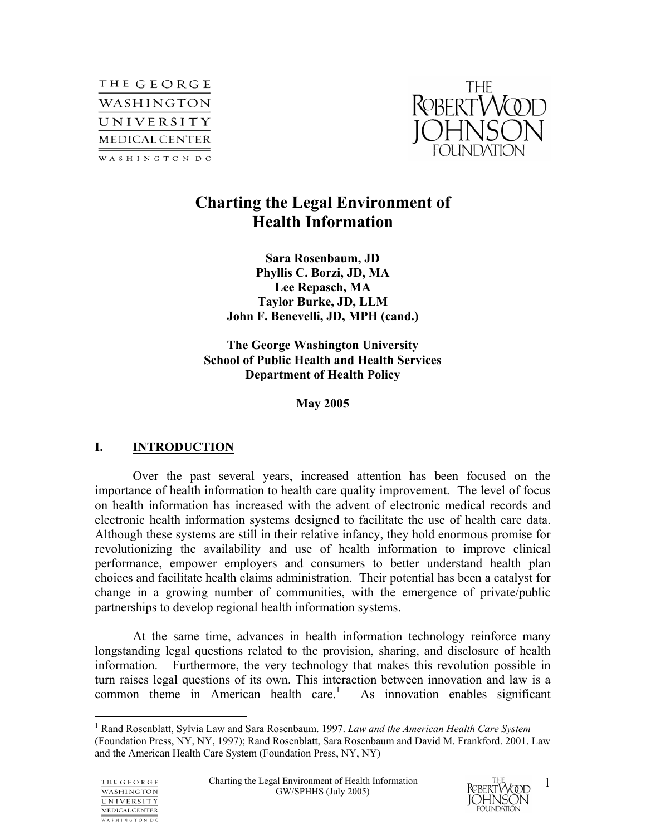



# **Charting the Legal Environment of Health Information**

**Sara Rosenbaum, JD Phyllis C. Borzi, JD, MA Lee Repasch, MA Taylor Burke, JD, LLM John F. Benevelli, JD, MPH (cand.)** 

**The George Washington University School of Public Health and Health Services Department of Health Policy** 

**May 2005** 

## **I. INTRODUCTION**

Over the past several years, increased attention has been focused on the importance of health information to health care quality improvement. The level of focus on health information has increased with the advent of electronic medical records and electronic health information systems designed to facilitate the use of health care data. Although these systems are still in their relative infancy, they hold enormous promise for revolutionizing the availability and use of health information to improve clinical performance, empower employers and consumers to better understand health plan choices and facilitate health claims administration. Their potential has been a catalyst for change in a growing number of communities, with the emergence of private/public partnerships to develop regional health information systems.

At the same time, advances in health information technology reinforce many longstanding legal questions related to the provision, sharing, and disclosure of health information. Furthermore, the very technology that makes this revolution possible in turn raises legal questions of its own. This interaction between innovation and law is a common theme in American health care.<sup>1</sup> As innovation enables significant

 $\overline{a}$ 



<sup>1</sup> Rand Rosenblatt, Sylvia Law and Sara Rosenbaum. 1997. *Law and the American Health Care System* (Foundation Press, NY, NY, 1997); Rand Rosenblatt, Sara Rosenbaum and David M. Frankford. 2001. Law and the American Health Care System (Foundation Press, NY, NY)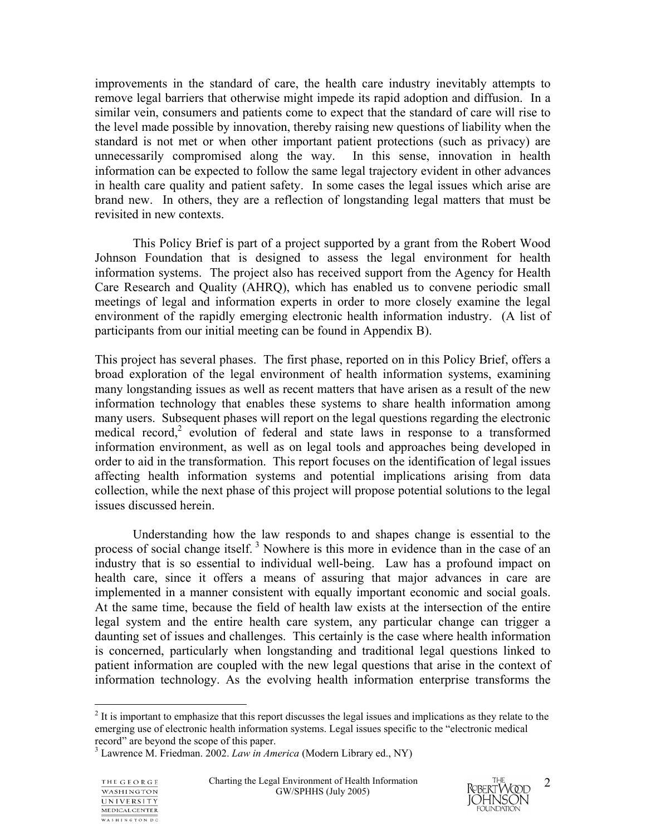improvements in the standard of care, the health care industry inevitably attempts to remove legal barriers that otherwise might impede its rapid adoption and diffusion. In a similar vein, consumers and patients come to expect that the standard of care will rise to the level made possible by innovation, thereby raising new questions of liability when the standard is not met or when other important patient protections (such as privacy) are unnecessarily compromised along the way. In this sense, innovation in health information can be expected to follow the same legal trajectory evident in other advances in health care quality and patient safety. In some cases the legal issues which arise are brand new. In others, they are a reflection of longstanding legal matters that must be revisited in new contexts.

 This Policy Brief is part of a project supported by a grant from the Robert Wood Johnson Foundation that is designed to assess the legal environment for health information systems. The project also has received support from the Agency for Health Care Research and Quality (AHRQ), which has enabled us to convene periodic small meetings of legal and information experts in order to more closely examine the legal environment of the rapidly emerging electronic health information industry. (A list of participants from our initial meeting can be found in Appendix B).

This project has several phases. The first phase, reported on in this Policy Brief, offers a broad exploration of the legal environment of health information systems, examining many longstanding issues as well as recent matters that have arisen as a result of the new information technology that enables these systems to share health information among many users. Subsequent phases will report on the legal questions regarding the electronic medical record,<sup>2</sup> evolution of federal and state laws in response to a transformed information environment, as well as on legal tools and approaches being developed in order to aid in the transformation. This report focuses on the identification of legal issues affecting health information systems and potential implications arising from data collection, while the next phase of this project will propose potential solutions to the legal issues discussed herein.

 Understanding how the law responds to and shapes change is essential to the process of social change itself.<sup>3</sup> Nowhere is this more in evidence than in the case of an industry that is so essential to individual well-being. Law has a profound impact on health care, since it offers a means of assuring that major advances in care are implemented in a manner consistent with equally important economic and social goals. At the same time, because the field of health law exists at the intersection of the entire legal system and the entire health care system, any particular change can trigger a daunting set of issues and challenges. This certainly is the case where health information is concerned, particularly when longstanding and traditional legal questions linked to patient information are coupled with the new legal questions that arise in the context of information technology. As the evolving health information enterprise transforms the

<u>.</u>



 $2<sup>2</sup>$  It is important to emphasize that this report discusses the legal issues and implications as they relate to the emerging use of electronic health information systems. Legal issues specific to the "electronic medical record" are beyond the scope of this paper.

<sup>3</sup> Lawrence M. Friedman. 2002. *Law in America* (Modern Library ed., NY)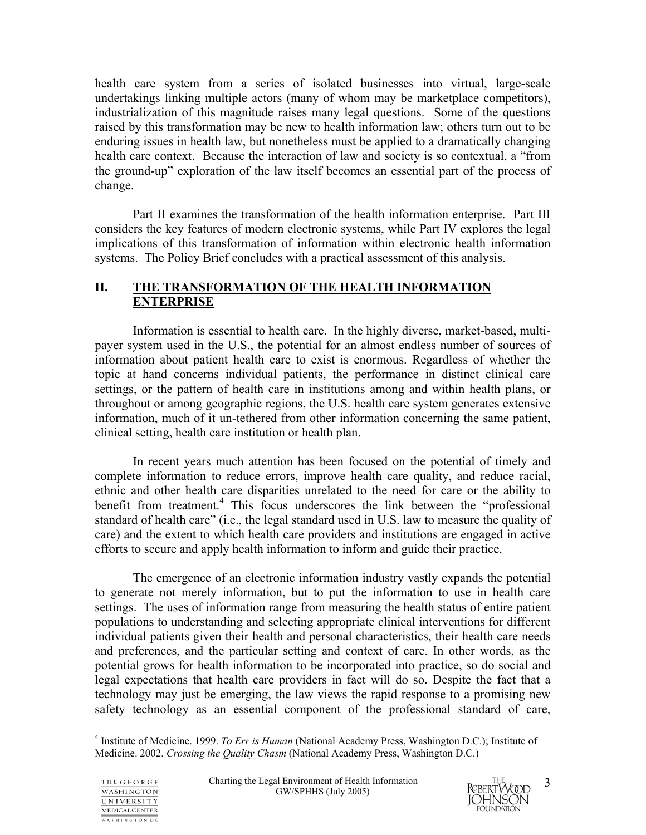health care system from a series of isolated businesses into virtual, large-scale undertakings linking multiple actors (many of whom may be marketplace competitors), industrialization of this magnitude raises many legal questions. Some of the questions raised by this transformation may be new to health information law; others turn out to be enduring issues in health law, but nonetheless must be applied to a dramatically changing health care context. Because the interaction of law and society is so contextual, a "from the ground-up" exploration of the law itself becomes an essential part of the process of change.

 Part II examines the transformation of the health information enterprise. Part III considers the key features of modern electronic systems, while Part IV explores the legal implications of this transformation of information within electronic health information systems. The Policy Brief concludes with a practical assessment of this analysis.

## **II. THE TRANSFORMATION OF THE HEALTH INFORMATION ENTERPRISE**

 Information is essential to health care. In the highly diverse, market-based, multipayer system used in the U.S., the potential for an almost endless number of sources of information about patient health care to exist is enormous. Regardless of whether the topic at hand concerns individual patients, the performance in distinct clinical care settings, or the pattern of health care in institutions among and within health plans, or throughout or among geographic regions, the U.S. health care system generates extensive information, much of it un-tethered from other information concerning the same patient, clinical setting, health care institution or health plan.

 In recent years much attention has been focused on the potential of timely and complete information to reduce errors, improve health care quality, and reduce racial, ethnic and other health care disparities unrelated to the need for care or the ability to benefit from treatment.<sup>4</sup> This focus underscores the link between the "professional standard of health care" (i.e., the legal standard used in U.S. law to measure the quality of care) and the extent to which health care providers and institutions are engaged in active efforts to secure and apply health information to inform and guide their practice.

 The emergence of an electronic information industry vastly expands the potential to generate not merely information, but to put the information to use in health care settings. The uses of information range from measuring the health status of entire patient populations to understanding and selecting appropriate clinical interventions for different individual patients given their health and personal characteristics, their health care needs and preferences, and the particular setting and context of care. In other words, as the potential grows for health information to be incorporated into practice, so do social and legal expectations that health care providers in fact will do so. Despite the fact that a technology may just be emerging, the law views the rapid response to a promising new safety technology as an essential component of the professional standard of care,

 $\overline{a}$ 



<sup>4</sup> Institute of Medicine. 1999. *To Err is Human* (National Academy Press, Washington D.C.); Institute of Medicine. 2002. *Crossing the Quality Chasm* (National Academy Press, Washington D.C.)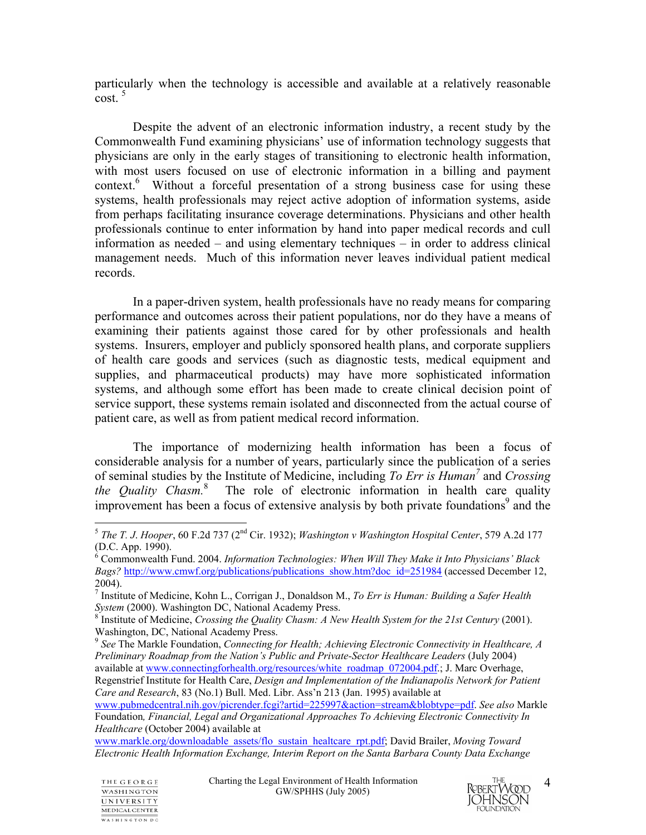particularly when the technology is accessible and available at a relatively reasonable  $cost<sup>5</sup>$ 

 Despite the advent of an electronic information industry, a recent study by the Commonwealth Fund examining physicians' use of information technology suggests that physicians are only in the early stages of transitioning to electronic health information, with most users focused on use of electronic information in a billing and payment context.<sup>6</sup> Without a forceful presentation of a strong business case for using these systems, health professionals may reject active adoption of information systems, aside from perhaps facilitating insurance coverage determinations. Physicians and other health professionals continue to enter information by hand into paper medical records and cull information as needed – and using elementary techniques – in order to address clinical management needs. Much of this information never leaves individual patient medical records.

 In a paper-driven system, health professionals have no ready means for comparing performance and outcomes across their patient populations, nor do they have a means of examining their patients against those cared for by other professionals and health systems. Insurers, employer and publicly sponsored health plans, and corporate suppliers of health care goods and services (such as diagnostic tests, medical equipment and supplies, and pharmaceutical products) may have more sophisticated information systems, and although some effort has been made to create clinical decision point of service support, these systems remain isolated and disconnected from the actual course of patient care, as well as from patient medical record information.

 The importance of modernizing health information has been a focus of considerable analysis for a number of years, particularly since the publication of a series of seminal studies by the Institute of Medicine, including *To Err is Human<sup>7</sup>* and *Crossing*  the Quality Chasm.<sup>8</sup> The role of electronic information in health care quality improvement has been a focus of extensive analysis by both private foundations<sup>9</sup> and the

www.markle.org/downloadable\_assets/flo\_sustain\_healtcare\_rpt.pdf; David Brailer, *Moving Toward Electronic Health Information Exchange, Interim Report on the Santa Barbara County Data Exchange*



<sup>1</sup> <sup>5</sup> *The T. J*. *Hooper*, 60 F.2d 737 (2nd Cir. 1932); *Washington v Washington Hospital Center*, 579 A.2d 177 (D.C. App. 1990).

<sup>6</sup> Commonwealth Fund. 2004. *Information Technologies: When Will They Make it Into Physicians' Black Bags?* http://www.cmwf.org/publications/publications\_show.htm?doc\_id=251984 (accessed December 12, 2004).

<sup>7</sup> Institute of Medicine, Kohn L., Corrigan J., Donaldson M., *To Err is Human: Building a Safer Health*  System (2000). Washington DC, National Academy Press.

<sup>&</sup>lt;sup>8</sup> Institute of Medicine, *Crossing the Quality Chasm: A New Health System for the 21st Century* (2001). Washington, DC, National Academy Press.

<sup>9</sup> *See* The Markle Foundation, *Connecting for Health; Achieving Electronic Connectivity in Healthcare, A Preliminary Roadmap from the Nation's Public and Private-Sector Healthcare Leaders* (July 2004) available at www.connectingforhealth.org/resources/white\_roadmap\_072004.pdf.; J. Marc Overhage, Regenstrief Institute for Health Care, *Design and Implementation of the Indianapolis Network for Patient Care and Research*, 83 (No.1) Bull. Med. Libr. Ass'n 213 (Jan. 1995) available at

www.pubmedcentral.nih.gov/picrender.fcgi?artid=225997&action=stream&blobtype=pdf. *See also* Markle Foundation*, Financial, Legal and Organizational Approaches To Achieving Electronic Connectivity In Healthcare* (October 2004) available at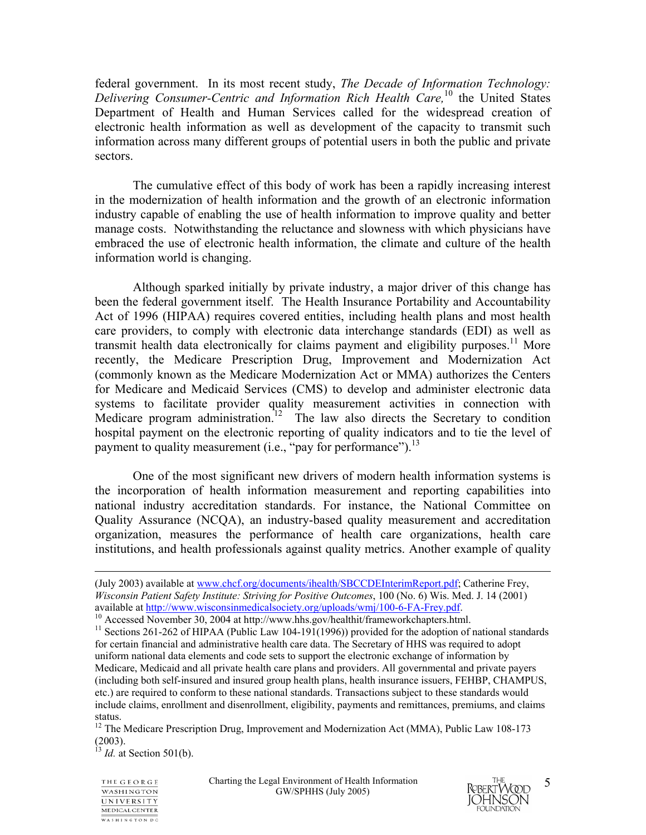federal government. In its most recent study, *The Decade of Information Technology: Delivering Consumer-Centric and Information Rich Health Care,*10 the United States Department of Health and Human Services called for the widespread creation of electronic health information as well as development of the capacity to transmit such information across many different groups of potential users in both the public and private sectors.

 The cumulative effect of this body of work has been a rapidly increasing interest in the modernization of health information and the growth of an electronic information industry capable of enabling the use of health information to improve quality and better manage costs. Notwithstanding the reluctance and slowness with which physicians have embraced the use of electronic health information, the climate and culture of the health information world is changing.

 Although sparked initially by private industry, a major driver of this change has been the federal government itself. The Health Insurance Portability and Accountability Act of 1996 (HIPAA) requires covered entities, including health plans and most health care providers, to comply with electronic data interchange standards (EDI) as well as transmit health data electronically for claims payment and eligibility purposes.<sup>11</sup> More recently, the Medicare Prescription Drug, Improvement and Modernization Act (commonly known as the Medicare Modernization Act or MMA) authorizes the Centers for Medicare and Medicaid Services (CMS) to develop and administer electronic data systems to facilitate provider quality measurement activities in connection with Medicare program administration.<sup>12</sup> The law also directs the Secretary to condition hospital payment on the electronic reporting of quality indicators and to tie the level of payment to quality measurement (i.e., "pay for performance").<sup>13</sup>

One of the most significant new drivers of modern health information systems is the incorporation of health information measurement and reporting capabilities into national industry accreditation standards. For instance, the National Committee on Quality Assurance (NCQA), an industry-based quality measurement and accreditation organization, measures the performance of health care organizations, health care institutions, and health professionals against quality metrics. Another example of quality

 $^{13}$  *Id.* at Section 501(b).





 <sup>(</sup>July 2003) available at www.chcf.org/documents/ihealth/SBCCDEInterimReport.pdf; Catherine Frey, *Wisconsin Patient Safety Institute: Striving for Positive Outcomes*, 100 (No. 6) Wis. Med. J. 14 (2001)

available at http://www.wisconsinmedicalsociety.org/uploads/wmj/100-6-FA-Frey.pdf.<br><sup>10</sup> Accessed November 30, 2004 at http://www.hhs.gov/healthit/frameworkchapters.html.<br><sup>11</sup> Sections 261-262 of HIPAA (Public Law 104-191(1 for certain financial and administrative health care data. The Secretary of HHS was required to adopt uniform national data elements and code sets to support the electronic exchange of information by Medicare, Medicaid and all private health care plans and providers. All governmental and private payers (including both self-insured and insured group health plans, health insurance issuers, FEHBP, CHAMPUS, etc.) are required to conform to these national standards. Transactions subject to these standards would include claims, enrollment and disenrollment, eligibility, payments and remittances, premiums, and claims status.

<sup>&</sup>lt;sup>12</sup> The Medicare Prescription Drug, Improvement and Modernization Act (MMA), Public Law 108-173 (2003).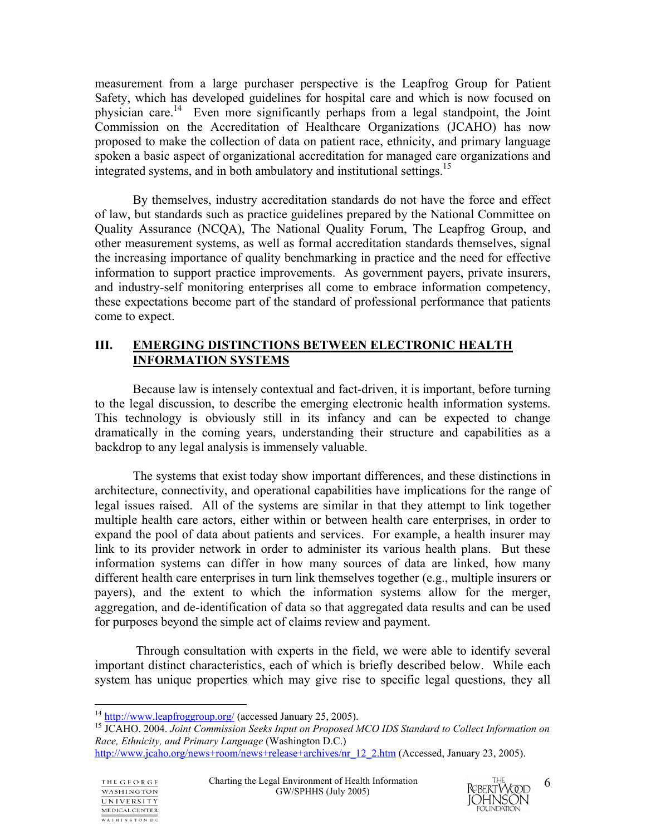measurement from a large purchaser perspective is the Leapfrog Group for Patient Safety, which has developed guidelines for hospital care and which is now focused on physician care.14 Even more significantly perhaps from a legal standpoint, the Joint Commission on the Accreditation of Healthcare Organizations (JCAHO) has now proposed to make the collection of data on patient race, ethnicity, and primary language spoken a basic aspect of organizational accreditation for managed care organizations and integrated systems, and in both ambulatory and institutional settings.<sup>15</sup>

By themselves, industry accreditation standards do not have the force and effect of law, but standards such as practice guidelines prepared by the National Committee on Quality Assurance (NCQA), The National Quality Forum, The Leapfrog Group, and other measurement systems, as well as formal accreditation standards themselves, signal the increasing importance of quality benchmarking in practice and the need for effective information to support practice improvements. As government payers, private insurers, and industry-self monitoring enterprises all come to embrace information competency, these expectations become part of the standard of professional performance that patients come to expect.

## **III. EMERGING DISTINCTIONS BETWEEN ELECTRONIC HEALTH INFORMATION SYSTEMS**

 Because law is intensely contextual and fact-driven, it is important, before turning to the legal discussion, to describe the emerging electronic health information systems. This technology is obviously still in its infancy and can be expected to change dramatically in the coming years, understanding their structure and capabilities as a backdrop to any legal analysis is immensely valuable.

 The systems that exist today show important differences, and these distinctions in architecture, connectivity, and operational capabilities have implications for the range of legal issues raised. All of the systems are similar in that they attempt to link together multiple health care actors, either within or between health care enterprises, in order to expand the pool of data about patients and services. For example, a health insurer may link to its provider network in order to administer its various health plans. But these information systems can differ in how many sources of data are linked, how many different health care enterprises in turn link themselves together (e.g., multiple insurers or payers), and the extent to which the information systems allow for the merger, aggregation, and de-identification of data so that aggregated data results and can be used for purposes beyond the simple act of claims review and payment.

 Through consultation with experts in the field, we were able to identify several important distinct characteristics, each of which is briefly described below. While each system has unique properties which may give rise to specific legal questions, they all

<sup>15</sup> JCAHO. 2004. Joint Commission Seeks Input on Proposed MCO IDS Standard to Collect Information on *Race, Ethnicity, and Primary Language* (Washington D.C.)



 $14 \frac{\text{http://www.leafroggroup.org/}}{\text{http://www.leafroggroup.org/}}$  (accessed January 25, 2005).

http://www.jcaho.org/news+room/news+release+archives/nr\_12\_2.htm (Accessed, January 23, 2005).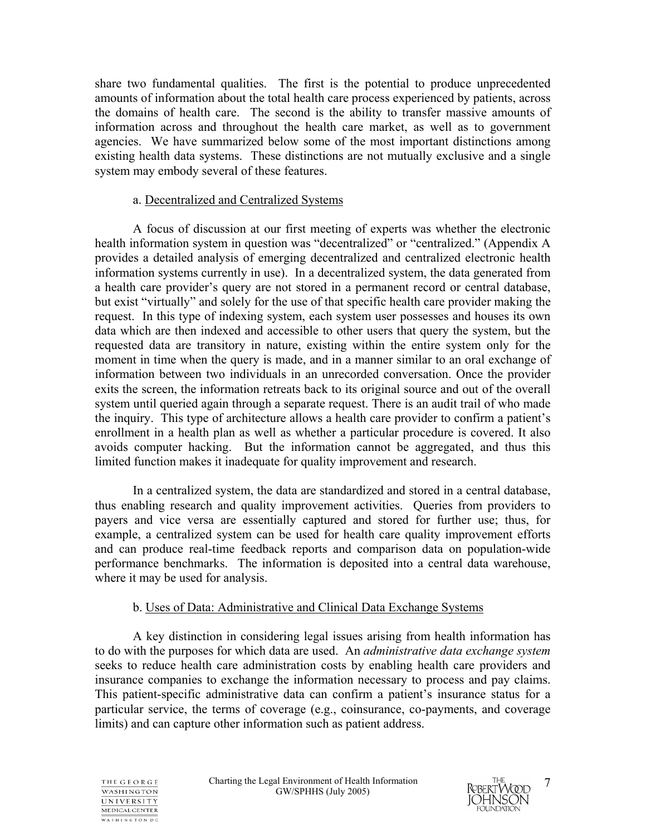share two fundamental qualities. The first is the potential to produce unprecedented amounts of information about the total health care process experienced by patients, across the domains of health care. The second is the ability to transfer massive amounts of information across and throughout the health care market, as well as to government agencies. We have summarized below some of the most important distinctions among existing health data systems. These distinctions are not mutually exclusive and a single system may embody several of these features.

## a. Decentralized and Centralized Systems

 A focus of discussion at our first meeting of experts was whether the electronic health information system in question was "decentralized" or "centralized." (Appendix A provides a detailed analysis of emerging decentralized and centralized electronic health information systems currently in use). In a decentralized system, the data generated from a health care provider's query are not stored in a permanent record or central database, but exist "virtually" and solely for the use of that specific health care provider making the request. In this type of indexing system, each system user possesses and houses its own data which are then indexed and accessible to other users that query the system, but the requested data are transitory in nature, existing within the entire system only for the moment in time when the query is made, and in a manner similar to an oral exchange of information between two individuals in an unrecorded conversation. Once the provider exits the screen, the information retreats back to its original source and out of the overall system until queried again through a separate request. There is an audit trail of who made the inquiry. This type of architecture allows a health care provider to confirm a patient's enrollment in a health plan as well as whether a particular procedure is covered. It also avoids computer hacking. But the information cannot be aggregated, and thus this limited function makes it inadequate for quality improvement and research.

In a centralized system, the data are standardized and stored in a central database, thus enabling research and quality improvement activities. Queries from providers to payers and vice versa are essentially captured and stored for further use; thus, for example, a centralized system can be used for health care quality improvement efforts and can produce real-time feedback reports and comparison data on population-wide performance benchmarks. The information is deposited into a central data warehouse, where it may be used for analysis.

## b. Uses of Data: Administrative and Clinical Data Exchange Systems

 A key distinction in considering legal issues arising from health information has to do with the purposes for which data are used. An *administrative data exchange system*  seeks to reduce health care administration costs by enabling health care providers and insurance companies to exchange the information necessary to process and pay claims. This patient-specific administrative data can confirm a patient's insurance status for a particular service, the terms of coverage (e.g., coinsurance, co-payments, and coverage limits) and can capture other information such as patient address.



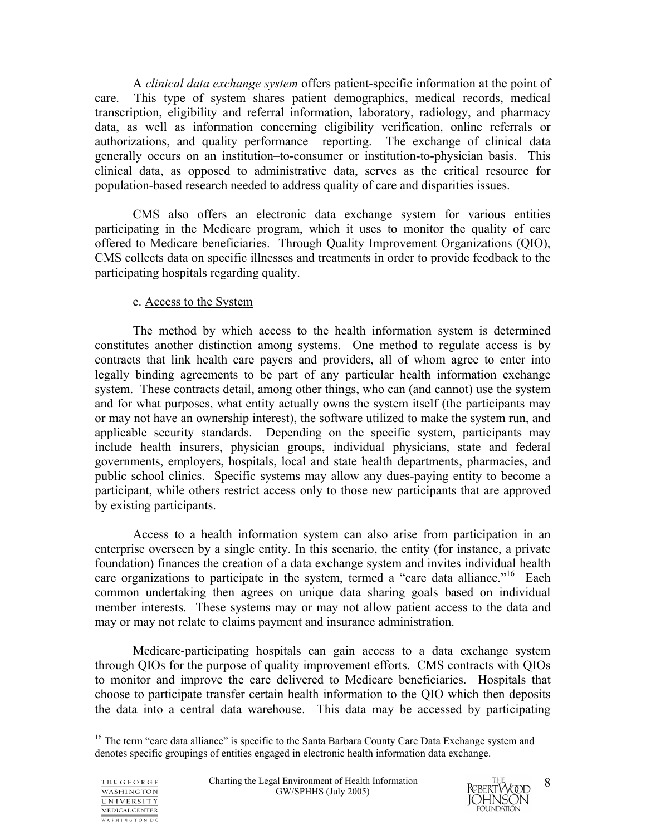A *clinical data exchange system* offers patient-specific information at the point of care. This type of system shares patient demographics, medical records, medical transcription, eligibility and referral information, laboratory, radiology, and pharmacy data, as well as information concerning eligibility verification, online referrals or authorizations, and quality performance reporting. The exchange of clinical data generally occurs on an institution–to-consumer or institution-to-physician basis. This clinical data, as opposed to administrative data, serves as the critical resource for population-based research needed to address quality of care and disparities issues.

 CMS also offers an electronic data exchange system for various entities participating in the Medicare program, which it uses to monitor the quality of care offered to Medicare beneficiaries. Through Quality Improvement Organizations (QIO), CMS collects data on specific illnesses and treatments in order to provide feedback to the participating hospitals regarding quality.

## c. Access to the System

 The method by which access to the health information system is determined constitutes another distinction among systems. One method to regulate access is by contracts that link health care payers and providers, all of whom agree to enter into legally binding agreements to be part of any particular health information exchange system. These contracts detail, among other things, who can (and cannot) use the system and for what purposes, what entity actually owns the system itself (the participants may or may not have an ownership interest), the software utilized to make the system run, and applicable security standards. Depending on the specific system, participants may include health insurers, physician groups, individual physicians, state and federal governments, employers, hospitals, local and state health departments, pharmacies, and public school clinics. Specific systems may allow any dues-paying entity to become a participant, while others restrict access only to those new participants that are approved by existing participants.

 Access to a health information system can also arise from participation in an enterprise overseen by a single entity. In this scenario, the entity (for instance, a private foundation) finances the creation of a data exchange system and invites individual health care organizations to participate in the system, termed a "care data alliance." Each common undertaking then agrees on unique data sharing goals based on individual member interests. These systems may or may not allow patient access to the data and may or may not relate to claims payment and insurance administration.

 Medicare-participating hospitals can gain access to a data exchange system through QIOs for the purpose of quality improvement efforts. CMS contracts with QIOs to monitor and improve the care delivered to Medicare beneficiaries. Hospitals that choose to participate transfer certain health information to the QIO which then deposits the data into a central data warehouse. This data may be accessed by participating

 $\overline{a}$ 



<sup>&</sup>lt;sup>16</sup> The term "care data alliance" is specific to the Santa Barbara County Care Data Exchange system and denotes specific groupings of entities engaged in electronic health information data exchange.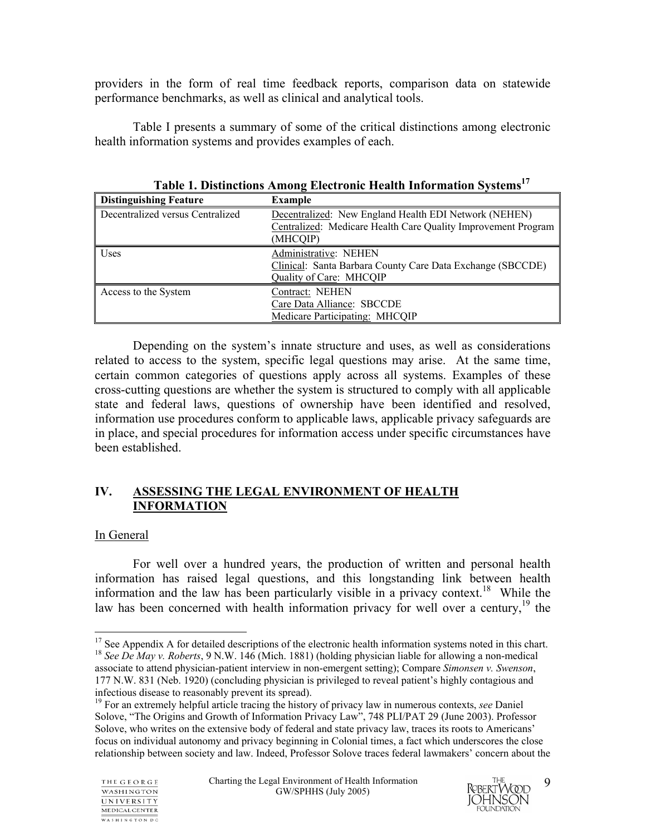providers in the form of real time feedback reports, comparison data on statewide performance benchmarks, as well as clinical and analytical tools.

Table I presents a summary of some of the critical distinctions among electronic health information systems and provides examples of each.

| <b>Distinguishing Feature</b>    | <b>Example</b>                                                                                                                     |
|----------------------------------|------------------------------------------------------------------------------------------------------------------------------------|
| Decentralized versus Centralized | Decentralized: New England Health EDI Network (NEHEN)<br>Centralized: Medicare Health Care Quality Improvement Program<br>(MHCQIP) |
| Uses                             | Administrative: NEHEN<br>Clinical: Santa Barbara County Care Data Exchange (SBCCDE)<br>Quality of Care: MHCQIP                     |
| Access to the System             | Contract: NEHEN<br>Care Data Alliance: SBCCDE<br>Medicare Participating: MHCQIP                                                    |

Table 1. Distinctions Among Electronic Health Information Systems<sup>17</sup>

Depending on the system's innate structure and uses, as well as considerations related to access to the system, specific legal questions may arise. At the same time, certain common categories of questions apply across all systems. Examples of these cross-cutting questions are whether the system is structured to comply with all applicable state and federal laws, questions of ownership have been identified and resolved, information use procedures conform to applicable laws, applicable privacy safeguards are in place, and special procedures for information access under specific circumstances have been established.

## **IV. ASSESSING THE LEGAL ENVIRONMENT OF HEALTH INFORMATION**

## In General

 For well over a hundred years, the production of written and personal health information has raised legal questions, and this longstanding link between health information and the law has been particularly visible in a privacy context.<sup>18</sup> While the law has been concerned with health information privacy for well over a century, $19$  the



<sup>1</sup>  $17$  See Appendix A for detailed descriptions of the electronic health information systems noted in this chart.

<sup>18</sup> *See De May v. Roberts*, 9 N.W. 146 (Mich. 1881) (holding physician liable for allowing a non-medical associate to attend physician-patient interview in non-emergent setting); Compare *Simonsen v. Swenson*, 177 N.W. 831 (Neb. 1920) (concluding physician is privileged to reveal patient's highly contagious and

<sup>&</sup>lt;sup>19</sup> For an extremely helpful article tracing the history of privacy law in numerous contexts, *see* Daniel Solove, "The Origins and Growth of Information Privacy Law", 748 PLI/PAT 29 (June 2003). Professor Solove, who writes on the extensive body of federal and state privacy law, traces its roots to Americans' focus on individual autonomy and privacy beginning in Colonial times, a fact which underscores the close relationship between society and law. Indeed, Professor Solove traces federal lawmakers' concern about the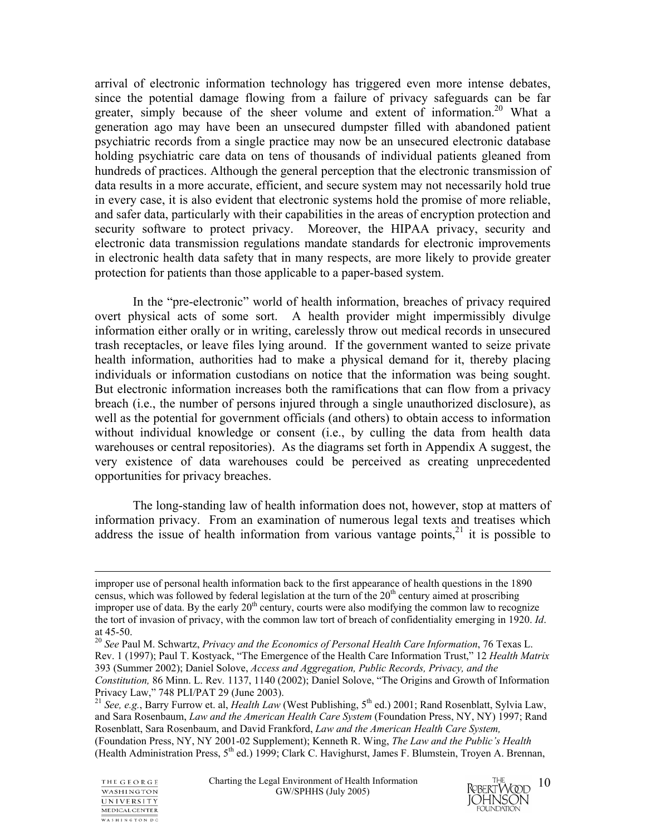arrival of electronic information technology has triggered even more intense debates, since the potential damage flowing from a failure of privacy safeguards can be far greater, simply because of the sheer volume and extent of information.<sup>20</sup> What a generation ago may have been an unsecured dumpster filled with abandoned patient psychiatric records from a single practice may now be an unsecured electronic database holding psychiatric care data on tens of thousands of individual patients gleaned from hundreds of practices. Although the general perception that the electronic transmission of data results in a more accurate, efficient, and secure system may not necessarily hold true in every case, it is also evident that electronic systems hold the promise of more reliable, and safer data, particularly with their capabilities in the areas of encryption protection and security software to protect privacy. Moreover, the HIPAA privacy, security and electronic data transmission regulations mandate standards for electronic improvements in electronic health data safety that in many respects, are more likely to provide greater protection for patients than those applicable to a paper-based system.

 In the "pre-electronic" world of health information, breaches of privacy required overt physical acts of some sort. A health provider might impermissibly divulge information either orally or in writing, carelessly throw out medical records in unsecured trash receptacles, or leave files lying around. If the government wanted to seize private health information, authorities had to make a physical demand for it, thereby placing individuals or information custodians on notice that the information was being sought. But electronic information increases both the ramifications that can flow from a privacy breach (i.e., the number of persons injured through a single unauthorized disclosure), as well as the potential for government officials (and others) to obtain access to information without individual knowledge or consent (i.e., by culling the data from health data warehouses or central repositories). As the diagrams set forth in Appendix A suggest, the very existence of data warehouses could be perceived as creating unprecedented opportunities for privacy breaches.

 The long-standing law of health information does not, however, stop at matters of information privacy. From an examination of numerous legal texts and treatises which address the issue of health information from various vantage points, $21$  it is possible to



improper use of personal health information back to the first appearance of health questions in the 1890 census, which was followed by federal legislation at the turn of the  $20<sup>th</sup>$  century aimed at proscribing improper use of data. By the early  $20<sup>th</sup>$  century, courts were also modifying the common law to recognize the tort of invasion of privacy, with the common law tort of breach of confidentiality emerging in 1920. *Id*. at 45-50.

<sup>20</sup> *See* Paul M. Schwartz, *Privacy and the Economics of Personal Health Care Information*, 76 Texas L. Rev. 1 (1997); Paul T. Kostyack, "The Emergence of the Health Care Information Trust," 12 *Health Matrix*  393 (Summer 2002); Daniel Solove, *Access and Aggregation, Public Records, Privacy, and the Constitution,* 86 Minn. L. Rev*.* 1137, 1140 (2002); Daniel Solove, "The Origins and Growth of Information

Privacy Law," 748 PLI/PAT 29 (June 2003).

<sup>&</sup>lt;sup>21</sup> *See, e.g.*, Barry Furrow et. al, *Health Law* (West Publishing, 5<sup>th</sup> ed.) 2001; Rand Rosenblatt, Sylvia Law, and Sara Rosenbaum, *Law and the American Health Care System* (Foundation Press, NY, NY) 1997; Rand Rosenblatt, Sara Rosenbaum, and David Frankford, *Law and the American Health Care System,*  (Foundation Press, NY, NY 2001-02 Supplement); Kenneth R. Wing, *The Law and the Public's Health* (Health Administration Press, 5<sup>th</sup> ed.) 1999; Clark C. Havighurst, James F. Blumstein, Troyen A. Brennan,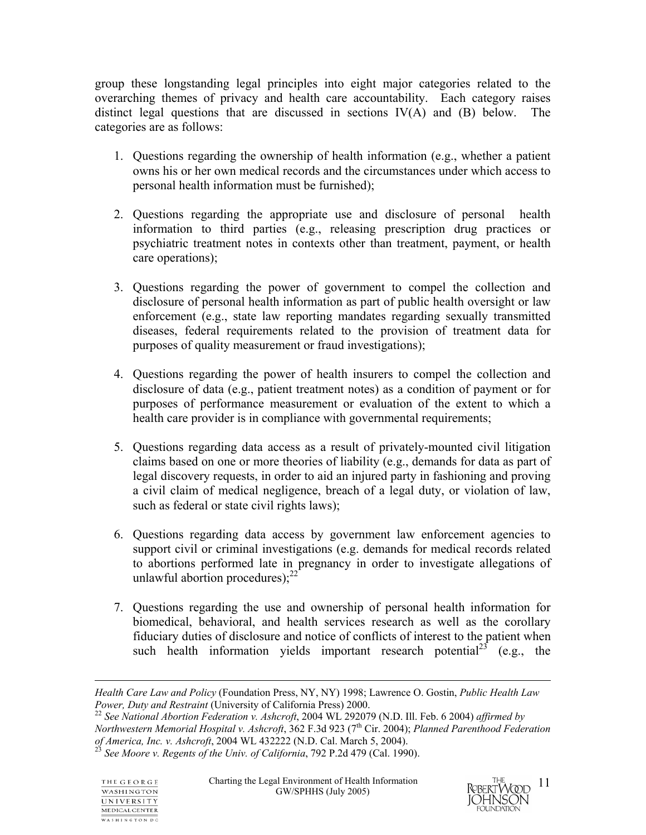group these longstanding legal principles into eight major categories related to the overarching themes of privacy and health care accountability. Each category raises distinct legal questions that are discussed in sections IV(A) and (B) below. The categories are as follows:

- 1. Questions regarding the ownership of health information (e.g., whether a patient owns his or her own medical records and the circumstances under which access to personal health information must be furnished);
- 2. Questions regarding the appropriate use and disclosure of personal health information to third parties (e.g., releasing prescription drug practices or psychiatric treatment notes in contexts other than treatment, payment, or health care operations);
- 3. Questions regarding the power of government to compel the collection and disclosure of personal health information as part of public health oversight or law enforcement (e.g., state law reporting mandates regarding sexually transmitted diseases, federal requirements related to the provision of treatment data for purposes of quality measurement or fraud investigations);
- 4. Questions regarding the power of health insurers to compel the collection and disclosure of data (e.g., patient treatment notes) as a condition of payment or for purposes of performance measurement or evaluation of the extent to which a health care provider is in compliance with governmental requirements;
- 5. Questions regarding data access as a result of privately-mounted civil litigation claims based on one or more theories of liability (e.g., demands for data as part of legal discovery requests, in order to aid an injured party in fashioning and proving a civil claim of medical negligence, breach of a legal duty, or violation of law, such as federal or state civil rights laws);
- 6. Questions regarding data access by government law enforcement agencies to support civil or criminal investigations (e.g. demands for medical records related to abortions performed late in pregnancy in order to investigate allegations of unlawful abortion procedures); $^{22}$
- 7. Questions regarding the use and ownership of personal health information for biomedical, behavioral, and health services research as well as the corollary fiduciary duties of disclosure and notice of conflicts of interest to the patient when such health information yields important research potential<sup>23</sup> (e.g., the

*Northwestern Memorial Hospital v. Ashcroft,* 362 F.3d 923 (7<sup>th</sup> Cir. 2004); *Planned Parenthood Federation of America, Inc. v. Ashcroft*, 2004 WL 432222 (N.D. Cal. March 5, 2004).<br><sup>23</sup> *See Moore v. Regents of the Univ. of California*, 792 P.2d 479 (Cal. 1990).

 $\overline{a}$ 



*Health Care Law and Policy* (Foundation Press, NY, NY) 1998; Lawrence O. Gostin, *Public Health Law Power, Duty and Restraint* (University of California Press) 2000.<br><sup>22</sup> *See National Abortion Federation v. Ashcroft*, 2004 WL 292079 (N.D. Ill. Feb. 6 2004) *affirmed by*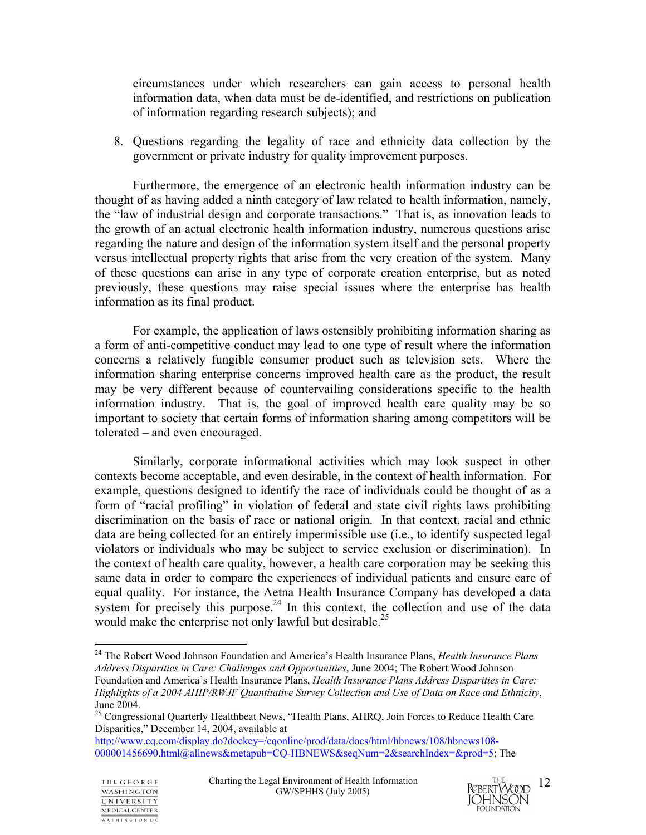circumstances under which researchers can gain access to personal health information data, when data must be de-identified, and restrictions on publication of information regarding research subjects); and

8. Questions regarding the legality of race and ethnicity data collection by the government or private industry for quality improvement purposes.

 Furthermore, the emergence of an electronic health information industry can be thought of as having added a ninth category of law related to health information, namely, the "law of industrial design and corporate transactions." That is, as innovation leads to the growth of an actual electronic health information industry, numerous questions arise regarding the nature and design of the information system itself and the personal property versus intellectual property rights that arise from the very creation of the system. Many of these questions can arise in any type of corporate creation enterprise, but as noted previously, these questions may raise special issues where the enterprise has health information as its final product.

 For example, the application of laws ostensibly prohibiting information sharing as a form of anti-competitive conduct may lead to one type of result where the information concerns a relatively fungible consumer product such as television sets. Where the information sharing enterprise concerns improved health care as the product, the result may be very different because of countervailing considerations specific to the health information industry. That is, the goal of improved health care quality may be so important to society that certain forms of information sharing among competitors will be tolerated – and even encouraged.

 Similarly, corporate informational activities which may look suspect in other contexts become acceptable, and even desirable, in the context of health information. For example, questions designed to identify the race of individuals could be thought of as a form of "racial profiling" in violation of federal and state civil rights laws prohibiting discrimination on the basis of race or national origin. In that context, racial and ethnic data are being collected for an entirely impermissible use (i.e., to identify suspected legal violators or individuals who may be subject to service exclusion or discrimination). In the context of health care quality, however, a health care corporation may be seeking this same data in order to compare the experiences of individual patients and ensure care of equal quality. For instance, the Aetna Health Insurance Company has developed a data system for precisely this purpose.<sup>24</sup> In this context, the collection and use of the data would make the enterprise not only lawful but desirable.<sup>25</sup>



 $\overline{a}$ 24 The Robert Wood Johnson Foundation and America's Health Insurance Plans, *Health Insurance Plans Address Disparities in Care: Challenges and Opportunities*, June 2004; The Robert Wood Johnson Foundation and America's Health Insurance Plans, *Health Insurance Plans Address Disparities in Care: Highlights of a 2004 AHIP/RWJF Quantitative Survey Collection and Use of Data on Race and Ethnicity*, June 2004.

<sup>&</sup>lt;sup>25</sup> Congressional Quarterly Healthbeat News, "Health Plans, AHRQ, Join Forces to Reduce Health Care Disparities," December 14, 2004, available at

http://www.cq.com/display.do?dockey=/cqonline/prod/data/docs/html/hbnews/108/hbnews108- 000001456690.html@allnews&metapub=CQ-HBNEWS&seqNum=2&searchIndex=&prod=5; The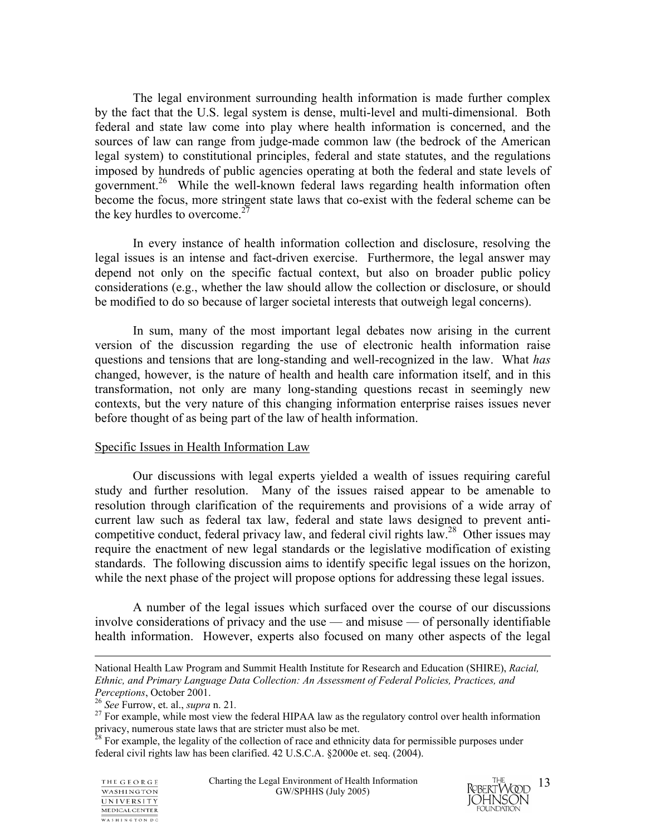The legal environment surrounding health information is made further complex by the fact that the U.S. legal system is dense, multi-level and multi-dimensional. Both federal and state law come into play where health information is concerned, and the sources of law can range from judge-made common law (the bedrock of the American legal system) to constitutional principles, federal and state statutes, and the regulations imposed by hundreds of public agencies operating at both the federal and state levels of government.<sup>26</sup> While the well-known federal laws regarding health information often become the focus, more stringent state laws that co-exist with the federal scheme can be the key hurdles to overcome. $27$ 

 In every instance of health information collection and disclosure, resolving the legal issues is an intense and fact-driven exercise. Furthermore, the legal answer may depend not only on the specific factual context, but also on broader public policy considerations (e.g., whether the law should allow the collection or disclosure, or should be modified to do so because of larger societal interests that outweigh legal concerns).

In sum, many of the most important legal debates now arising in the current version of the discussion regarding the use of electronic health information raise questions and tensions that are long-standing and well-recognized in the law. What *has*  changed, however, is the nature of health and health care information itself, and in this transformation, not only are many long-standing questions recast in seemingly new contexts, but the very nature of this changing information enterprise raises issues never before thought of as being part of the law of health information.

#### Specific Issues in Health Information Law

Our discussions with legal experts yielded a wealth of issues requiring careful study and further resolution. Many of the issues raised appear to be amenable to resolution through clarification of the requirements and provisions of a wide array of current law such as federal tax law, federal and state laws designed to prevent anticompetitive conduct, federal privacy law, and federal civil rights law.<sup>28</sup> Other issues may require the enactment of new legal standards or the legislative modification of existing standards. The following discussion aims to identify specific legal issues on the horizon, while the next phase of the project will propose options for addressing these legal issues.

A number of the legal issues which surfaced over the course of our discussions involve considerations of privacy and the use — and misuse — of personally identifiable health information. However, experts also focused on many other aspects of the legal



National Health Law Program and Summit Health Institute for Research and Education (SHIRE), *Racial, Ethnic, and Primary Language Data Collection: An Assessment of Federal Policies, Practices, and* 

*Perceptions*, October 2001.<br><sup>26</sup> *See* Furrow, et. al., *supra* n. 21.<br><sup>27</sup> For example, while most view the federal HIPAA law as the regulatory control over health information privacy, numerous state laws that are stricter must also be met.<br><sup>28</sup> For example, the legality of the collection of race and ethnicity data for permissible purposes under

federal civil rights law has been clarified. 42 U.S.C.A. §2000e et. seq. (2004).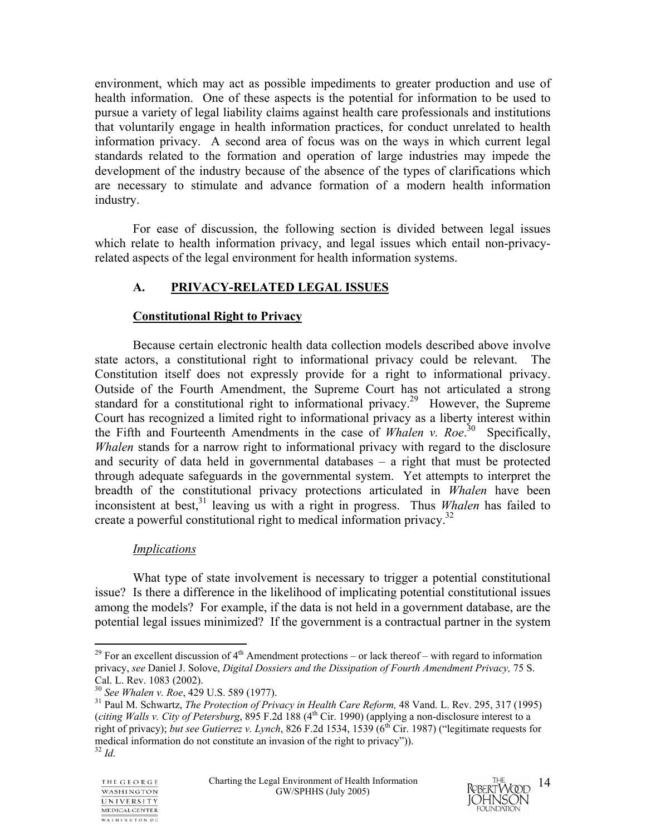environment, which may act as possible impediments to greater production and use of health information. One of these aspects is the potential for information to be used to pursue a variety of legal liability claims against health care professionals and institutions that voluntarily engage in health information practices, for conduct unrelated to health information privacy. A second area of focus was on the ways in which current legal standards related to the formation and operation of large industries may impede the development of the industry because of the absence of the types of clarifications which are necessary to stimulate and advance formation of a modern health information industry.

For ease of discussion, the following section is divided between legal issues which relate to health information privacy, and legal issues which entail non-privacyrelated aspects of the legal environment for health information systems.

## **A. PRIVACY-RELATED LEGAL ISSUES**

## **Constitutional Right to Privacy**

Because certain electronic health data collection models described above involve state actors, a constitutional right to informational privacy could be relevant. The Constitution itself does not expressly provide for a right to informational privacy. Outside of the Fourth Amendment, the Supreme Court has not articulated a strong standard for a constitutional right to informational privacy.<sup>29</sup> However, the Supreme Court has recognized a limited right to informational privacy as a liberty interest within the Fifth and Fourteenth Amendments in the case of *Whalen v. Roe*. 30 Specifically, *Whalen* stands for a narrow right to informational privacy with regard to the disclosure and security of data held in governmental databases – a right that must be protected through adequate safeguards in the governmental system. Yet attempts to interpret the breadth of the constitutional privacy protections articulated in *Whalen* have been inconsistent at best,<sup>31</sup> leaving us with a right in progress. Thus *Whalen* has failed to create a powerful constitutional right to medical information privacy.<sup>32</sup>

## *Implications*

What type of state involvement is necessary to trigger a potential constitutional issue? Is there a difference in the likelihood of implicating potential constitutional issues among the models? For example, if the data is not held in a government database, are the potential legal issues minimized? If the government is a contractual partner in the system



 $\overline{a}$ <sup>29</sup> For an excellent discussion of  $4<sup>th</sup>$  Amendment protections – or lack thereof – with regard to information privacy, *see* Daniel J. Solove, *Digital Dossiers and the Dissipation of Fourth Amendment Privacy,* 75 S. Cal. L. Rev. 1083 (2002).<br><sup>30</sup> See Whalen v. Roe, 429 U.S. 589 (1977).

<sup>&</sup>lt;sup>31</sup> Paul M. Schwartz, *The Protection of Privacy in Health Care Reform*, 48 Vand. L. Rev. 295, 317 (1995) (*citing Walls v. City of Petersburg*, 895 F.2d 188 (4<sup>th</sup> Cir. 1990) (applying a non-disclosure interest to a right of privacy); *but see Gutierrez v. Lynch*, 826 F.2d 1534, 1539 (6th Cir. 1987) ("legitimate requests for medical information do not constitute an invasion of the right to privacy")).<br><sup>32</sup> *Id.*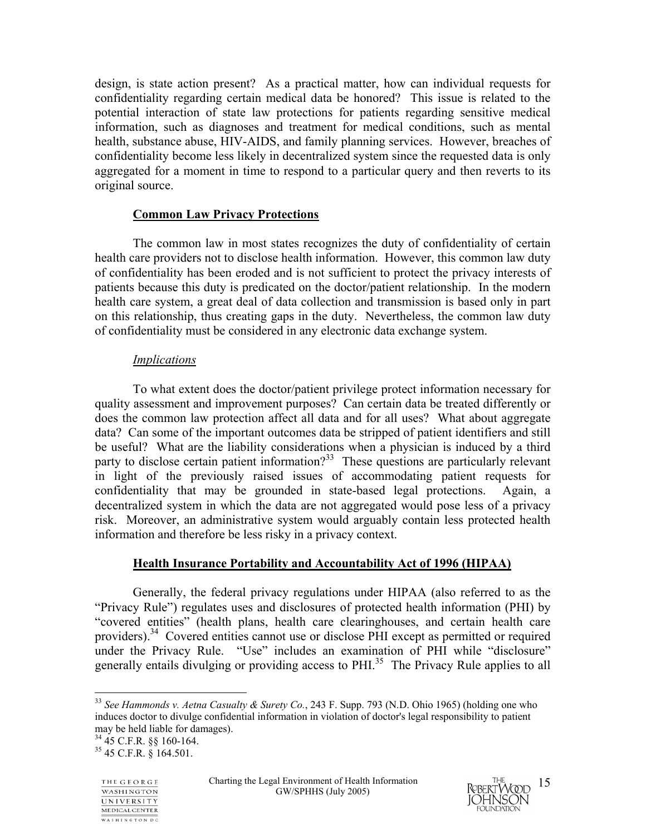design, is state action present? As a practical matter, how can individual requests for confidentiality regarding certain medical data be honored? This issue is related to the potential interaction of state law protections for patients regarding sensitive medical information, such as diagnoses and treatment for medical conditions, such as mental health, substance abuse, HIV-AIDS, and family planning services. However, breaches of confidentiality become less likely in decentralized system since the requested data is only aggregated for a moment in time to respond to a particular query and then reverts to its original source.

### **Common Law Privacy Protections**

The common law in most states recognizes the duty of confidentiality of certain health care providers not to disclose health information. However, this common law duty of confidentiality has been eroded and is not sufficient to protect the privacy interests of patients because this duty is predicated on the doctor/patient relationship. In the modern health care system, a great deal of data collection and transmission is based only in part on this relationship, thus creating gaps in the duty. Nevertheless, the common law duty of confidentiality must be considered in any electronic data exchange system.

#### *Implications*

To what extent does the doctor/patient privilege protect information necessary for quality assessment and improvement purposes? Can certain data be treated differently or does the common law protection affect all data and for all uses? What about aggregate data? Can some of the important outcomes data be stripped of patient identifiers and still be useful? What are the liability considerations when a physician is induced by a third party to disclose certain patient information?<sup>33</sup> These questions are particularly relevant in light of the previously raised issues of accommodating patient requests for confidentiality that may be grounded in state-based legal protections. Again, a decentralized system in which the data are not aggregated would pose less of a privacy risk. Moreover, an administrative system would arguably contain less protected health information and therefore be less risky in a privacy context.

## **Health Insurance Portability and Accountability Act of 1996 (HIPAA)**

Generally, the federal privacy regulations under HIPAA (also referred to as the "Privacy Rule") regulates uses and disclosures of protected health information (PHI) by "covered entities" (health plans, health care clearinghouses, and certain health care providers).34 Covered entities cannot use or disclose PHI except as permitted or required under the Privacy Rule. "Use" includes an examination of PHI while "disclosure" generally entails divulging or providing access to PHI.35 The Privacy Rule applies to all



 $\overline{a}$ 



<sup>33</sup> *See Hammonds v. Aetna Casualty & Surety Co.*, 243 F. Supp. 793 (N.D. Ohio 1965) (holding one who induces doctor to divulge confidential information in violation of doctor's legal responsibility to patient may be held liable for damages).

<sup>34 45</sup> C.F.R. §§ 160-164.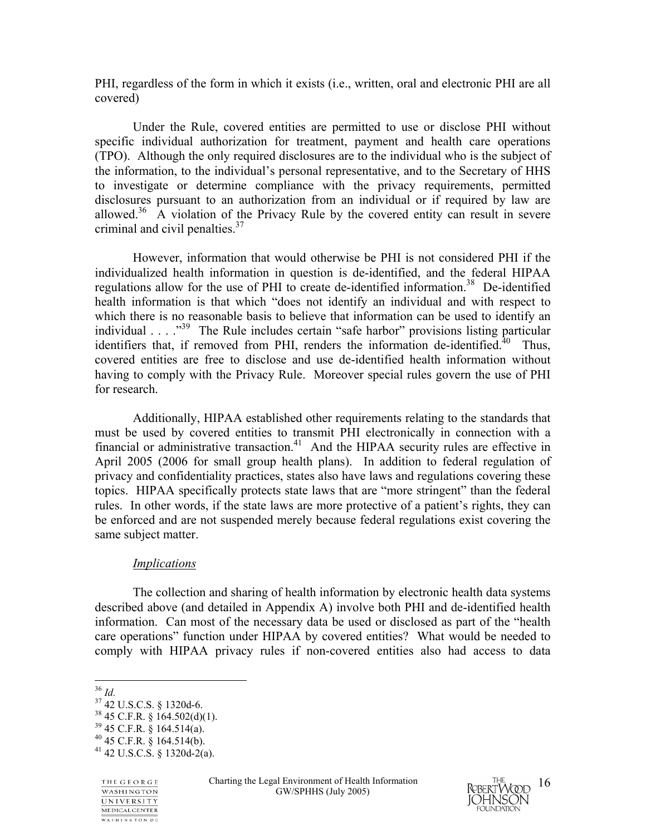PHI, regardless of the form in which it exists (i.e., written, oral and electronic PHI are all covered)

Under the Rule, covered entities are permitted to use or disclose PHI without specific individual authorization for treatment, payment and health care operations (TPO). Although the only required disclosures are to the individual who is the subject of the information, to the individual's personal representative, and to the Secretary of HHS to investigate or determine compliance with the privacy requirements, permitted disclosures pursuant to an authorization from an individual or if required by law are allowed.<sup>36</sup> A violation of the Privacy Rule by the covered entity can result in severe criminal and civil penalties.37

However, information that would otherwise be PHI is not considered PHI if the individualized health information in question is de-identified, and the federal HIPAA regulations allow for the use of PHI to create de-identified information.<sup>38</sup> De-identified health information is that which "does not identify an individual and with respect to which there is no reasonable basis to believe that information can be used to identify an individual . . . ."<sup>39</sup> The Rule includes certain "safe harbor" provisions listing particular identifiers that, if removed from PHI, renders the information de-identified. $40$  Thus, covered entities are free to disclose and use de-identified health information without having to comply with the Privacy Rule. Moreover special rules govern the use of PHI for research.

Additionally, HIPAA established other requirements relating to the standards that must be used by covered entities to transmit PHI electronically in connection with a financial or administrative transaction.<sup>41</sup> And the HIPAA security rules are effective in April 2005 (2006 for small group health plans). In addition to federal regulation of privacy and confidentiality practices, states also have laws and regulations covering these topics. HIPAA specifically protects state laws that are "more stringent" than the federal rules. In other words, if the state laws are more protective of a patient's rights, they can be enforced and are not suspended merely because federal regulations exist covering the same subject matter.

#### *Implications*

 The collection and sharing of health information by electronic health data systems described above (and detailed in Appendix A) involve both PHI and de-identified health information. Can most of the necessary data be used or disclosed as part of the "health care operations" function under HIPAA by covered entities? What would be needed to comply with HIPAA privacy rules if non-covered entities also had access to data



 $36$  Id.

<sup>36</sup> *Id.* 37 42 U.S.C.S. § 1320d-6.  $38$  45 C.F.R. § 164.502(d)(1).  $39\,45$  C.F.R.  $\frac{8}{3}$  164.514(a).

 $40$  45 C.F.R. § 164.514(b).

 $41$  42 U.S.C.S. § 1320d-2(a).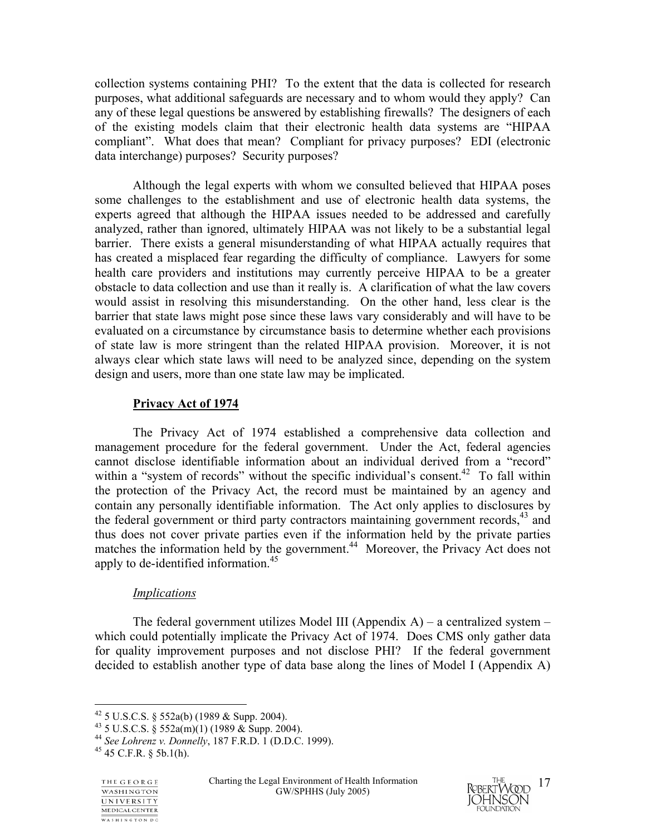collection systems containing PHI? To the extent that the data is collected for research purposes, what additional safeguards are necessary and to whom would they apply? Can any of these legal questions be answered by establishing firewalls? The designers of each of the existing models claim that their electronic health data systems are "HIPAA compliant". What does that mean? Compliant for privacy purposes? EDI (electronic data interchange) purposes? Security purposes?

Although the legal experts with whom we consulted believed that HIPAA poses some challenges to the establishment and use of electronic health data systems, the experts agreed that although the HIPAA issues needed to be addressed and carefully analyzed, rather than ignored, ultimately HIPAA was not likely to be a substantial legal barrier. There exists a general misunderstanding of what HIPAA actually requires that has created a misplaced fear regarding the difficulty of compliance. Lawyers for some health care providers and institutions may currently perceive HIPAA to be a greater obstacle to data collection and use than it really is. A clarification of what the law covers would assist in resolving this misunderstanding. On the other hand, less clear is the barrier that state laws might pose since these laws vary considerably and will have to be evaluated on a circumstance by circumstance basis to determine whether each provisions of state law is more stringent than the related HIPAA provision. Moreover, it is not always clear which state laws will need to be analyzed since, depending on the system design and users, more than one state law may be implicated.

## **Privacy Act of 1974**

The Privacy Act of 1974 established a comprehensive data collection and management procedure for the federal government. Under the Act, federal agencies cannot disclose identifiable information about an individual derived from a "record" within a "system of records" without the specific individual's consent.<sup>42</sup> To fall within the protection of the Privacy Act, the record must be maintained by an agency and contain any personally identifiable information. The Act only applies to disclosures by the federal government or third party contractors maintaining government records,  $43$  and thus does not cover private parties even if the information held by the private parties matches the information held by the government.<sup>44</sup> Moreover, the Privacy Act does not apply to de-identified information.<sup>45</sup>

## *Implications*

The federal government utilizes Model III (Appendix  $A$ ) – a centralized system – which could potentially implicate the Privacy Act of 1974. Does CMS only gather data for quality improvement purposes and not disclose PHI? If the federal government decided to establish another type of data base along the lines of Model I (Appendix A)

 $\overline{a}$ 



 $42$  5 U.S.C.S. § 552a(b) (1989 & Supp. 2004).

 $43$  5 U.S.C.S.  $\frac{8}{9}$  552a(m)(1) (1989 & Supp. 2004).

<sup>44</sup> *See Lohrenz v. Donnelly*, 187 F.R.D. 1 (D.D.C. 1999). 45 45 C.F.R. § 5b.1(h).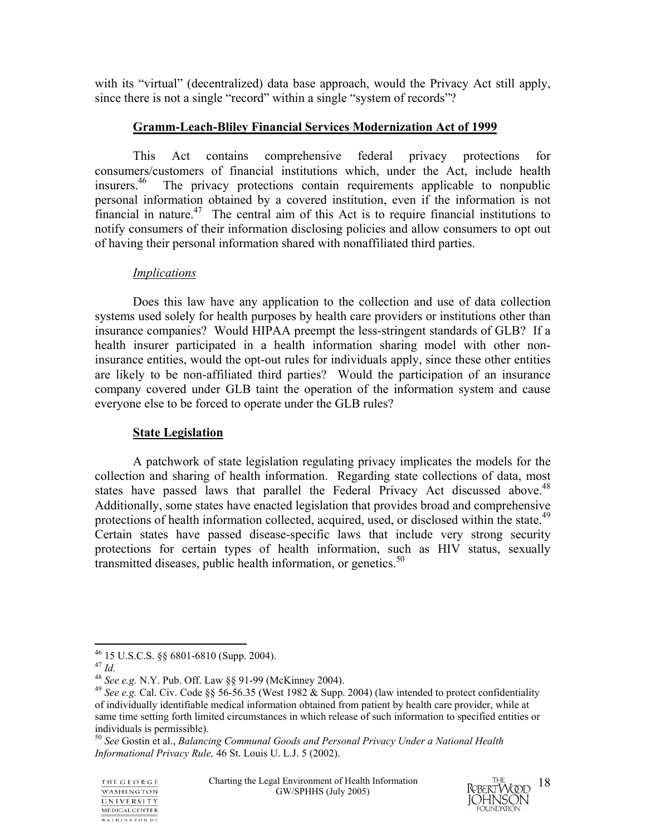with its "virtual" (decentralized) data base approach, would the Privacy Act still apply, since there is not a single "record" within a single "system of records"?

## **Gramm-Leach-Bliley Financial Services Modernization Act of 1999**

 This Act contains comprehensive federal privacy protections for consumers/customers of financial institutions which, under the Act, include health insurers.<sup>46</sup> The privacy protections contain requirements applicable to nonpublic The privacy protections contain requirements applicable to nonpublic personal information obtained by a covered institution, even if the information is not financial in nature.<sup>47</sup> The central aim of this Act is to require financial institutions to notify consumers of their information disclosing policies and allow consumers to opt out of having their personal information shared with nonaffiliated third parties.

### *Implications*

 Does this law have any application to the collection and use of data collection systems used solely for health purposes by health care providers or institutions other than insurance companies? Would HIPAA preempt the less-stringent standards of GLB? If a health insurer participated in a health information sharing model with other noninsurance entities, would the opt-out rules for individuals apply, since these other entities are likely to be non-affiliated third parties? Would the participation of an insurance company covered under GLB taint the operation of the information system and cause everyone else to be forced to operate under the GLB rules?

## **State Legislation**

A patchwork of state legislation regulating privacy implicates the models for the collection and sharing of health information. Regarding state collections of data, most states have passed laws that parallel the Federal Privacy Act discussed above.<sup>48</sup> Additionally, some states have enacted legislation that provides broad and comprehensive protections of health information collected, acquired, used, or disclosed within the state.<sup>49</sup> Certain states have passed disease-specific laws that include very strong security protections for certain types of health information, such as HIV status, sexually transmitted diseases, public health information, or genetics.<sup>50</sup>

 $\overline{a}$ 

<sup>50</sup> *See* Gostin et al., *Balancing Communal Goods and Personal Privacy Under a National Health Informational Privacy Rule,* 46 St. Louis U. L.J. 5 (2002).



 $^{46}$  15 U.S.C.S. §§ 6801-6810 (Supp. 2004).<br><sup>47</sup> *Id.* 

<sup>47</sup> *Id.* <sup>48</sup> *See e.g.* N.Y. Pub. Off. Law §§ 91-99 (McKinney 2004). 49 *See e.g.* Cal. Civ. Code §§ 56-56.35 (West 1982 & Supp. 2004) (law intended to protect confidentiality of individually identifiable medical information obtained from patient by health care provider, while at same time setting forth limited circumstances in which release of such information to specified entities or individuals is permissible).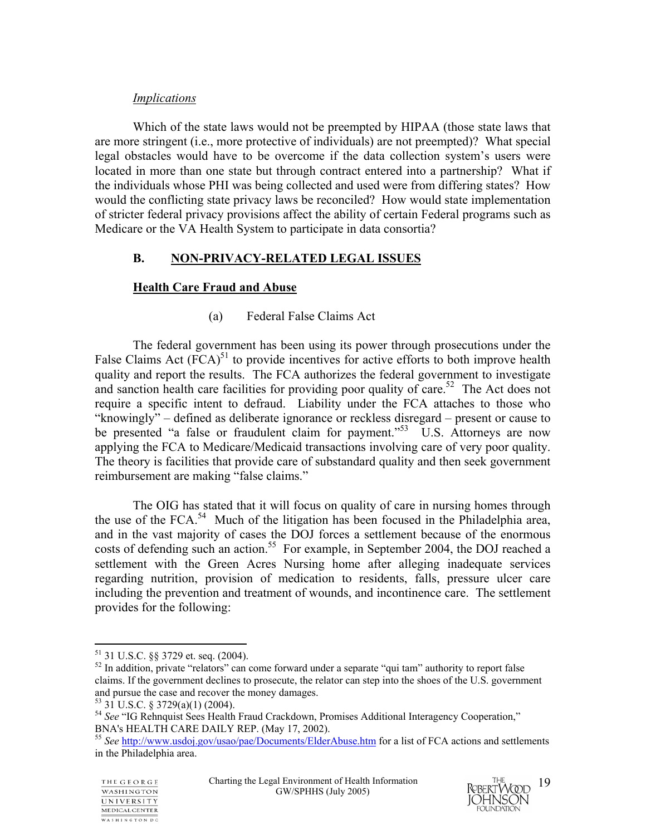### *Implications*

Which of the state laws would not be preempted by HIPAA (those state laws that are more stringent (i.e., more protective of individuals) are not preempted)? What special legal obstacles would have to be overcome if the data collection system's users were located in more than one state but through contract entered into a partnership? What if the individuals whose PHI was being collected and used were from differing states? How would the conflicting state privacy laws be reconciled? How would state implementation of stricter federal privacy provisions affect the ability of certain Federal programs such as Medicare or the VA Health System to participate in data consortia?

## **B. NON-PRIVACY-RELATED LEGAL ISSUES**

## **Health Care Fraud and Abuse**

## (a) Federal False Claims Act

The federal government has been using its power through prosecutions under the False Claims Act  $(FCA)^{51}$  to provide incentives for active efforts to both improve health quality and report the results. The FCA authorizes the federal government to investigate and sanction health care facilities for providing poor quality of care.<sup>52</sup> The Act does not require a specific intent to defraud. Liability under the FCA attaches to those who "knowingly" – defined as deliberate ignorance or reckless disregard – present or cause to be presented "a false or fraudulent claim for payment."<sup>53</sup> U.S. Attorneys are now applying the FCA to Medicare/Medicaid transactions involving care of very poor quality. The theory is facilities that provide care of substandard quality and then seek government reimbursement are making "false claims."

The OIG has stated that it will focus on quality of care in nursing homes through the use of the FCA.<sup>54</sup> Much of the litigation has been focused in the Philadelphia area, and in the vast majority of cases the DOJ forces a settlement because of the enormous costs of defending such an action.<sup>55</sup> For example, in September 2004, the DOJ reached a settlement with the Green Acres Nursing home after alleging inadequate services regarding nutrition, provision of medication to residents, falls, pressure ulcer care including the prevention and treatment of wounds, and incontinence care. The settlement provides for the following:

1



<sup>51 31</sup> U.S.C. §§ 3729 et. seq. (2004).

<sup>&</sup>lt;sup>52</sup> In addition, private "relators" can come forward under a separate "qui tam" authority to report false claims. If the government declines to prosecute, the relator can step into the shoes of the U.S. government and pursue the case and recover the money damages.

<sup>53 31</sup> U.S.C. § 3729(a)(1) (2004).

<sup>54</sup> *See* "IG Rehnquist Sees Health Fraud Crackdown, Promises Additional Interagency Cooperation," BNA's HEALTH CARE DAILY REP. (May 17, 2002).

<sup>55</sup> *See* http://www.usdoj.gov/usao/pae/Documents/ElderAbuse.htm for a list of FCA actions and settlements in the Philadelphia area.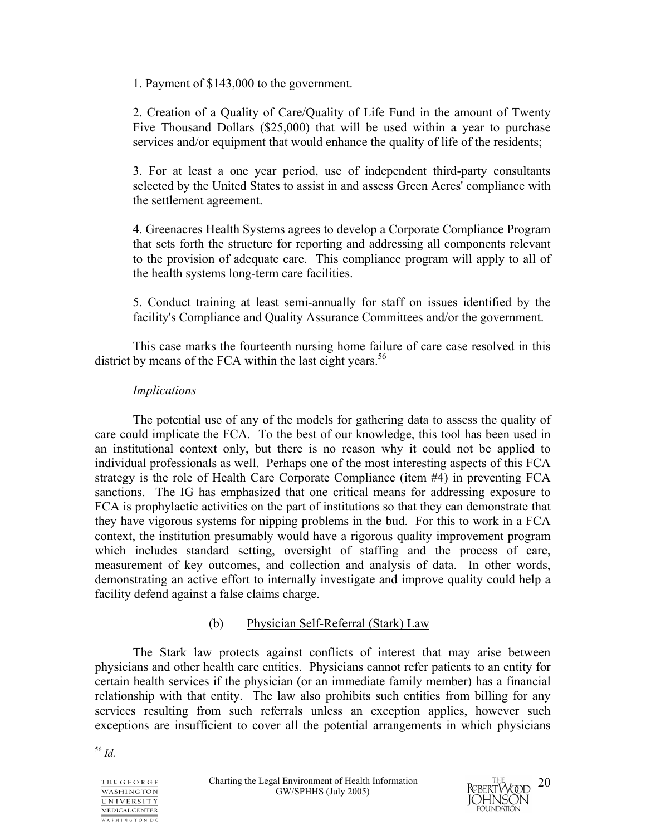1. Payment of \$143,000 to the government.

2. Creation of a Quality of Care/Quality of Life Fund in the amount of Twenty Five Thousand Dollars (\$25,000) that will be used within a year to purchase services and/or equipment that would enhance the quality of life of the residents;

3. For at least a one year period, use of independent third-party consultants selected by the United States to assist in and assess Green Acres' compliance with the settlement agreement.

4. Greenacres Health Systems agrees to develop a Corporate Compliance Program that sets forth the structure for reporting and addressing all components relevant to the provision of adequate care. This compliance program will apply to all of the health systems long-term care facilities.

5. Conduct training at least semi-annually for staff on issues identified by the facility's Compliance and Quality Assurance Committees and/or the government.

This case marks the fourteenth nursing home failure of care case resolved in this district by means of the FCA within the last eight years.<sup>56</sup>

## *Implications*

The potential use of any of the models for gathering data to assess the quality of care could implicate the FCA. To the best of our knowledge, this tool has been used in an institutional context only, but there is no reason why it could not be applied to individual professionals as well. Perhaps one of the most interesting aspects of this FCA strategy is the role of Health Care Corporate Compliance (item #4) in preventing FCA sanctions. The IG has emphasized that one critical means for addressing exposure to FCA is prophylactic activities on the part of institutions so that they can demonstrate that they have vigorous systems for nipping problems in the bud. For this to work in a FCA context, the institution presumably would have a rigorous quality improvement program which includes standard setting, oversight of staffing and the process of care, measurement of key outcomes, and collection and analysis of data. In other words, demonstrating an active effort to internally investigate and improve quality could help a facility defend against a false claims charge.

## (b) Physician Self-Referral (Stark) Law

 The Stark law protects against conflicts of interest that may arise between physicians and other health care entities. Physicians cannot refer patients to an entity for certain health services if the physician (or an immediate family member) has a financial relationship with that entity. The law also prohibits such entities from billing for any services resulting from such referrals unless an exception applies, however such exceptions are insufficient to cover all the potential arrangements in which physicians

 $\overline{a}$ <sup>56</sup> *Id.* 

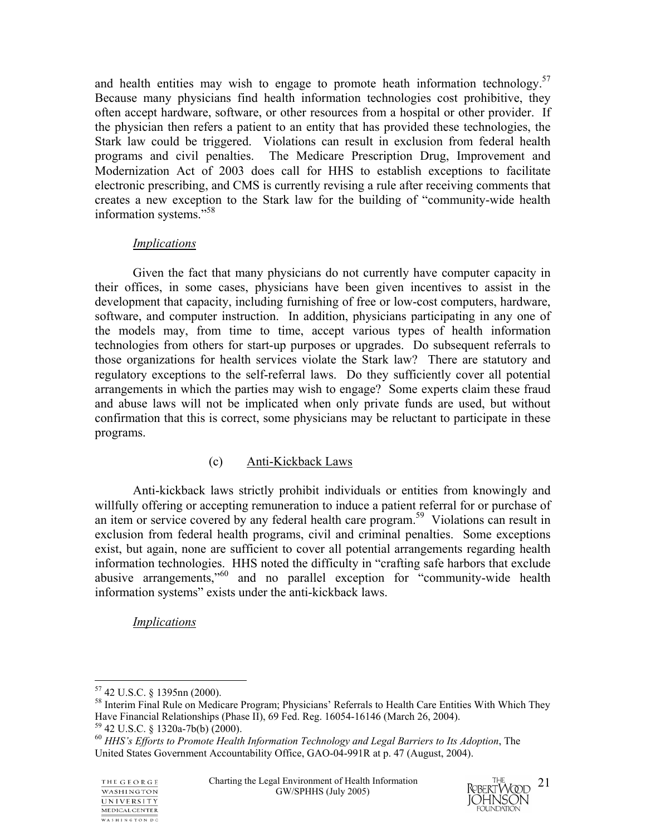and health entities may wish to engage to promote heath information technology.<sup>57</sup> Because many physicians find health information technologies cost prohibitive, they often accept hardware, software, or other resources from a hospital or other provider. If the physician then refers a patient to an entity that has provided these technologies, the Stark law could be triggered. Violations can result in exclusion from federal health programs and civil penalties. The Medicare Prescription Drug, Improvement and Modernization Act of 2003 does call for HHS to establish exceptions to facilitate electronic prescribing, and CMS is currently revising a rule after receiving comments that creates a new exception to the Stark law for the building of "community-wide health information systems."58

## *Implications*

 Given the fact that many physicians do not currently have computer capacity in their offices, in some cases, physicians have been given incentives to assist in the development that capacity, including furnishing of free or low-cost computers, hardware, software, and computer instruction. In addition, physicians participating in any one of the models may, from time to time, accept various types of health information technologies from others for start-up purposes or upgrades. Do subsequent referrals to those organizations for health services violate the Stark law? There are statutory and regulatory exceptions to the self-referral laws. Do they sufficiently cover all potential arrangements in which the parties may wish to engage? Some experts claim these fraud and abuse laws will not be implicated when only private funds are used, but without confirmation that this is correct, some physicians may be reluctant to participate in these programs.

## (c) Anti-Kickback Laws

 Anti-kickback laws strictly prohibit individuals or entities from knowingly and willfully offering or accepting remuneration to induce a patient referral for or purchase of an item or service covered by any federal health care program.<sup>59</sup> Violations can result in exclusion from federal health programs, civil and criminal penalties. Some exceptions exist, but again, none are sufficient to cover all potential arrangements regarding health information technologies. HHS noted the difficulty in "crafting safe harbors that exclude abusive arrangements,"60 and no parallel exception for "community-wide health information systems" exists under the anti-kickback laws.

*Implications*



 $\overline{a}$ 57 42 U.S.C. § 1395nn (2000).

<sup>58</sup> Interim Final Rule on Medicare Program; Physicians' Referrals to Health Care Entities With Which They Have Financial Relationships (Phase II), 69 Fed. Reg. 16054-16146 (March 26, 2004).

<sup>59 42</sup> U.S.C. § 1320a-7b(b) (2000).

<sup>60</sup> *HHS's Efforts to Promote Health Information Technology and Legal Barriers to Its Adoption*, The United States Government Accountability Office, GAO-04-991R at p. 47 (August, 2004).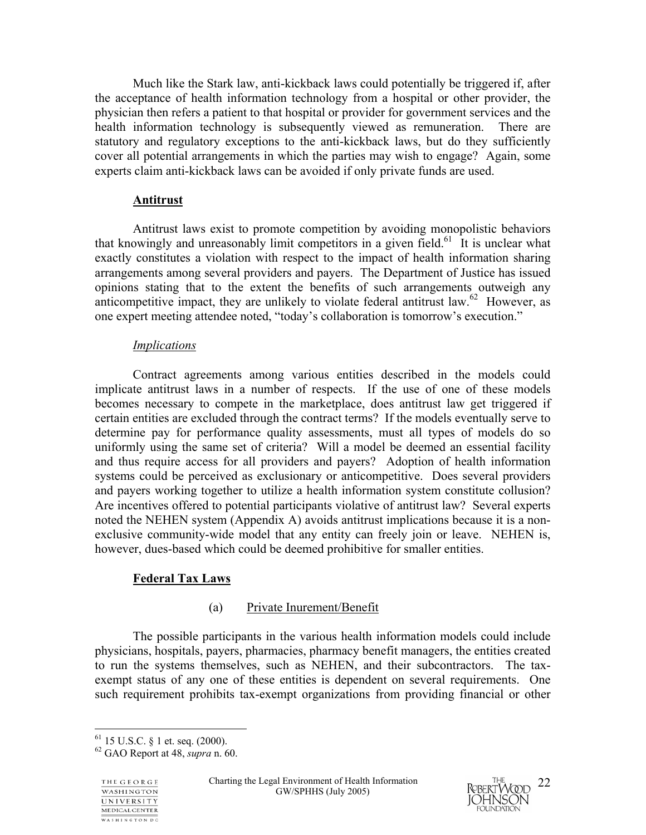Much like the Stark law, anti-kickback laws could potentially be triggered if, after the acceptance of health information technology from a hospital or other provider, the physician then refers a patient to that hospital or provider for government services and the health information technology is subsequently viewed as remuneration. There are statutory and regulatory exceptions to the anti-kickback laws, but do they sufficiently cover all potential arrangements in which the parties may wish to engage? Again, some experts claim anti-kickback laws can be avoided if only private funds are used.

#### **Antitrust**

 Antitrust laws exist to promote competition by avoiding monopolistic behaviors that knowingly and unreasonably limit competitors in a given field.<sup>61</sup> It is unclear what exactly constitutes a violation with respect to the impact of health information sharing arrangements among several providers and payers. The Department of Justice has issued opinions stating that to the extent the benefits of such arrangements outweigh any anticompetitive impact, they are unlikely to violate federal antitrust law.<sup>62</sup> However, as one expert meeting attendee noted, "today's collaboration is tomorrow's execution."

#### *Implications*

 Contract agreements among various entities described in the models could implicate antitrust laws in a number of respects. If the use of one of these models becomes necessary to compete in the marketplace, does antitrust law get triggered if certain entities are excluded through the contract terms? If the models eventually serve to determine pay for performance quality assessments, must all types of models do so uniformly using the same set of criteria? Will a model be deemed an essential facility and thus require access for all providers and payers? Adoption of health information systems could be perceived as exclusionary or anticompetitive. Does several providers and payers working together to utilize a health information system constitute collusion? Are incentives offered to potential participants violative of antitrust law? Several experts noted the NEHEN system (Appendix A) avoids antitrust implications because it is a nonexclusive community-wide model that any entity can freely join or leave. NEHEN is, however, dues-based which could be deemed prohibitive for smaller entities.

## **Federal Tax Laws**

#### (a) Private Inurement/Benefit

 The possible participants in the various health information models could include physicians, hospitals, payers, pharmacies, pharmacy benefit managers, the entities created to run the systems themselves, such as NEHEN, and their subcontractors. The taxexempt status of any one of these entities is dependent on several requirements. One such requirement prohibits tax-exempt organizations from providing financial or other

 $\overline{a}$ 



 $61$  15 U.S.C. § 1 et. seq. (2000).

<sup>62</sup> GAO Report at 48, *supra* n. 60.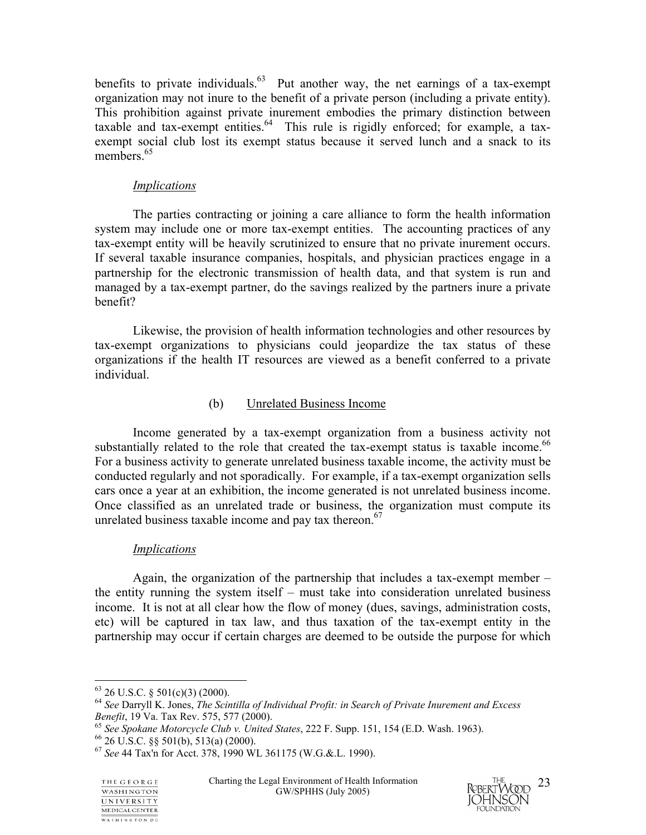benefits to private individuals. $63$  Put another way, the net earnings of a tax-exempt organization may not inure to the benefit of a private person (including a private entity). This prohibition against private inurement embodies the primary distinction between taxable and tax-exempt entities. $64$  This rule is rigidly enforced; for example, a taxexempt social club lost its exempt status because it served lunch and a snack to its members.<sup>65</sup>

#### *Implications*

 The parties contracting or joining a care alliance to form the health information system may include one or more tax-exempt entities. The accounting practices of any tax-exempt entity will be heavily scrutinized to ensure that no private inurement occurs. If several taxable insurance companies, hospitals, and physician practices engage in a partnership for the electronic transmission of health data, and that system is run and managed by a tax-exempt partner, do the savings realized by the partners inure a private benefit?

Likewise, the provision of health information technologies and other resources by tax-exempt organizations to physicians could jeopardize the tax status of these organizations if the health IT resources are viewed as a benefit conferred to a private individual.

## (b) Unrelated Business Income

 Income generated by a tax-exempt organization from a business activity not substantially related to the role that created the tax-exempt status is taxable income.<sup>66</sup> For a business activity to generate unrelated business taxable income, the activity must be conducted regularly and not sporadically. For example, if a tax-exempt organization sells cars once a year at an exhibition, the income generated is not unrelated business income. Once classified as an unrelated trade or business, the organization must compute its unrelated business taxable income and pay tax thereon. $67$ 

## *Implications*

 Again, the organization of the partnership that includes a tax-exempt member – the entity running the system itself – must take into consideration unrelated business income. It is not at all clear how the flow of money (dues, savings, administration costs, etc) will be captured in tax law, and thus taxation of the tax-exempt entity in the partnership may occur if certain charges are deemed to be outside the purpose for which



 $\overline{a}$  $63$  26 U.S.C. § 501(c)(3) (2000).

<sup>64</sup> *See* Darryll K. Jones, *The Scintilla of Individual Profit: in Search of Private Inurement and Excess* 

*Benefit*, 19 Va. Tax Rev. 575, 577 (2000). 65 *See Spokane Motorcycle Club v. United States*, 222 F. Supp. 151, 154 (E.D. Wash. 1963). 66 26 U.S.C. §§ 501(b), 513(a) (2000).

<sup>67</sup> *See* 44 Tax'n for Acct. 378, 1990 WL 361175 (W.G.&.L. 1990).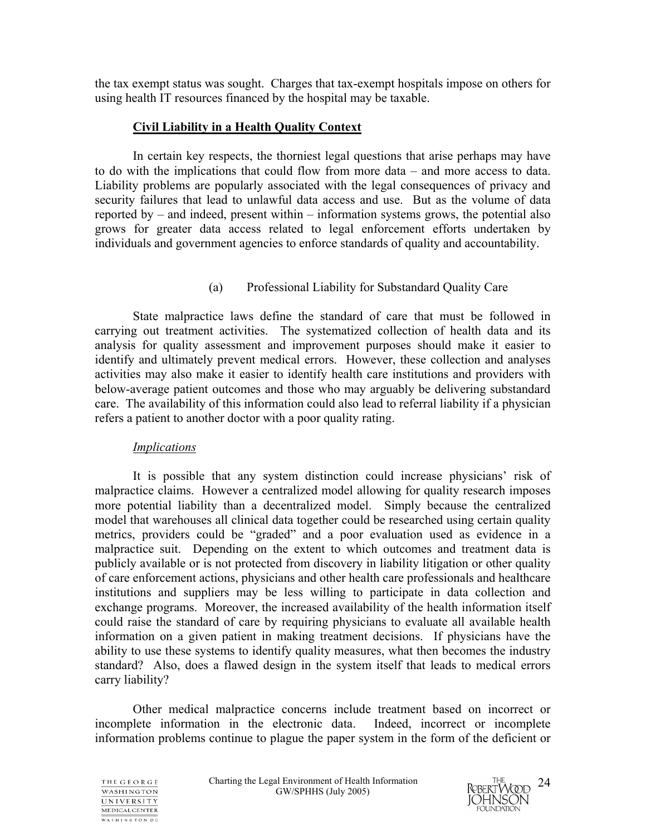the tax exempt status was sought. Charges that tax-exempt hospitals impose on others for using health IT resources financed by the hospital may be taxable.

### **Civil Liability in a Health Quality Context**

 In certain key respects, the thorniest legal questions that arise perhaps may have to do with the implications that could flow from more data – and more access to data. Liability problems are popularly associated with the legal consequences of privacy and security failures that lead to unlawful data access and use. But as the volume of data reported by – and indeed, present within – information systems grows, the potential also grows for greater data access related to legal enforcement efforts undertaken by individuals and government agencies to enforce standards of quality and accountability.

## (a) Professional Liability for Substandard Quality Care

State malpractice laws define the standard of care that must be followed in carrying out treatment activities. The systematized collection of health data and its analysis for quality assessment and improvement purposes should make it easier to identify and ultimately prevent medical errors. However, these collection and analyses activities may also make it easier to identify health care institutions and providers with below-average patient outcomes and those who may arguably be delivering substandard care. The availability of this information could also lead to referral liability if a physician refers a patient to another doctor with a poor quality rating.

#### *Implications*

It is possible that any system distinction could increase physicians' risk of malpractice claims. However a centralized model allowing for quality research imposes more potential liability than a decentralized model. Simply because the centralized model that warehouses all clinical data together could be researched using certain quality metrics, providers could be "graded" and a poor evaluation used as evidence in a malpractice suit. Depending on the extent to which outcomes and treatment data is publicly available or is not protected from discovery in liability litigation or other quality of care enforcement actions, physicians and other health care professionals and healthcare institutions and suppliers may be less willing to participate in data collection and exchange programs. Moreover, the increased availability of the health information itself could raise the standard of care by requiring physicians to evaluate all available health information on a given patient in making treatment decisions. If physicians have the ability to use these systems to identify quality measures, what then becomes the industry standard? Also, does a flawed design in the system itself that leads to medical errors carry liability?

Other medical malpractice concerns include treatment based on incorrect or incomplete information in the electronic data. Indeed, incorrect or incomplete information problems continue to plague the paper system in the form of the deficient or



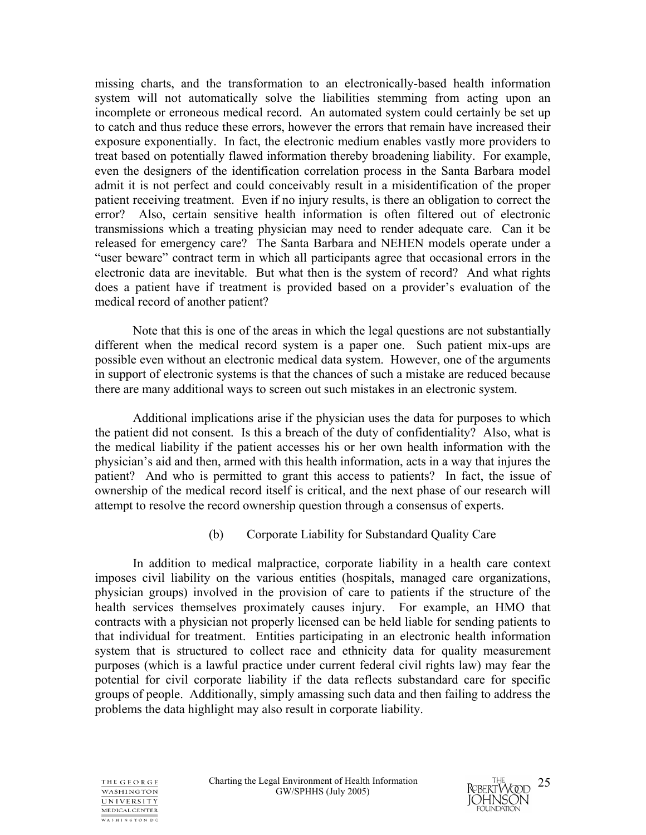missing charts, and the transformation to an electronically-based health information system will not automatically solve the liabilities stemming from acting upon an incomplete or erroneous medical record. An automated system could certainly be set up to catch and thus reduce these errors, however the errors that remain have increased their exposure exponentially. In fact, the electronic medium enables vastly more providers to treat based on potentially flawed information thereby broadening liability. For example, even the designers of the identification correlation process in the Santa Barbara model admit it is not perfect and could conceivably result in a misidentification of the proper patient receiving treatment. Even if no injury results, is there an obligation to correct the error? Also, certain sensitive health information is often filtered out of electronic transmissions which a treating physician may need to render adequate care. Can it be released for emergency care? The Santa Barbara and NEHEN models operate under a "user beware" contract term in which all participants agree that occasional errors in the electronic data are inevitable. But what then is the system of record? And what rights does a patient have if treatment is provided based on a provider's evaluation of the medical record of another patient?

Note that this is one of the areas in which the legal questions are not substantially different when the medical record system is a paper one. Such patient mix-ups are possible even without an electronic medical data system. However, one of the arguments in support of electronic systems is that the chances of such a mistake are reduced because there are many additional ways to screen out such mistakes in an electronic system.

Additional implications arise if the physician uses the data for purposes to which the patient did not consent. Is this a breach of the duty of confidentiality? Also, what is the medical liability if the patient accesses his or her own health information with the physician's aid and then, armed with this health information, acts in a way that injures the patient? And who is permitted to grant this access to patients? In fact, the issue of ownership of the medical record itself is critical, and the next phase of our research will attempt to resolve the record ownership question through a consensus of experts.

## (b) Corporate Liability for Substandard Quality Care

 In addition to medical malpractice, corporate liability in a health care context imposes civil liability on the various entities (hospitals, managed care organizations, physician groups) involved in the provision of care to patients if the structure of the health services themselves proximately causes injury. For example, an HMO that contracts with a physician not properly licensed can be held liable for sending patients to that individual for treatment. Entities participating in an electronic health information system that is structured to collect race and ethnicity data for quality measurement purposes (which is a lawful practice under current federal civil rights law) may fear the potential for civil corporate liability if the data reflects substandard care for specific groups of people. Additionally, simply amassing such data and then failing to address the problems the data highlight may also result in corporate liability.



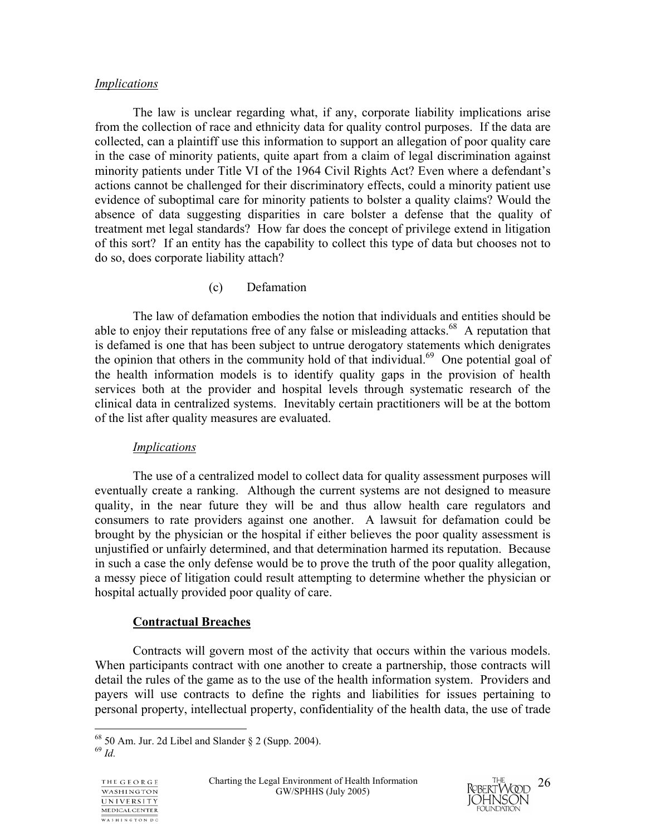#### *Implications*

 The law is unclear regarding what, if any, corporate liability implications arise from the collection of race and ethnicity data for quality control purposes. If the data are collected, can a plaintiff use this information to support an allegation of poor quality care in the case of minority patients, quite apart from a claim of legal discrimination against minority patients under Title VI of the 1964 Civil Rights Act? Even where a defendant's actions cannot be challenged for their discriminatory effects, could a minority patient use evidence of suboptimal care for minority patients to bolster a quality claims? Would the absence of data suggesting disparities in care bolster a defense that the quality of treatment met legal standards? How far does the concept of privilege extend in litigation of this sort? If an entity has the capability to collect this type of data but chooses not to do so, does corporate liability attach?

### (c) Defamation

The law of defamation embodies the notion that individuals and entities should be able to enjoy their reputations free of any false or misleading attacks.<sup>68</sup> A reputation that is defamed is one that has been subject to untrue derogatory statements which denigrates the opinion that others in the community hold of that individual.<sup>69</sup> One potential goal of the health information models is to identify quality gaps in the provision of health services both at the provider and hospital levels through systematic research of the clinical data in centralized systems. Inevitably certain practitioners will be at the bottom of the list after quality measures are evaluated.

#### *Implications*

The use of a centralized model to collect data for quality assessment purposes will eventually create a ranking. Although the current systems are not designed to measure quality, in the near future they will be and thus allow health care regulators and consumers to rate providers against one another. A lawsuit for defamation could be brought by the physician or the hospital if either believes the poor quality assessment is unjustified or unfairly determined, and that determination harmed its reputation. Because in such a case the only defense would be to prove the truth of the poor quality allegation, a messy piece of litigation could result attempting to determine whether the physician or hospital actually provided poor quality of care.

## **Contractual Breaches**

Contracts will govern most of the activity that occurs within the various models. When participants contract with one another to create a partnership, those contracts will detail the rules of the game as to the use of the health information system. Providers and payers will use contracts to define the rights and liabilities for issues pertaining to personal property, intellectual property, confidentiality of the health data, the use of trade

<sup>69</sup> *Id.*





 $\overline{a}$  $68$  50 Am. Jur. 2d Libel and Slander § 2 (Supp. 2004).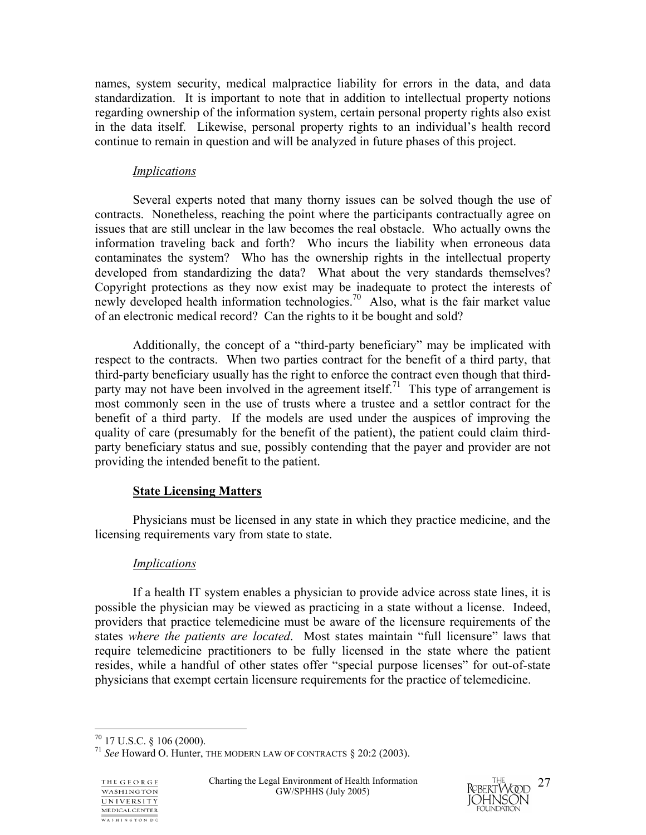names, system security, medical malpractice liability for errors in the data, and data standardization. It is important to note that in addition to intellectual property notions regarding ownership of the information system, certain personal property rights also exist in the data itself. Likewise, personal property rights to an individual's health record continue to remain in question and will be analyzed in future phases of this project.

#### *Implications*

Several experts noted that many thorny issues can be solved though the use of contracts. Nonetheless, reaching the point where the participants contractually agree on issues that are still unclear in the law becomes the real obstacle. Who actually owns the information traveling back and forth? Who incurs the liability when erroneous data contaminates the system? Who has the ownership rights in the intellectual property developed from standardizing the data? What about the very standards themselves? Copyright protections as they now exist may be inadequate to protect the interests of newly developed health information technologies.<sup>70</sup> Also, what is the fair market value of an electronic medical record? Can the rights to it be bought and sold?

Additionally, the concept of a "third-party beneficiary" may be implicated with respect to the contracts. When two parties contract for the benefit of a third party, that third-party beneficiary usually has the right to enforce the contract even though that thirdparty may not have been involved in the agreement itself.<sup>71</sup> This type of arrangement is most commonly seen in the use of trusts where a trustee and a settlor contract for the benefit of a third party. If the models are used under the auspices of improving the quality of care (presumably for the benefit of the patient), the patient could claim thirdparty beneficiary status and sue, possibly contending that the payer and provider are not providing the intended benefit to the patient.

## **State Licensing Matters**

 Physicians must be licensed in any state in which they practice medicine, and the licensing requirements vary from state to state.

## *Implications*

If a health IT system enables a physician to provide advice across state lines, it is possible the physician may be viewed as practicing in a state without a license. Indeed, providers that practice telemedicine must be aware of the licensure requirements of the states *where the patients are located*. Most states maintain "full licensure" laws that require telemedicine practitioners to be fully licensed in the state where the patient resides, while a handful of other states offer "special purpose licenses" for out-of-state physicians that exempt certain licensure requirements for the practice of telemedicine.

 $\overline{a}$ 



 $^{70}$  17 U.S.C. § 106 (2000).

<sup>71</sup> *See* Howard O. Hunter, THE MODERN LAW OF CONTRACTS § 20:2 (2003).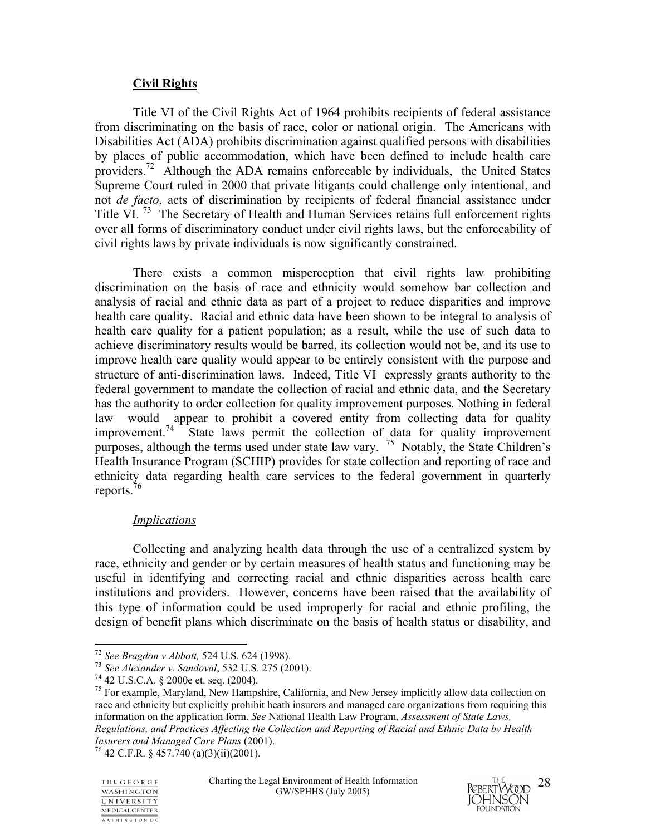## **Civil Rights**

 Title VI of the Civil Rights Act of 1964 prohibits recipients of federal assistance from discriminating on the basis of race, color or national origin. The Americans with Disabilities Act (ADA) prohibits discrimination against qualified persons with disabilities by places of public accommodation, which have been defined to include health care providers.<sup>72</sup> Although the ADA remains enforceable by individuals, the United States Supreme Court ruled in 2000 that private litigants could challenge only intentional, and not *de facto*, acts of discrimination by recipients of federal financial assistance under Title VI.<sup>73</sup> The Secretary of Health and Human Services retains full enforcement rights over all forms of discriminatory conduct under civil rights laws, but the enforceability of civil rights laws by private individuals is now significantly constrained.

There exists a common misperception that civil rights law prohibiting discrimination on the basis of race and ethnicity would somehow bar collection and analysis of racial and ethnic data as part of a project to reduce disparities and improve health care quality. Racial and ethnic data have been shown to be integral to analysis of health care quality for a patient population; as a result, while the use of such data to achieve discriminatory results would be barred, its collection would not be, and its use to improve health care quality would appear to be entirely consistent with the purpose and structure of anti-discrimination laws. Indeed, Title VI expressly grants authority to the federal government to mandate the collection of racial and ethnic data, and the Secretary has the authority to order collection for quality improvement purposes. Nothing in federal law would appear to prohibit a covered entity from collecting data for quality improvement.<sup>74</sup> State laws permit the collection of data for quality improvement purposes, although the terms used under state law vary. <sup>75</sup> Notably, the State Children's Health Insurance Program (SCHIP) provides for state collection and reporting of race and ethnicity data regarding health care services to the federal government in quarterly reports.76

## *Implications*

 Collecting and analyzing health data through the use of a centralized system by race, ethnicity and gender or by certain measures of health status and functioning may be useful in identifying and correcting racial and ethnic disparities across health care institutions and providers. However, concerns have been raised that the availability of this type of information could be used improperly for racial and ethnic profiling, the design of benefit plans which discriminate on the basis of health status or disability, and

 $<sup>75</sup>$  For example, Maryland, New Hampshire, California, and New Jersey implicitly allow data collection on</sup> race and ethnicity but explicitly prohibit heath insurers and managed care organizations from requiring this information on the application form. *See* National Health Law Program, *Assessment of State Laws, Regulations, and Practices Affecting the Collection and Reporting of Racial and Ethnic Data by Health Insurers and Managed Care Plans* (2001). <sup>76</sup> 42 C.F.R. § 457.740 (a)(3)(ii)(2001).

 $\overline{a}$ 



<sup>72</sup> *See Bragdon v Abbott,* 524 U.S. 624 (1998). 73 *See Alexander v. Sandoval*, 532 U.S. 275 (2001). 74 42 U.S.C.A. § 2000e et. seq. (2004).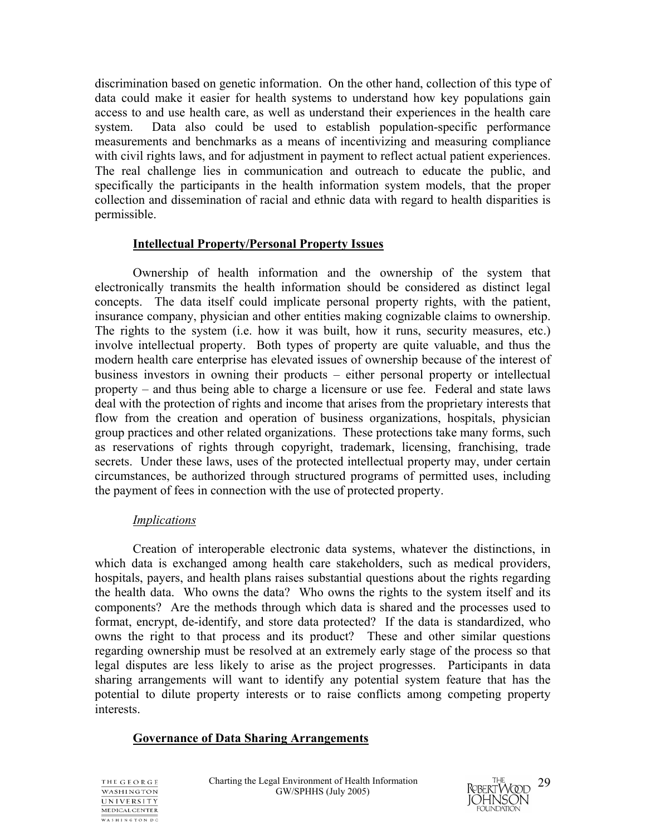discrimination based on genetic information. On the other hand, collection of this type of data could make it easier for health systems to understand how key populations gain access to and use health care, as well as understand their experiences in the health care system. Data also could be used to establish population-specific performance measurements and benchmarks as a means of incentivizing and measuring compliance with civil rights laws, and for adjustment in payment to reflect actual patient experiences. The real challenge lies in communication and outreach to educate the public, and specifically the participants in the health information system models, that the proper collection and dissemination of racial and ethnic data with regard to health disparities is permissible.

### **Intellectual Property/Personal Property Issues**

Ownership of health information and the ownership of the system that electronically transmits the health information should be considered as distinct legal concepts. The data itself could implicate personal property rights, with the patient, insurance company, physician and other entities making cognizable claims to ownership. The rights to the system (i.e. how it was built, how it runs, security measures, etc.) involve intellectual property. Both types of property are quite valuable, and thus the modern health care enterprise has elevated issues of ownership because of the interest of business investors in owning their products – either personal property or intellectual property – and thus being able to charge a licensure or use fee. Federal and state laws deal with the protection of rights and income that arises from the proprietary interests that flow from the creation and operation of business organizations, hospitals, physician group practices and other related organizations. These protections take many forms, such as reservations of rights through copyright, trademark, licensing, franchising, trade secrets. Under these laws, uses of the protected intellectual property may, under certain circumstances, be authorized through structured programs of permitted uses, including the payment of fees in connection with the use of protected property.

#### *Implications*

 Creation of interoperable electronic data systems, whatever the distinctions, in which data is exchanged among health care stakeholders, such as medical providers, hospitals, payers, and health plans raises substantial questions about the rights regarding the health data. Who owns the data? Who owns the rights to the system itself and its components? Are the methods through which data is shared and the processes used to format, encrypt, de-identify, and store data protected? If the data is standardized, who owns the right to that process and its product? These and other similar questions regarding ownership must be resolved at an extremely early stage of the process so that legal disputes are less likely to arise as the project progresses. Participants in data sharing arrangements will want to identify any potential system feature that has the potential to dilute property interests or to raise conflicts among competing property interests.

## **Governance of Data Sharing Arrangements**



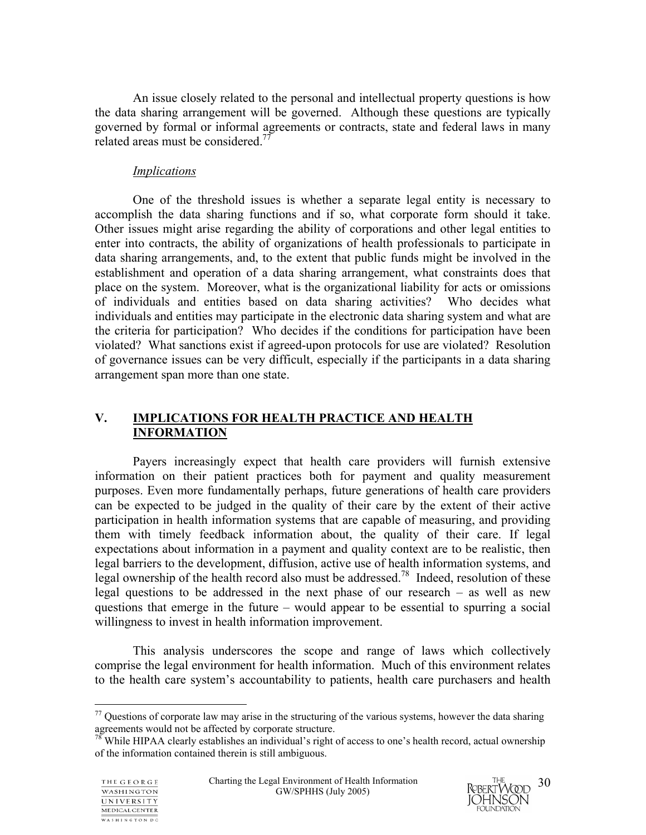An issue closely related to the personal and intellectual property questions is how the data sharing arrangement will be governed. Although these questions are typically governed by formal or informal agreements or contracts, state and federal laws in many related areas must be considered.<sup>77</sup>

## *Implications*

One of the threshold issues is whether a separate legal entity is necessary to accomplish the data sharing functions and if so, what corporate form should it take. Other issues might arise regarding the ability of corporations and other legal entities to enter into contracts, the ability of organizations of health professionals to participate in data sharing arrangements, and, to the extent that public funds might be involved in the establishment and operation of a data sharing arrangement, what constraints does that place on the system. Moreover, what is the organizational liability for acts or omissions of individuals and entities based on data sharing activities? Who decides what individuals and entities may participate in the electronic data sharing system and what are the criteria for participation? Who decides if the conditions for participation have been violated? What sanctions exist if agreed-upon protocols for use are violated? Resolution of governance issues can be very difficult, especially if the participants in a data sharing arrangement span more than one state.

## **V. IMPLICATIONS FOR HEALTH PRACTICE AND HEALTH INFORMATION**

Payers increasingly expect that health care providers will furnish extensive information on their patient practices both for payment and quality measurement purposes. Even more fundamentally perhaps, future generations of health care providers can be expected to be judged in the quality of their care by the extent of their active participation in health information systems that are capable of measuring, and providing them with timely feedback information about, the quality of their care. If legal expectations about information in a payment and quality context are to be realistic, then legal barriers to the development, diffusion, active use of health information systems, and legal ownership of the health record also must be addressed.<sup>78</sup> Indeed, resolution of these legal questions to be addressed in the next phase of our research – as well as new questions that emerge in the future – would appear to be essential to spurring a social willingness to invest in health information improvement.

This analysis underscores the scope and range of laws which collectively comprise the legal environment for health information. Much of this environment relates to the health care system's accountability to patients, health care purchasers and health

 $\overline{a}$ 



 $77$  Questions of corporate law may arise in the structuring of the various systems, however the data sharing agreements would not be affected by corporate structure.<br><sup>78</sup> While HIPAA clearly establishes an individual's right of access to one's health record, actual ownership

of the information contained therein is still ambiguous.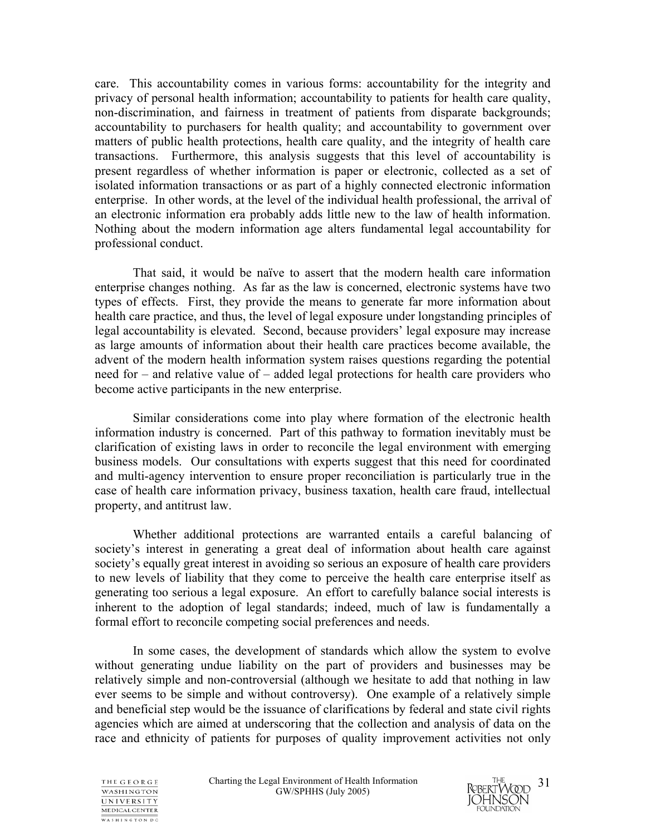care. This accountability comes in various forms: accountability for the integrity and privacy of personal health information; accountability to patients for health care quality, non-discrimination, and fairness in treatment of patients from disparate backgrounds; accountability to purchasers for health quality; and accountability to government over matters of public health protections, health care quality, and the integrity of health care transactions. Furthermore, this analysis suggests that this level of accountability is present regardless of whether information is paper or electronic, collected as a set of isolated information transactions or as part of a highly connected electronic information enterprise. In other words, at the level of the individual health professional, the arrival of an electronic information era probably adds little new to the law of health information. Nothing about the modern information age alters fundamental legal accountability for professional conduct.

That said, it would be naïve to assert that the modern health care information enterprise changes nothing. As far as the law is concerned, electronic systems have two types of effects. First, they provide the means to generate far more information about health care practice, and thus, the level of legal exposure under longstanding principles of legal accountability is elevated. Second, because providers' legal exposure may increase as large amounts of information about their health care practices become available, the advent of the modern health information system raises questions regarding the potential need for – and relative value of – added legal protections for health care providers who become active participants in the new enterprise.

Similar considerations come into play where formation of the electronic health information industry is concerned. Part of this pathway to formation inevitably must be clarification of existing laws in order to reconcile the legal environment with emerging business models. Our consultations with experts suggest that this need for coordinated and multi-agency intervention to ensure proper reconciliation is particularly true in the case of health care information privacy, business taxation, health care fraud, intellectual property, and antitrust law.

Whether additional protections are warranted entails a careful balancing of society's interest in generating a great deal of information about health care against society's equally great interest in avoiding so serious an exposure of health care providers to new levels of liability that they come to perceive the health care enterprise itself as generating too serious a legal exposure. An effort to carefully balance social interests is inherent to the adoption of legal standards; indeed, much of law is fundamentally a formal effort to reconcile competing social preferences and needs.

In some cases, the development of standards which allow the system to evolve without generating undue liability on the part of providers and businesses may be relatively simple and non-controversial (although we hesitate to add that nothing in law ever seems to be simple and without controversy). One example of a relatively simple and beneficial step would be the issuance of clarifications by federal and state civil rights agencies which are aimed at underscoring that the collection and analysis of data on the race and ethnicity of patients for purposes of quality improvement activities not only



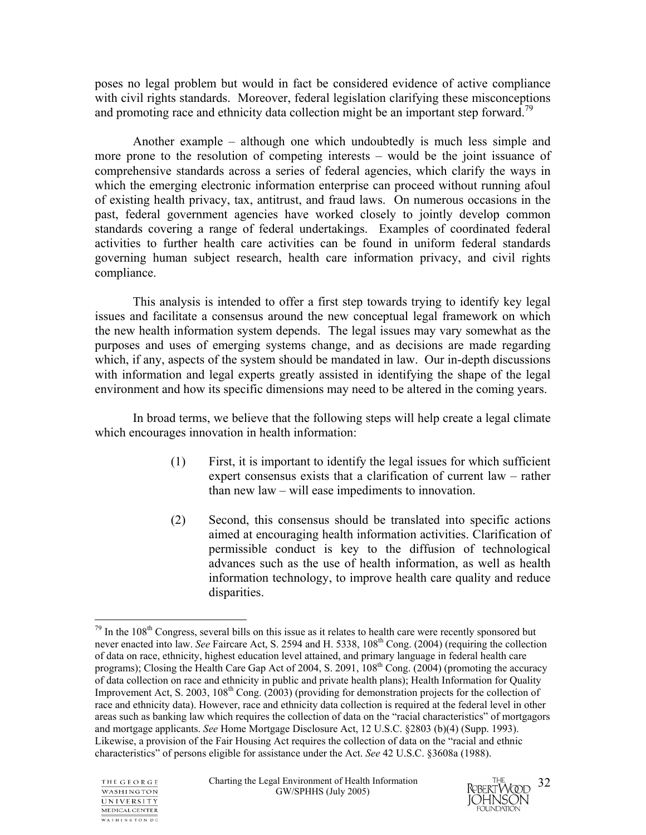poses no legal problem but would in fact be considered evidence of active compliance with civil rights standards. Moreover, federal legislation clarifying these misconceptions and promoting race and ethnicity data collection might be an important step forward.<sup>79</sup>

Another example – although one which undoubtedly is much less simple and more prone to the resolution of competing interests – would be the joint issuance of comprehensive standards across a series of federal agencies, which clarify the ways in which the emerging electronic information enterprise can proceed without running afoul of existing health privacy, tax, antitrust, and fraud laws. On numerous occasions in the past, federal government agencies have worked closely to jointly develop common standards covering a range of federal undertakings. Examples of coordinated federal activities to further health care activities can be found in uniform federal standards governing human subject research, health care information privacy, and civil rights compliance.

This analysis is intended to offer a first step towards trying to identify key legal issues and facilitate a consensus around the new conceptual legal framework on which the new health information system depends. The legal issues may vary somewhat as the purposes and uses of emerging systems change, and as decisions are made regarding which, if any, aspects of the system should be mandated in law. Our in-depth discussions with information and legal experts greatly assisted in identifying the shape of the legal environment and how its specific dimensions may need to be altered in the coming years.

 In broad terms, we believe that the following steps will help create a legal climate which encourages innovation in health information:

- (1) First, it is important to identify the legal issues for which sufficient expert consensus exists that a clarification of current law – rather than new law – will ease impediments to innovation.
- (2) Second, this consensus should be translated into specific actions aimed at encouraging health information activities. Clarification of permissible conduct is key to the diffusion of technological advances such as the use of health information, as well as health information technology, to improve health care quality and reduce disparities.

 $79$  In the 108<sup>th</sup> Congress, several bills on this issue as it relates to health care were recently sponsored but never enacted into law. *See* Faircare Act, S. 2594 and H. 5338, 108<sup>th</sup> Cong. (2004) (requiring the collection of data on race, ethnicity, highest education level attained, and primary language in federal health care programs); Closing the Health Care Gap Act of 2004, S. 2091, 108<sup>th</sup> Cong. (2004) (promoting the accuracy of data collection on race and ethnicity in public and private health plans); Health Information for Quality Improvement Act, S. 2003,  $108<sup>th</sup>$  Cong. (2003) (providing for demonstration projects for the collection of race and ethnicity data). However, race and ethnicity data collection is required at the federal level in other areas such as banking law which requires the collection of data on the "racial characteristics" of mortgagors and mortgage applicants. *See* Home Mortgage Disclosure Act, 12 U.S.C. §2803 (b)(4) (Supp. 1993). Likewise, a provision of the Fair Housing Act requires the collection of data on the "racial and ethnic characteristics" of persons eligible for assistance under the Act. *See* 42 U.S.C. §3608a (1988).



1

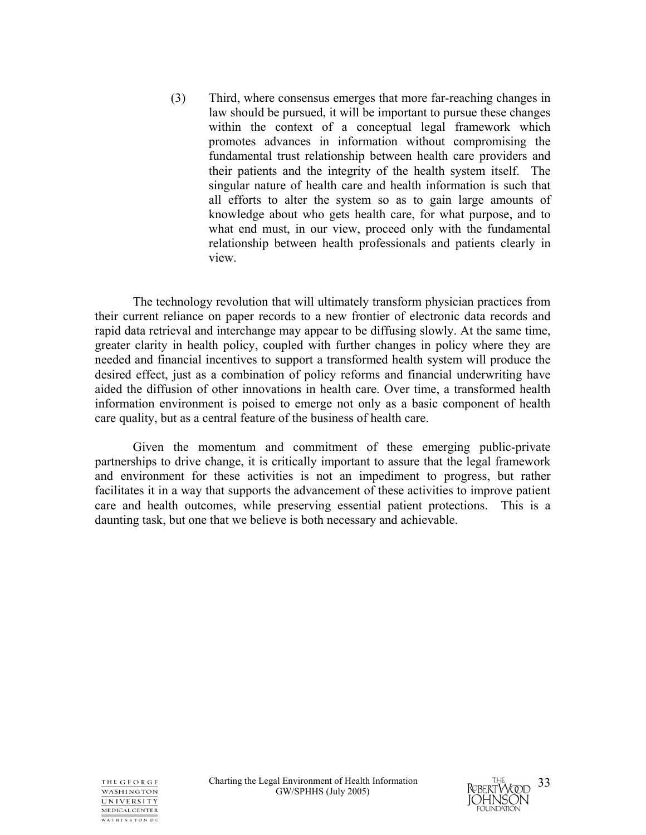(3) Third, where consensus emerges that more far-reaching changes in law should be pursued, it will be important to pursue these changes within the context of a conceptual legal framework which promotes advances in information without compromising the fundamental trust relationship between health care providers and their patients and the integrity of the health system itself. The singular nature of health care and health information is such that all efforts to alter the system so as to gain large amounts of knowledge about who gets health care, for what purpose, and to what end must, in our view, proceed only with the fundamental relationship between health professionals and patients clearly in view.

The technology revolution that will ultimately transform physician practices from their current reliance on paper records to a new frontier of electronic data records and rapid data retrieval and interchange may appear to be diffusing slowly. At the same time, greater clarity in health policy, coupled with further changes in policy where they are needed and financial incentives to support a transformed health system will produce the desired effect, just as a combination of policy reforms and financial underwriting have aided the diffusion of other innovations in health care. Over time, a transformed health information environment is poised to emerge not only as a basic component of health care quality, but as a central feature of the business of health care.

Given the momentum and commitment of these emerging public-private partnerships to drive change, it is critically important to assure that the legal framework and environment for these activities is not an impediment to progress, but rather facilitates it in a way that supports the advancement of these activities to improve patient care and health outcomes, while preserving essential patient protections. This is a daunting task, but one that we believe is both necessary and achievable.

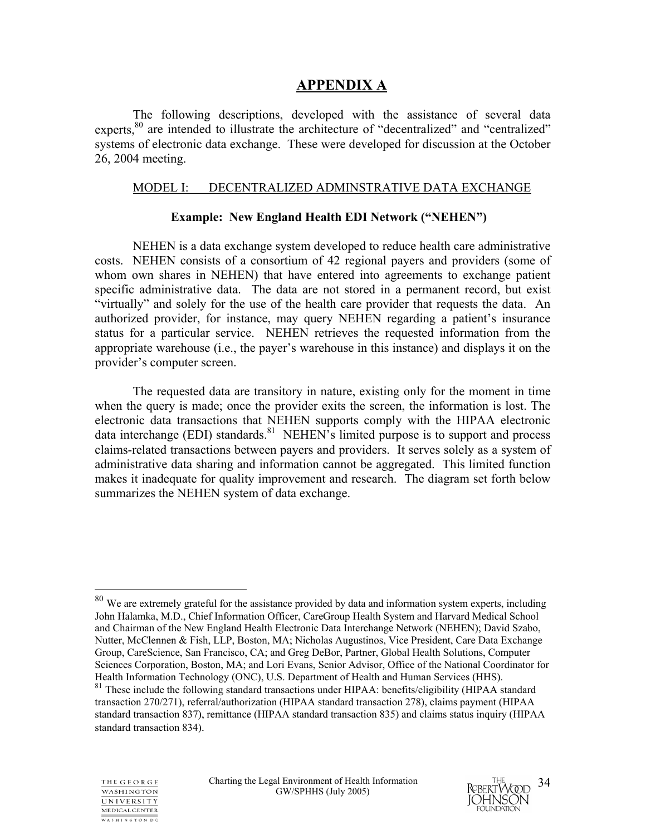## **APPENDIX A**

The following descriptions, developed with the assistance of several data experts,<sup>80</sup> are intended to illustrate the architecture of "decentralized" and "centralized" systems of electronic data exchange. These were developed for discussion at the October 26, 2004 meeting.

#### MODEL I: DECENTRALIZED ADMINSTRATIVE DATA EXCHANGE

#### **Example: New England Health EDI Network ("NEHEN")**

NEHEN is a data exchange system developed to reduce health care administrative costs. NEHEN consists of a consortium of 42 regional payers and providers (some of whom own shares in NEHEN) that have entered into agreements to exchange patient specific administrative data. The data are not stored in a permanent record, but exist "virtually" and solely for the use of the health care provider that requests the data. An authorized provider, for instance, may query NEHEN regarding a patient's insurance status for a particular service. NEHEN retrieves the requested information from the appropriate warehouse (i.e., the payer's warehouse in this instance) and displays it on the provider's computer screen.

The requested data are transitory in nature, existing only for the moment in time when the query is made; once the provider exits the screen, the information is lost. The electronic data transactions that NEHEN supports comply with the HIPAA electronic data interchange (EDI) standards.<sup>81</sup> NEHEN's limited purpose is to support and process claims-related transactions between payers and providers. It serves solely as a system of administrative data sharing and information cannot be aggregated. This limited function makes it inadequate for quality improvement and research. The diagram set forth below summarizes the NEHEN system of data exchange.

<sup>&</sup>lt;sup>81</sup> These include the following standard transactions under HIPAA: benefits/eligibility (HIPAA standard transaction 270/271), referral/authorization (HIPAA standard transaction 278), claims payment (HIPAA standard transaction 837), remittance (HIPAA standard transaction 835) and claims status inquiry (HIPAA standard transaction 834).



 $\overline{a}$ 



 $80$  We are extremely grateful for the assistance provided by data and information system experts, including John Halamka, M.D., Chief Information Officer, CareGroup Health System and Harvard Medical School and Chairman of the New England Health Electronic Data Interchange Network (NEHEN); David Szabo, Nutter, McClennen & Fish, LLP, Boston, MA; Nicholas Augustinos, Vice President, Care Data Exchange Group, CareScience, San Francisco, CA; and Greg DeBor, Partner, Global Health Solutions, Computer Sciences Corporation, Boston, MA; and Lori Evans, Senior Advisor, Office of the National Coordinator for Health Information Technology (ONC), U.S. Department of Health and Human Services (HHS).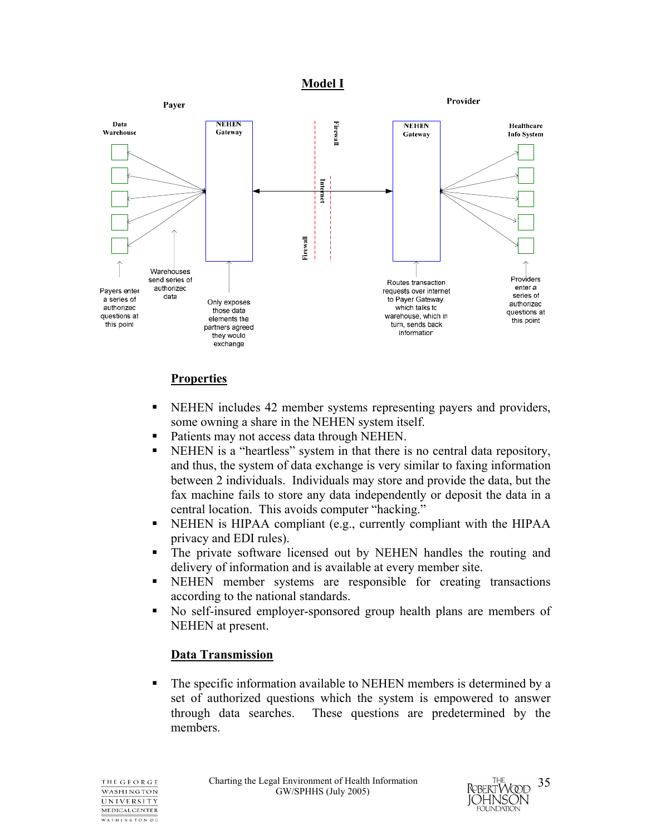#### **Model I**



## **Properties**

- NEHEN includes 42 member systems representing payers and providers, some owning a share in the NEHEN system itself.
- Patients may not access data through NEHEN.
- NEHEN is a "heartless" system in that there is no central data repository, and thus, the system of data exchange is very similar to faxing information between 2 individuals. Individuals may store and provide the data, but the fax machine fails to store any data independently or deposit the data in a central location. This avoids computer "hacking."
- NEHEN is HIPAA compliant (e.g., currently compliant with the HIPAA privacy and EDI rules).
- The private software licensed out by NEHEN handles the routing and delivery of information and is available at every member site.
- NEHEN member systems are responsible for creating transactions according to the national standards.
- No self-insured employer-sponsored group health plans are members of NEHEN at present.

## **Data Transmission**

 The specific information available to NEHEN members is determined by a set of authorized questions which the system is empowered to answer through data searches. These questions are predetermined by the members.

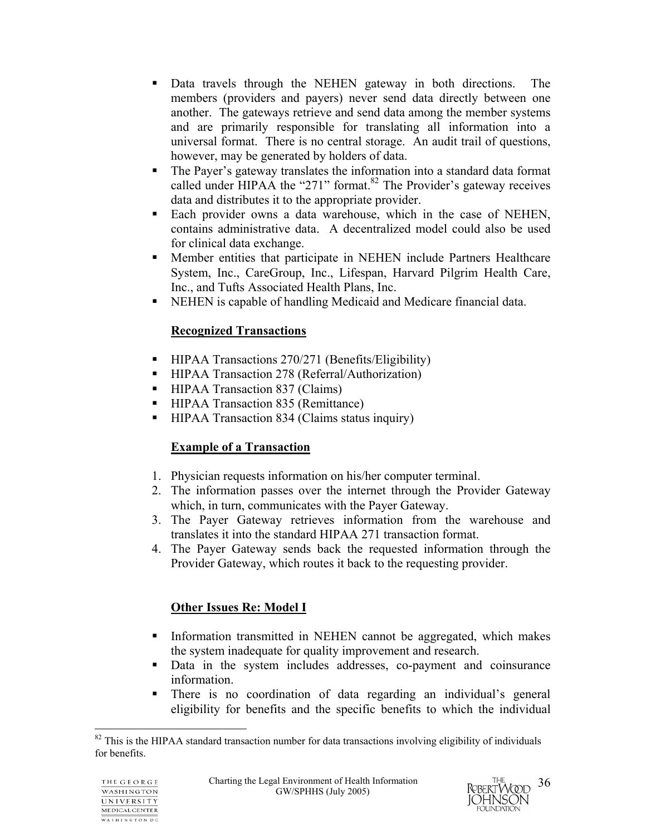- Data travels through the NEHEN gateway in both directions. The members (providers and payers) never send data directly between one another. The gateways retrieve and send data among the member systems and are primarily responsible for translating all information into a universal format. There is no central storage. An audit trail of questions, however, may be generated by holders of data.
- The Payer's gateway translates the information into a standard data format called under HIPAA the "271" format. $82$  The Provider's gateway receives data and distributes it to the appropriate provider.
- Each provider owns a data warehouse, which in the case of NEHEN, contains administrative data. A decentralized model could also be used for clinical data exchange.
- Member entities that participate in NEHEN include Partners Healthcare System, Inc., CareGroup, Inc., Lifespan, Harvard Pilgrim Health Care, Inc., and Tufts Associated Health Plans, Inc.
- NEHEN is capable of handling Medicaid and Medicare financial data.

## **Recognized Transactions**

- HIPAA Transactions 270/271 (Benefits/Eligibility)
- HIPAA Transaction 278 (Referral/Authorization)
- HIPAA Transaction 837 (Claims)
- HIPAA Transaction 835 (Remittance)
- HIPAA Transaction 834 (Claims status inquiry)

## **Example of a Transaction**

- 1. Physician requests information on his/her computer terminal.
- 2. The information passes over the internet through the Provider Gateway which, in turn, communicates with the Payer Gateway.
- 3. The Payer Gateway retrieves information from the warehouse and translates it into the standard HIPAA 271 transaction format.
- 4. The Payer Gateway sends back the requested information through the Provider Gateway, which routes it back to the requesting provider.

# **Other Issues Re: Model I**

- Information transmitted in NEHEN cannot be aggregated, which makes the system inadequate for quality improvement and research.
- Data in the system includes addresses, co-payment and coinsurance information.
- There is no coordination of data regarding an individual's general eligibility for benefits and the specific benefits to which the individual



 $\overline{a}$  $82$  This is the HIPAA standard transaction number for data transactions involving eligibility of individuals for benefits.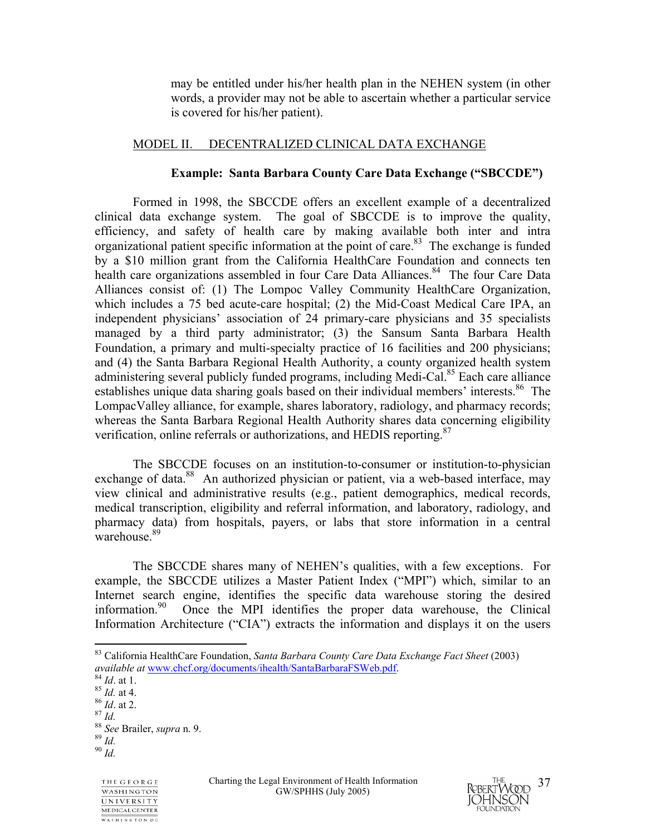may be entitled under his/her health plan in the NEHEN system (in other words, a provider may not be able to ascertain whether a particular service is covered for his/her patient).

#### MODEL II. DECENTRALIZED CLINICAL DATA EXCHANGE

#### **Example: Santa Barbara County Care Data Exchange ("SBCCDE")**

Formed in 1998, the SBCCDE offers an excellent example of a decentralized clinical data exchange system. The goal of SBCCDE is to improve the quality, efficiency, and safety of health care by making available both inter and intra organizational patient specific information at the point of care.<sup>83</sup> The exchange is funded by a \$10 million grant from the California HealthCare Foundation and connects ten health care organizations assembled in four Care Data Alliances.<sup>84</sup> The four Care Data Alliances consist of: (1) The Lompoc Valley Community HealthCare Organization, which includes a 75 bed acute-care hospital; (2) the Mid-Coast Medical Care IPA, an independent physicians' association of 24 primary-care physicians and 35 specialists managed by a third party administrator; (3) the Sansum Santa Barbara Health Foundation, a primary and multi-specialty practice of 16 facilities and 200 physicians; and (4) the Santa Barbara Regional Health Authority, a county organized health system administering several publicly funded programs, including Medi-Cal.<sup>85</sup> Each care alliance establishes unique data sharing goals based on their individual members' interests.<sup>86</sup> The LompacValley alliance, for example, shares laboratory, radiology, and pharmacy records; whereas the Santa Barbara Regional Health Authority shares data concerning eligibility verification, online referrals or authorizations, and HEDIS reporting.<sup>87</sup>

The SBCCDE focuses on an institution-to-consumer or institution-to-physician exchange of data.<sup>88</sup> An authorized physician or patient, via a web-based interface, may view clinical and administrative results (e.g., patient demographics, medical records, medical transcription, eligibility and referral information, and laboratory, radiology, and pharmacy data) from hospitals, payers, or labs that store information in a central warehouse<sup>89</sup>

The SBCCDE shares many of NEHEN's qualities, with a few exceptions. For example, the SBCCDE utilizes a Master Patient Index ("MPI") which, similar to an Internet search engine, identifies the specific data warehouse storing the desired information.<sup>90</sup> Once the MPI identifies the proper data warehouse, the Clinical Once the MPI identifies the proper data warehouse, the Clinical Information Architecture ("CIA") extracts the information and displays it on the users

1





<sup>83</sup> California HealthCare Foundation, *Santa Barbara County Care Data Exchange Fact Sheet* (2003) *available at* <u>www.chcf.org/documents/ihealth/SantaBarbaraFSWeb.pdf</u>. <sup>84</sup> *Id.* at 1. 85 *Id.* at 4. 86 *Id.* at 2. 87 *Id.* 88 *See* Brailer, *supra* n. 9. 89 *Id.* 90 *Id*.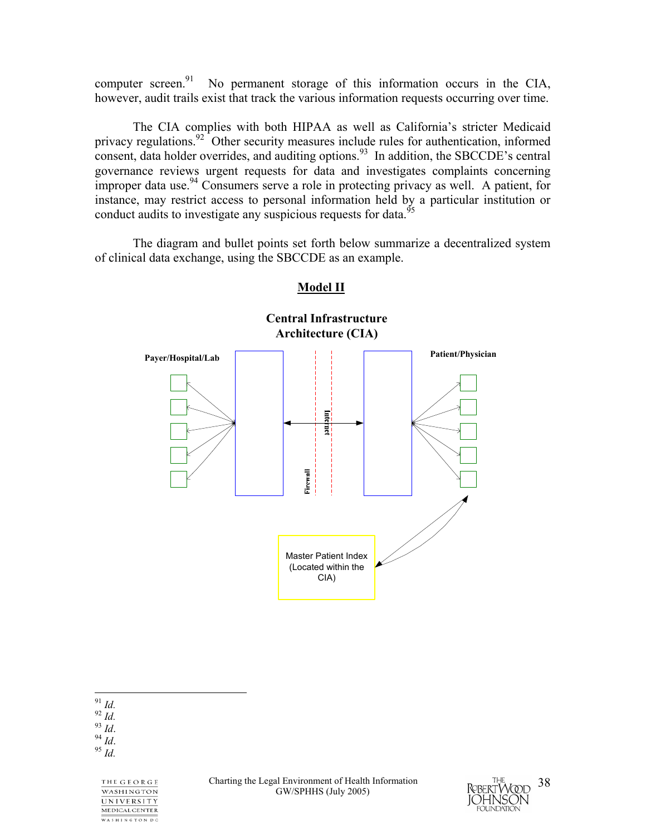computer screen.<sup>91</sup> No permanent storage of this information occurs in the CIA, however, audit trails exist that track the various information requests occurring over time.

The CIA complies with both HIPAA as well as California's stricter Medicaid privacy regulations.<sup>92</sup> Other security measures include rules for authentication, informed consent, data holder overrides, and auditing options.<sup>93</sup> In addition, the SBCCDE's central governance reviews urgent requests for data and investigates complaints concerning improper data use.<sup>94</sup> Consumers serve a role in protecting privacy as well. A patient, for instance, may restrict access to personal information held by a particular institution or conduct audits to investigate any suspicious requests for data.<sup>95</sup>

The diagram and bullet points set forth below summarize a decentralized system of clinical data exchange, using the SBCCDE as an example.



## **Model II**

 $^{91}$   $\emph{Id.}$ 

91 *Id.* 92 *Id.* 93 *Id*. 94 *Id*. 95 *Id.*

THE GEORGE **WASHINGTON** UNIVERSITY MEDICAL CENTER WASHINGTON DC

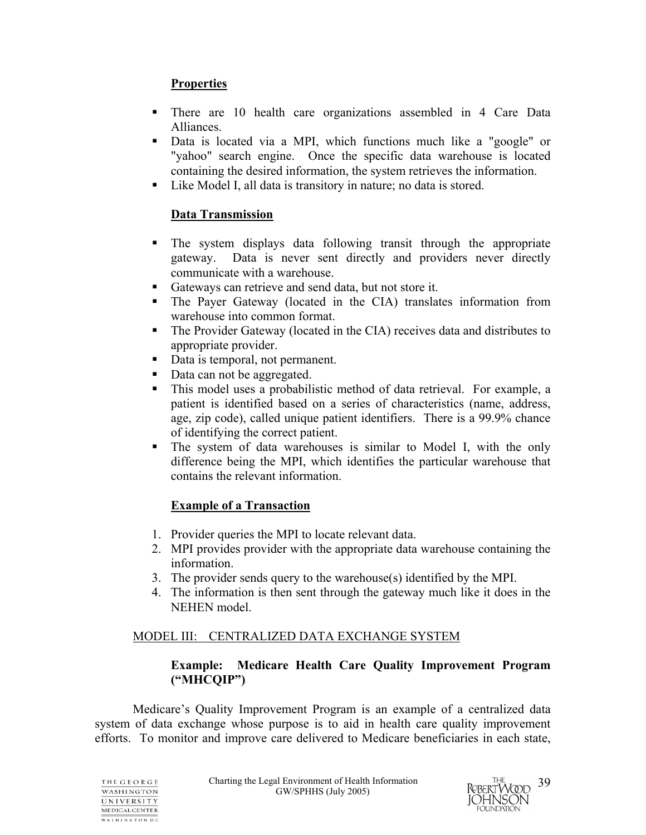## **Properties**

- There are 10 health care organizations assembled in 4 Care Data Alliances.
- Data is located via a MPI, which functions much like a "google" or "yahoo" search engine. Once the specific data warehouse is located containing the desired information, the system retrieves the information.
- Like Model I, all data is transitory in nature; no data is stored.

## **Data Transmission**

- The system displays data following transit through the appropriate gateway. Data is never sent directly and providers never directly communicate with a warehouse.
- Gateways can retrieve and send data, but not store it.
- The Payer Gateway (located in the CIA) translates information from warehouse into common format.
- The Provider Gateway (located in the CIA) receives data and distributes to appropriate provider.
- Data is temporal, not permanent.
- Data can not be aggregated.
- This model uses a probabilistic method of data retrieval. For example, a patient is identified based on a series of characteristics (name, address, age, zip code), called unique patient identifiers. There is a 99.9% chance of identifying the correct patient.
- The system of data warehouses is similar to Model I, with the only difference being the MPI, which identifies the particular warehouse that contains the relevant information.

## **Example of a Transaction**

- 1. Provider queries the MPI to locate relevant data.
- 2. MPI provides provider with the appropriate data warehouse containing the information.
- 3. The provider sends query to the warehouse(s) identified by the MPI.
- 4. The information is then sent through the gateway much like it does in the NEHEN model.

## MODEL III: CENTRALIZED DATA EXCHANGE SYSTEM

## **Example: Medicare Health Care Quality Improvement Program ("MHCQIP")**

Medicare's Quality Improvement Program is an example of a centralized data system of data exchange whose purpose is to aid in health care quality improvement efforts. To monitor and improve care delivered to Medicare beneficiaries in each state,

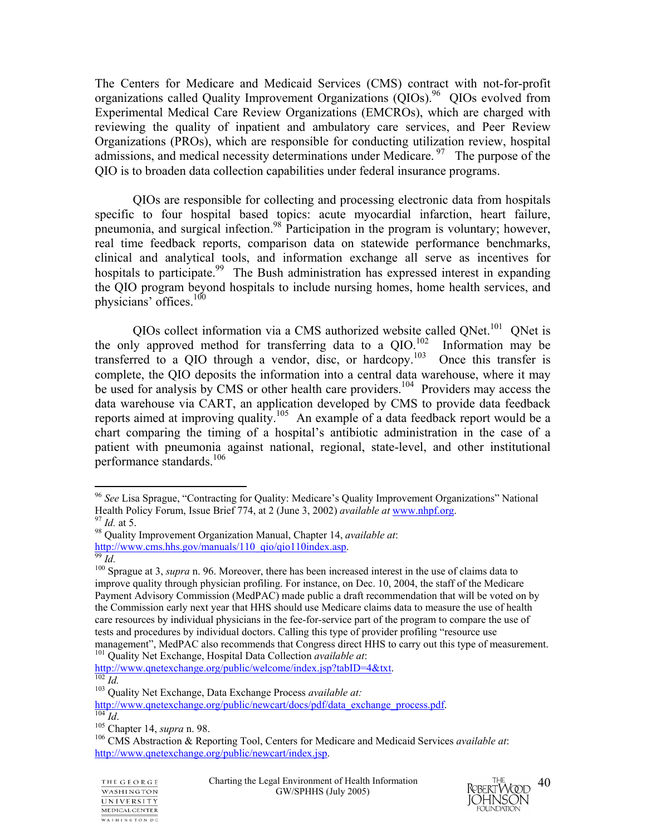The Centers for Medicare and Medicaid Services (CMS) contract with not-for-profit organizations called Quality Improvement Organizations (QIOs).<sup>96</sup> QIOs evolved from Experimental Medical Care Review Organizations (EMCROs), which are charged with reviewing the quality of inpatient and ambulatory care services, and Peer Review Organizations (PROs), which are responsible for conducting utilization review, hospital admissions, and medical necessity determinations under Medicare. <sup>97</sup> The purpose of the QIO is to broaden data collection capabilities under federal insurance programs.

QIOs are responsible for collecting and processing electronic data from hospitals specific to four hospital based topics: acute myocardial infarction, heart failure, pneumonia, and surgical infection.98 Participation in the program is voluntary; however, real time feedback reports, comparison data on statewide performance benchmarks, clinical and analytical tools, and information exchange all serve as incentives for hospitals to participate.<sup>99</sup> The Bush administration has expressed interest in expanding the QIO program beyond hospitals to include nursing homes, home health services, and physicians' offices.<sup>100</sup>

QIOs collect information via a CMS authorized website called QNet.<sup>101</sup> QNet is the only approved method for transferring data to a  $OIO^{102}$  Information may be transferred to a QIO through a vendor, disc, or hardcopy.<sup>103</sup> Once this transfer is complete, the QIO deposits the information into a central data warehouse, where it may be used for analysis by CMS or other health care providers.<sup>104</sup> Providers may access the data warehouse via CART, an application developed by CMS to provide data feedback reports aimed at improving quality.105 An example of a data feedback report would be a chart comparing the timing of a hospital's antibiotic administration in the case of a patient with pneumonia against national, regional, state-level, and other institutional performance standards.<sup>106</sup>

1

http://www.qnetexchange.org/public/welcome/index.jsp?tabID=4&txt. <sup>102</sup> *Id.* <sup>103</sup> Quality Net Exchange, Data Exchange Process *available at:* 



<sup>&</sup>lt;sup>96</sup> *See* Lisa Sprague, "Contracting for Quality: Medicare's Quality Improvement Organizations" National Health Policy Forum, Issue Brief 774, at 2 (June 3, 2002) *available at* www.nhpf.org.

<sup>&</sup>lt;sup>97</sup> Id. at 5.<br><sup>98</sup> Quality Improvement Organization Manual, Chapter 14, *available at*:<br>http://www.cms.hhs.gov/manuals/110 qio/qio110index.asp.

 $\frac{99}{100}$  *Id.* Sprague at 3, *supra* n. 96. Moreover, there has been increased interest in the use of claims data to improve quality through physician profiling. For instance, on Dec. 10, 2004, the staff of the Medicare Payment Advisory Commission (MedPAC) made public a draft recommendation that will be voted on by the Commission early next year that HHS should use Medicare claims data to measure the use of health care resources by individual physicians in the fee-for-service part of the program to compare the use of tests and procedures by individual doctors. Calling this type of provider profiling "resource use management", MedPAC also recommends that Congress direct HHS to carry out this type of measurement. 101 Quality Net Exchange, Hospital Data Collection *available at*:

http://www.qnetexchange.org/public/newcart/docs/pdf/data\_exchange\_process.pdf.<br>
<sup>104</sup> *Id.*<br>
<sup>105</sup> Chapter 14, *supra* n. 98.<br>
<sup>105</sup> CMS Abstraction & Reporting Tool, Centers for Medicare and Medicaid Services *available a* 

http://www.qnetexchange.org/public/newcart/index.jsp.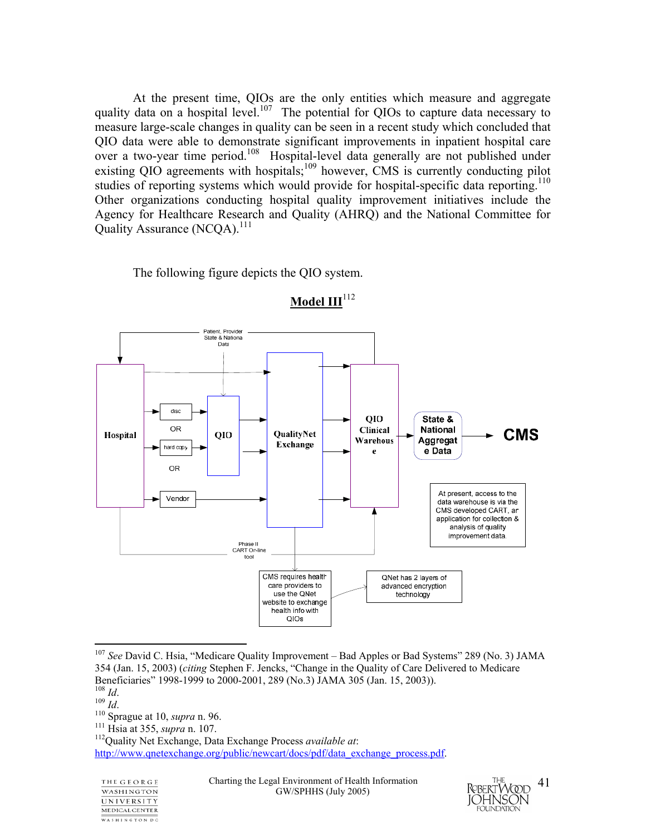At the present time, QIOs are the only entities which measure and aggregate quality data on a hospital level.<sup>107</sup> The potential for QIOs to capture data necessary to measure large-scale changes in quality can be seen in a recent study which concluded that QIO data were able to demonstrate significant improvements in inpatient hospital care over a two-year time period.<sup>108</sup> Hospital-level data generally are not published under existing QIO agreements with hospitals;<sup>109</sup> however, CMS is currently conducting pilot studies of reporting systems which would provide for hospital-specific data reporting.<sup>110</sup> Other organizations conducting hospital quality improvement initiatives include the Agency for Healthcare Research and Quality (AHRQ) and the National Committee for Quality Assurance (NCOA).<sup>111</sup>

The following figure depicts the QIO system.



**Model III**<sup>112</sup>

<sup>110</sup> *Id.* 109 *Id.* 110 Sprague at 10, *supra* n. 96. 111 Hsia at 355, *supra* n. 107. 112Quality Net Exchange, Data Exchange Process *available at*: http://www.qnetexchange.org/public/newcart/docs/pdf/data\_exchange\_process.pdf.

THE GEORGE **WASHINGTON** UNIVERSITY MEDICAL CENTER WASHINGTON DC

Charting the Legal Environment of Health Information GW/SPHHS (July 2005)



<sup>107</sup> *See* David C. Hsia, "Medicare Quality Improvement – Bad Apples or Bad Systems" 289 (No. 3) JAMA 354 (Jan. 15, 2003) (*citing* Stephen F. Jencks, "Change in the Quality of Care Delivered to Medicare Beneficiaries" 1998-1999 to 2000-2001, 289 (No.3) JAMA 305 (Jan. 15, 2003)).<br><sup>108</sup> Id.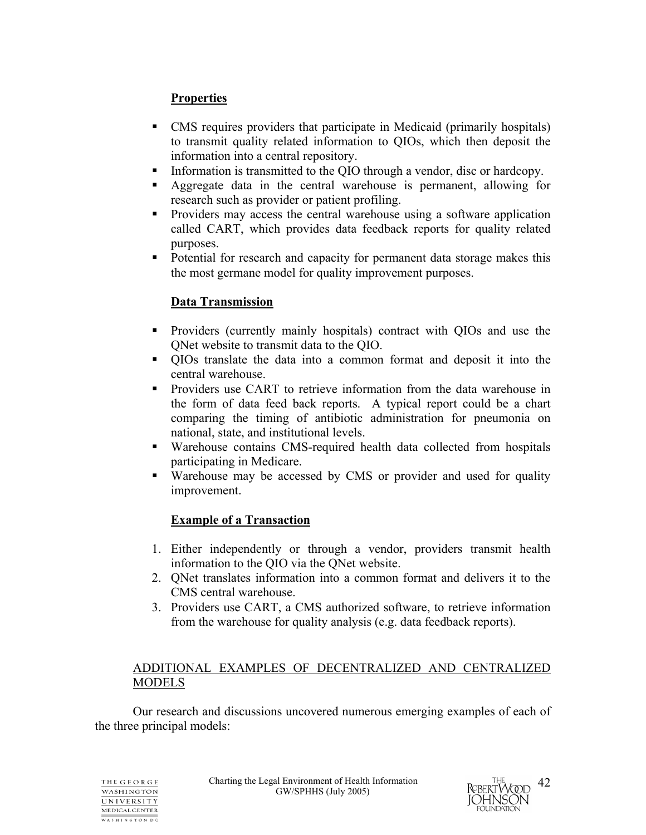## **Properties**

- CMS requires providers that participate in Medicaid (primarily hospitals) to transmit quality related information to QIOs, which then deposit the information into a central repository.
- Information is transmitted to the QIO through a vendor, disc or hardcopy.
- Aggregate data in the central warehouse is permanent, allowing for research such as provider or patient profiling.
- Providers may access the central warehouse using a software application called CART, which provides data feedback reports for quality related purposes.
- Potential for research and capacity for permanent data storage makes this the most germane model for quality improvement purposes.

## **Data Transmission**

- Providers (currently mainly hospitals) contract with QIOs and use the QNet website to transmit data to the QIO.
- QIOs translate the data into a common format and deposit it into the central warehouse.
- **Providers use CART to retrieve information from the data warehouse in** the form of data feed back reports. A typical report could be a chart comparing the timing of antibiotic administration for pneumonia on national, state, and institutional levels.
- Warehouse contains CMS-required health data collected from hospitals participating in Medicare.
- Warehouse may be accessed by CMS or provider and used for quality improvement.

## **Example of a Transaction**

- 1. Either independently or through a vendor, providers transmit health information to the QIO via the QNet website.
- 2. QNet translates information into a common format and delivers it to the CMS central warehouse.
- 3. Providers use CART, a CMS authorized software, to retrieve information from the warehouse for quality analysis (e.g. data feedback reports).

## ADDITIONAL EXAMPLES OF DECENTRALIZED AND CENTRALIZED MODELS

Our research and discussions uncovered numerous emerging examples of each of the three principal models:

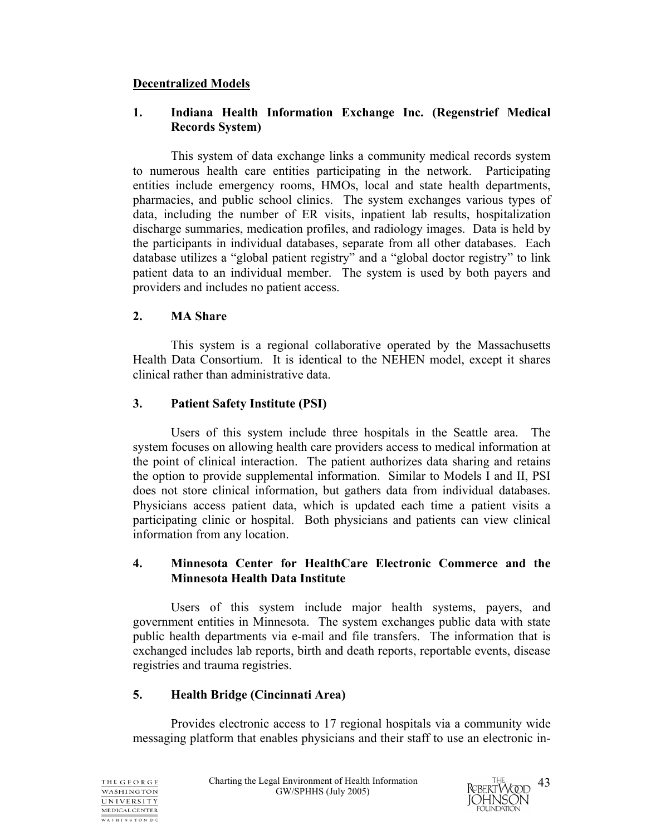## **Decentralized Models**

## **1. Indiana Health Information Exchange Inc. (Regenstrief Medical Records System)**

This system of data exchange links a community medical records system to numerous health care entities participating in the network. Participating entities include emergency rooms, HMOs, local and state health departments, pharmacies, and public school clinics. The system exchanges various types of data, including the number of ER visits, inpatient lab results, hospitalization discharge summaries, medication profiles, and radiology images. Data is held by the participants in individual databases, separate from all other databases. Each database utilizes a "global patient registry" and a "global doctor registry" to link patient data to an individual member. The system is used by both payers and providers and includes no patient access.

## **2. MA Share**

This system is a regional collaborative operated by the Massachusetts Health Data Consortium. It is identical to the NEHEN model, except it shares clinical rather than administrative data.

## **3. Patient Safety Institute (PSI)**

Users of this system include three hospitals in the Seattle area. The system focuses on allowing health care providers access to medical information at the point of clinical interaction. The patient authorizes data sharing and retains the option to provide supplemental information. Similar to Models I and II, PSI does not store clinical information, but gathers data from individual databases. Physicians access patient data, which is updated each time a patient visits a participating clinic or hospital. Both physicians and patients can view clinical information from any location.

### **4. Minnesota Center for HealthCare Electronic Commerce and the Minnesota Health Data Institute**

 Users of this system include major health systems, payers, and government entities in Minnesota. The system exchanges public data with state public health departments via e-mail and file transfers. The information that is exchanged includes lab reports, birth and death reports, reportable events, disease registries and trauma registries.

## **5. Health Bridge (Cincinnati Area)**

 Provides electronic access to 17 regional hospitals via a community wide messaging platform that enables physicians and their staff to use an electronic in-

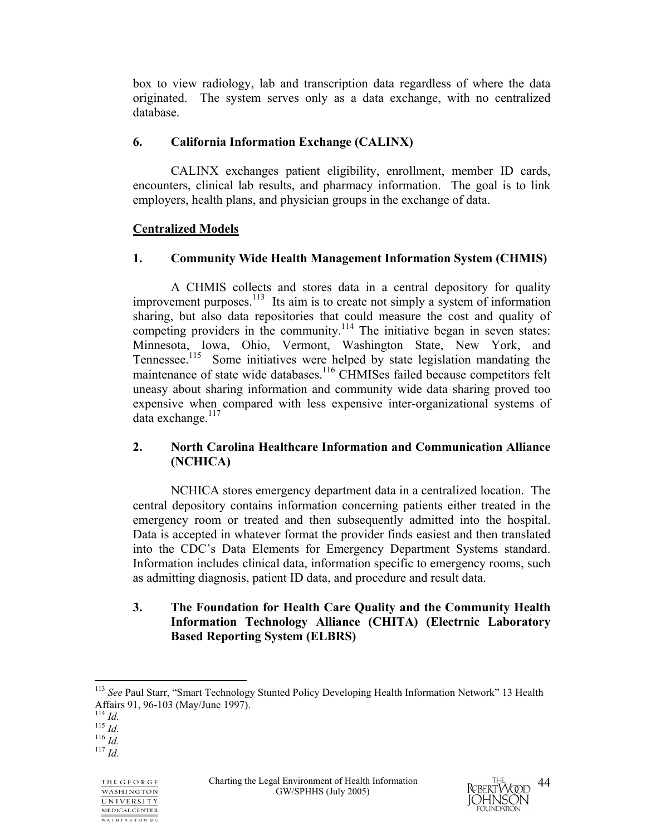box to view radiology, lab and transcription data regardless of where the data originated. The system serves only as a data exchange, with no centralized database.

## **6. California Information Exchange (CALINX)**

 CALINX exchanges patient eligibility, enrollment, member ID cards, encounters, clinical lab results, and pharmacy information. The goal is to link employers, health plans, and physician groups in the exchange of data.

## **Centralized Models**

## **1. Community Wide Health Management Information System (CHMIS)**

A CHMIS collects and stores data in a central depository for quality improvement purposes.<sup>113</sup> Its aim is to create not simply a system of information sharing, but also data repositories that could measure the cost and quality of competing providers in the community.<sup>114</sup> The initiative began in seven states: Minnesota, Iowa, Ohio, Vermont, Washington State, New York, and Tennessee.<sup>115</sup> Some initiatives were helped by state legislation mandating the maintenance of state wide databases.<sup>116</sup> CHMISes failed because competitors felt uneasy about sharing information and community wide data sharing proved too expensive when compared with less expensive inter-organizational systems of data exchange. $117$ 

## **2. North Carolina Healthcare Information and Communication Alliance (NCHICA)**

NCHICA stores emergency department data in a centralized location. The central depository contains information concerning patients either treated in the emergency room or treated and then subsequently admitted into the hospital. Data is accepted in whatever format the provider finds easiest and then translated into the CDC's Data Elements for Emergency Department Systems standard. Information includes clinical data, information specific to emergency rooms, such as admitting diagnosis, patient ID data, and procedure and result data.

## **3. The Foundation for Health Care Quality and the Community Health Information Technology Alliance (CHITA) (Electrnic Laboratory Based Reporting System (ELBRS)**



 $\overline{a}$ <sup>113</sup> See Paul Starr, "Smart Technology Stunted Policy Developing Health Information Network" 13 Health Affairs 91, 96-103 (May/June 1997).

<sup>114</sup> *Id.* 115 *Id.* 116 *Id.* 117 *Id.*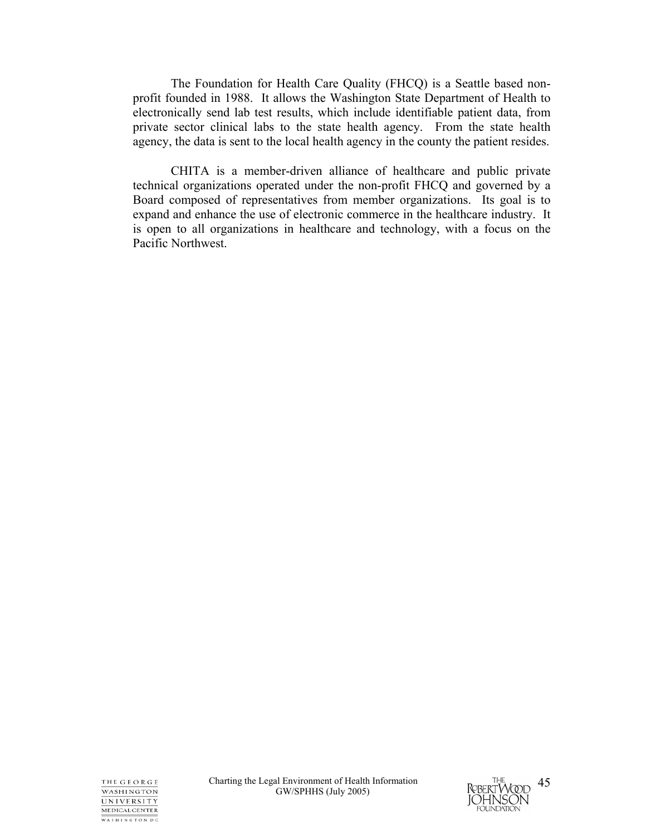The Foundation for Health Care Quality (FHCQ) is a Seattle based nonprofit founded in 1988. It allows the Washington State Department of Health to electronically send lab test results, which include identifiable patient data, from private sector clinical labs to the state health agency. From the state health agency, the data is sent to the local health agency in the county the patient resides.

 CHITA is a member-driven alliance of healthcare and public private technical organizations operated under the non-profit FHCQ and governed by a Board composed of representatives from member organizations. Its goal is to expand and enhance the use of electronic commerce in the healthcare industry. It is open to all organizations in healthcare and technology, with a focus on the Pacific Northwest.

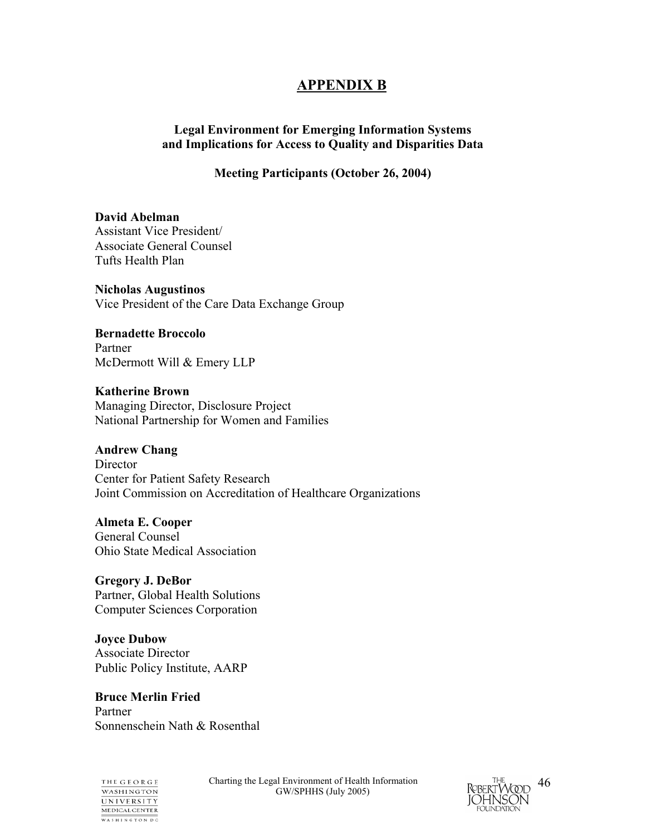## **APPENDIX B**

## **Legal Environment for Emerging Information Systems and Implications for Access to Quality and Disparities Data**

## **Meeting Participants (October 26, 2004)**

**David Abelman**  Assistant Vice President/ Associate General Counsel Tufts Health Plan

**Nicholas Augustinos**  Vice President of the Care Data Exchange Group

**Bernadette Broccolo**  Partner McDermott Will & Emery LLP

**Katherine Brown**  Managing Director, Disclosure Project National Partnership for Women and Families

**Andrew Chang** 

**Director** Center for Patient Safety Research Joint Commission on Accreditation of Healthcare Organizations

**Almeta E. Cooper**  General Counsel Ohio State Medical Association

**Gregory J. DeBor**  Partner, Global Health Solutions Computer Sciences Corporation

**Joyce Dubow**  Associate Director Public Policy Institute, AARP

**Bruce Merlin Fried**  Partner Sonnenschein Nath & Rosenthal

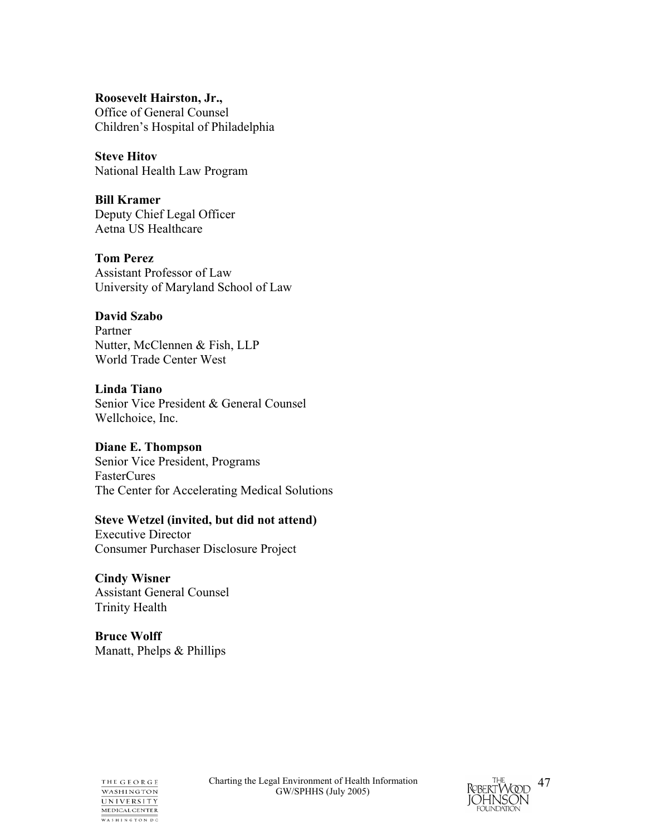**Roosevelt Hairston, Jr.,**  Office of General Counsel Children's Hospital of Philadelphia

**Steve Hitov**  National Health Law Program

**Bill Kramer**  Deputy Chief Legal Officer Aetna US Healthcare

**Tom Perez**  Assistant Professor of Law University of Maryland School of Law

## **David Szabo**

Partner Nutter, McClennen & Fish, LLP World Trade Center West

**Linda Tiano** 

Senior Vice President & General Counsel Wellchoice, Inc.

#### **Diane E. Thompson**

Senior Vice President, Programs FasterCures The Center for Accelerating Medical Solutions

#### **Steve Wetzel (invited, but did not attend)**

Executive Director Consumer Purchaser Disclosure Project

**Cindy Wisner**  Assistant General Counsel Trinity Health

**Bruce Wolff**  Manatt, Phelps & Phillips



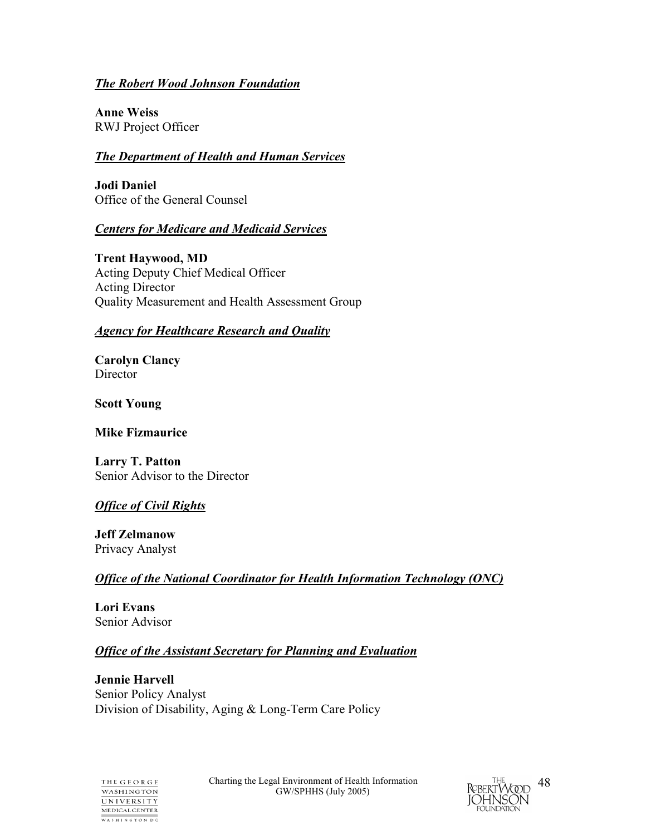## *The Robert Wood Johnson Foundation*

**Anne Weiss**  RWJ Project Officer

### *The Department of Health and Human Services*

**Jodi Daniel**  Office of the General Counsel

## *Centers for Medicare and Medicaid Services*

**Trent Haywood, MD**  Acting Deputy Chief Medical Officer Acting Director Quality Measurement and Health Assessment Group

## *Agency for Healthcare Research and Quality*

**Carolyn Clancy Director** 

**Scott Young** 

**Mike Fizmaurice** 

**Larry T. Patton**  Senior Advisor to the Director

## *Office of Civil Rights*

**Jeff Zelmanow**  Privacy Analyst

## *Office of the National Coordinator for Health Information Technology (ONC)*

**Lori Evans**  Senior Advisor

## *Office of the Assistant Secretary for Planning and Evaluation*

**Jennie Harvell**  Senior Policy Analyst Division of Disability, Aging & Long-Term Care Policy



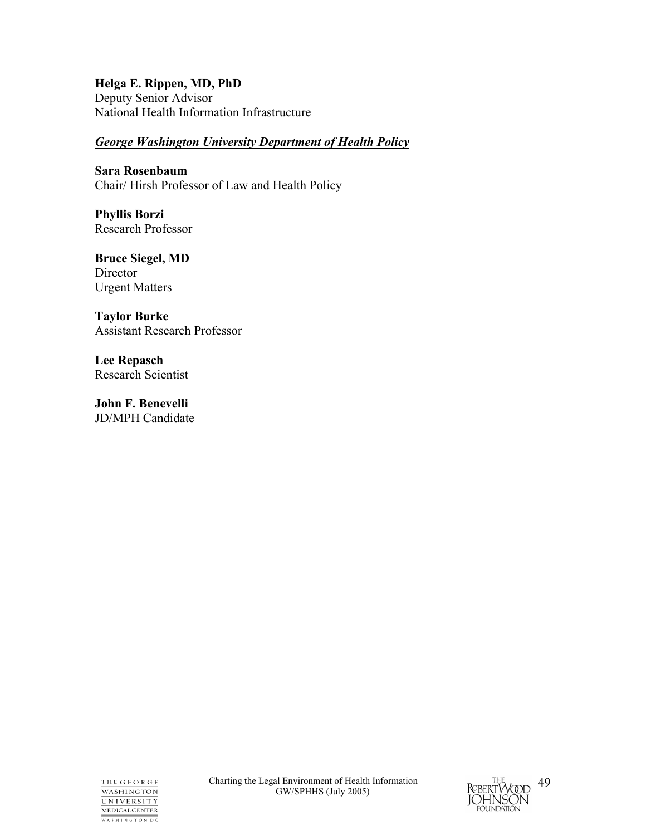### **Helga E. Rippen, MD, PhD**

Deputy Senior Advisor National Health Information Infrastructure

## *George Washington University Department of Health Policy*

**Sara Rosenbaum**  Chair/ Hirsh Professor of Law and Health Policy

**Phyllis Borzi** Research Professor

**Bruce Siegel, MD Director** Urgent Matters

**Taylor Burke**  Assistant Research Professor

**Lee Repasch**  Research Scientist

**John F. Benevelli**  JD/MPH Candidate

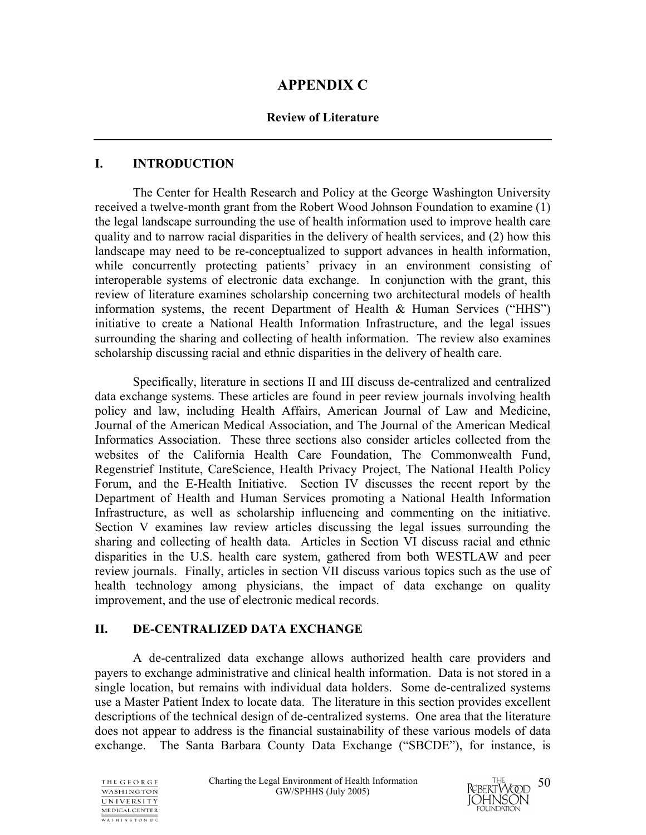## **APPENDIX C**

## **Review of Literature**

## **I. INTRODUCTION**

 The Center for Health Research and Policy at the George Washington University received a twelve-month grant from the Robert Wood Johnson Foundation to examine (1) the legal landscape surrounding the use of health information used to improve health care quality and to narrow racial disparities in the delivery of health services, and (2) how this landscape may need to be re-conceptualized to support advances in health information, while concurrently protecting patients' privacy in an environment consisting of interoperable systems of electronic data exchange. In conjunction with the grant, this review of literature examines scholarship concerning two architectural models of health information systems, the recent Department of Health & Human Services ("HHS") initiative to create a National Health Information Infrastructure, and the legal issues surrounding the sharing and collecting of health information. The review also examines scholarship discussing racial and ethnic disparities in the delivery of health care.

 Specifically, literature in sections II and III discuss de-centralized and centralized data exchange systems. These articles are found in peer review journals involving health policy and law, including Health Affairs, American Journal of Law and Medicine, Journal of the American Medical Association, and The Journal of the American Medical Informatics Association. These three sections also consider articles collected from the websites of the California Health Care Foundation, The Commonwealth Fund, Regenstrief Institute, CareScience, Health Privacy Project, The National Health Policy Forum, and the E-Health Initiative. Section IV discusses the recent report by the Department of Health and Human Services promoting a National Health Information Infrastructure, as well as scholarship influencing and commenting on the initiative. Section V examines law review articles discussing the legal issues surrounding the sharing and collecting of health data. Articles in Section VI discuss racial and ethnic disparities in the U.S. health care system, gathered from both WESTLAW and peer review journals. Finally, articles in section VII discuss various topics such as the use of health technology among physicians, the impact of data exchange on quality improvement, and the use of electronic medical records.

## **II. DE-CENTRALIZED DATA EXCHANGE**

 A de-centralized data exchange allows authorized health care providers and payers to exchange administrative and clinical health information. Data is not stored in a single location, but remains with individual data holders. Some de-centralized systems use a Master Patient Index to locate data. The literature in this section provides excellent descriptions of the technical design of de-centralized systems. One area that the literature does not appear to address is the financial sustainability of these various models of data exchange. The Santa Barbara County Data Exchange ("SBCDE"), for instance, is



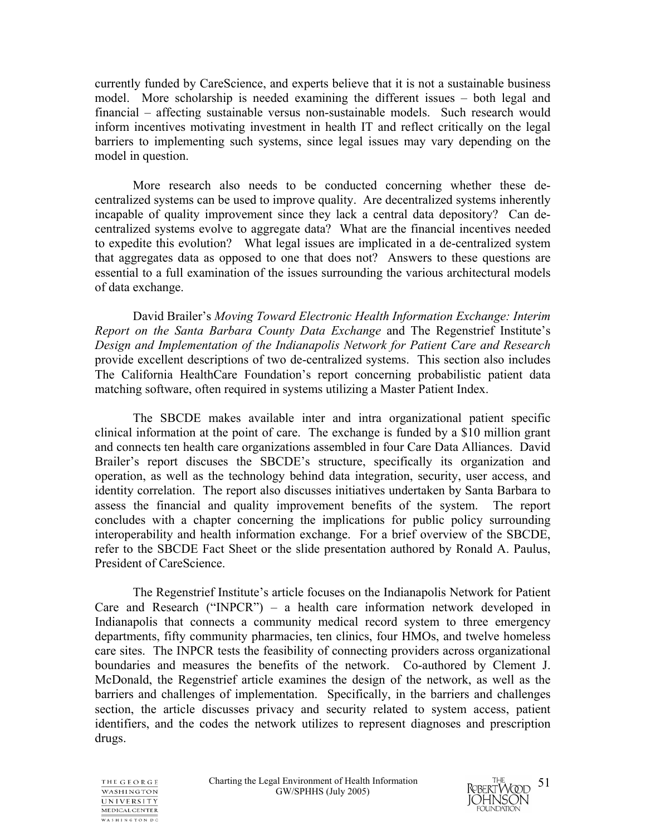currently funded by CareScience, and experts believe that it is not a sustainable business model. More scholarship is needed examining the different issues – both legal and financial – affecting sustainable versus non-sustainable models. Such research would inform incentives motivating investment in health IT and reflect critically on the legal barriers to implementing such systems, since legal issues may vary depending on the model in question.

More research also needs to be conducted concerning whether these decentralized systems can be used to improve quality. Are decentralized systems inherently incapable of quality improvement since they lack a central data depository? Can decentralized systems evolve to aggregate data? What are the financial incentives needed to expedite this evolution? What legal issues are implicated in a de-centralized system that aggregates data as opposed to one that does not? Answers to these questions are essential to a full examination of the issues surrounding the various architectural models of data exchange.

David Brailer's *Moving Toward Electronic Health Information Exchange: Interim Report on the Santa Barbara County Data Exchange* and The Regenstrief Institute's *Design and Implementation of the Indianapolis Network for Patient Care and Research* provide excellent descriptions of two de-centralized systems. This section also includes The California HealthCare Foundation's report concerning probabilistic patient data matching software, often required in systems utilizing a Master Patient Index.

The SBCDE makes available inter and intra organizational patient specific clinical information at the point of care. The exchange is funded by a \$10 million grant and connects ten health care organizations assembled in four Care Data Alliances. David Brailer's report discuses the SBCDE's structure, specifically its organization and operation, as well as the technology behind data integration, security, user access, and identity correlation. The report also discusses initiatives undertaken by Santa Barbara to assess the financial and quality improvement benefits of the system. The report concludes with a chapter concerning the implications for public policy surrounding interoperability and health information exchange. For a brief overview of the SBCDE, refer to the SBCDE Fact Sheet or the slide presentation authored by Ronald A. Paulus, President of CareScience.

The Regenstrief Institute's article focuses on the Indianapolis Network for Patient Care and Research ("INPCR") – a health care information network developed in Indianapolis that connects a community medical record system to three emergency departments, fifty community pharmacies, ten clinics, four HMOs, and twelve homeless care sites. The INPCR tests the feasibility of connecting providers across organizational boundaries and measures the benefits of the network. Co-authored by Clement J. McDonald, the Regenstrief article examines the design of the network, as well as the barriers and challenges of implementation. Specifically, in the barriers and challenges section, the article discusses privacy and security related to system access, patient identifiers, and the codes the network utilizes to represent diagnoses and prescription drugs.



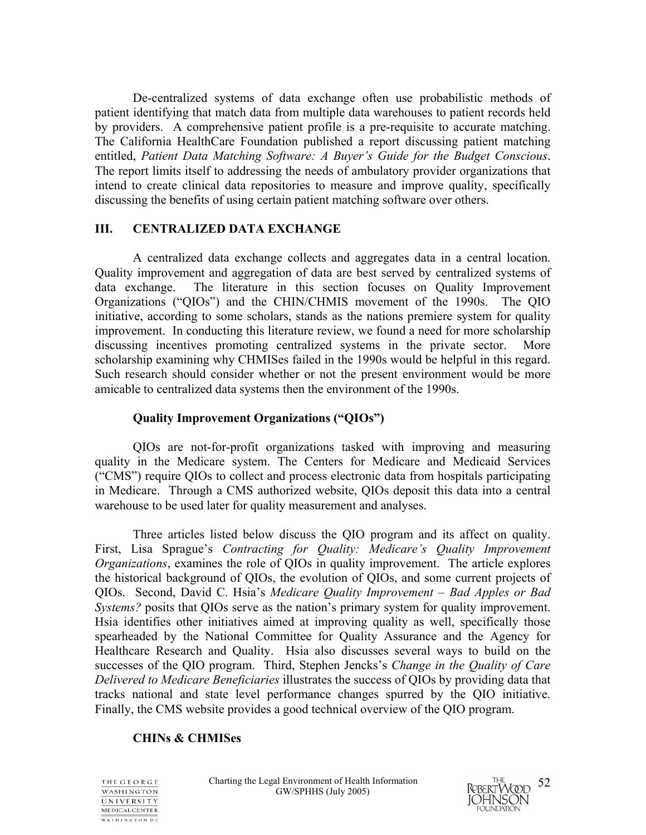De-centralized systems of data exchange often use probabilistic methods of patient identifying that match data from multiple data warehouses to patient records held by providers. A comprehensive patient profile is a pre-requisite to accurate matching. The California HealthCare Foundation published a report discussing patient matching entitled, *Patient Data Matching Software: A Buyer's Guide for the Budget Conscious*. The report limits itself to addressing the needs of ambulatory provider organizations that intend to create clinical data repositories to measure and improve quality, specifically discussing the benefits of using certain patient matching software over others.

### **III. CENTRALIZED DATA EXCHANGE**

A centralized data exchange collects and aggregates data in a central location. Quality improvement and aggregation of data are best served by centralized systems of data exchange. The literature in this section focuses on Quality Improvement Organizations ("QIOs") and the CHIN/CHMIS movement of the 1990s. The QIO initiative, according to some scholars, stands as the nations premiere system for quality improvement. In conducting this literature review, we found a need for more scholarship discussing incentives promoting centralized systems in the private sector. More scholarship examining why CHMISes failed in the 1990s would be helpful in this regard. Such research should consider whether or not the present environment would be more amicable to centralized data systems then the environment of the 1990s.

### **Quality Improvement Organizations ("QIOs")**

 QIOs are not-for-profit organizations tasked with improving and measuring quality in the Medicare system. The Centers for Medicare and Medicaid Services ("CMS") require QIOs to collect and process electronic data from hospitals participating in Medicare. Through a CMS authorized website, QIOs deposit this data into a central warehouse to be used later for quality measurement and analyses.

Three articles listed below discuss the QIO program and its affect on quality. First, Lisa Sprague's *Contracting for Quality: Medicare's Quality Improvement Organizations*, examines the role of QIOs in quality improvement. The article explores the historical background of QIOs, the evolution of QIOs, and some current projects of QIOs. Second, David C. Hsia's *Medicare Quality Improvement – Bad Apples or Bad Systems?* posits that QIOs serve as the nation's primary system for quality improvement. Hsia identifies other initiatives aimed at improving quality as well, specifically those spearheaded by the National Committee for Quality Assurance and the Agency for Healthcare Research and Quality. Hsia also discusses several ways to build on the successes of the QIO program. Third, Stephen Jencks's *Change in the Quality of Care Delivered to Medicare Beneficiaries* illustrates the success of QIOs by providing data that tracks national and state level performance changes spurred by the QIO initiative. Finally, the CMS website provides a good technical overview of the QIO program.

#### **CHINs & CHMISes**



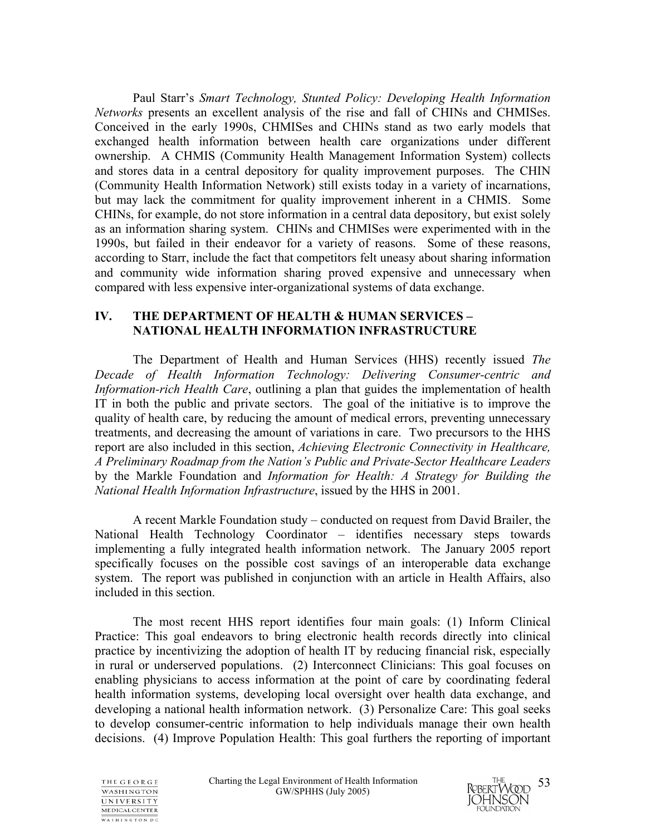Paul Starr's *Smart Technology, Stunted Policy: Developing Health Information Networks* presents an excellent analysis of the rise and fall of CHINs and CHMISes. Conceived in the early 1990s, CHMISes and CHINs stand as two early models that exchanged health information between health care organizations under different ownership. A CHMIS (Community Health Management Information System) collects and stores data in a central depository for quality improvement purposes. The CHIN (Community Health Information Network) still exists today in a variety of incarnations, but may lack the commitment for quality improvement inherent in a CHMIS. Some CHINs, for example, do not store information in a central data depository, but exist solely as an information sharing system. CHINs and CHMISes were experimented with in the 1990s, but failed in their endeavor for a variety of reasons. Some of these reasons, according to Starr, include the fact that competitors felt uneasy about sharing information and community wide information sharing proved expensive and unnecessary when compared with less expensive inter-organizational systems of data exchange.

## **IV. THE DEPARTMENT OF HEALTH & HUMAN SERVICES – NATIONAL HEALTH INFORMATION INFRASTRUCTURE**

The Department of Health and Human Services (HHS) recently issued *The Decade of Health Information Technology: Delivering Consumer-centric and Information-rich Health Care*, outlining a plan that guides the implementation of health IT in both the public and private sectors. The goal of the initiative is to improve the quality of health care, by reducing the amount of medical errors, preventing unnecessary treatments, and decreasing the amount of variations in care. Two precursors to the HHS report are also included in this section, *Achieving Electronic Connectivity in Healthcare, A Preliminary Roadmap from the Nation's Public and Private-Sector Healthcare Leaders* by the Markle Foundation and *Information for Health: A Strategy for Building the National Health Information Infrastructure*, issued by the HHS in 2001.

A recent Markle Foundation study – conducted on request from David Brailer, the National Health Technology Coordinator – identifies necessary steps towards implementing a fully integrated health information network. The January 2005 report specifically focuses on the possible cost savings of an interoperable data exchange system. The report was published in conjunction with an article in Health Affairs, also included in this section.

The most recent HHS report identifies four main goals: (1) Inform Clinical Practice: This goal endeavors to bring electronic health records directly into clinical practice by incentivizing the adoption of health IT by reducing financial risk, especially in rural or underserved populations. (2) Interconnect Clinicians: This goal focuses on enabling physicians to access information at the point of care by coordinating federal health information systems, developing local oversight over health data exchange, and developing a national health information network. (3) Personalize Care: This goal seeks to develop consumer-centric information to help individuals manage their own health decisions. (4) Improve Population Health: This goal furthers the reporting of important



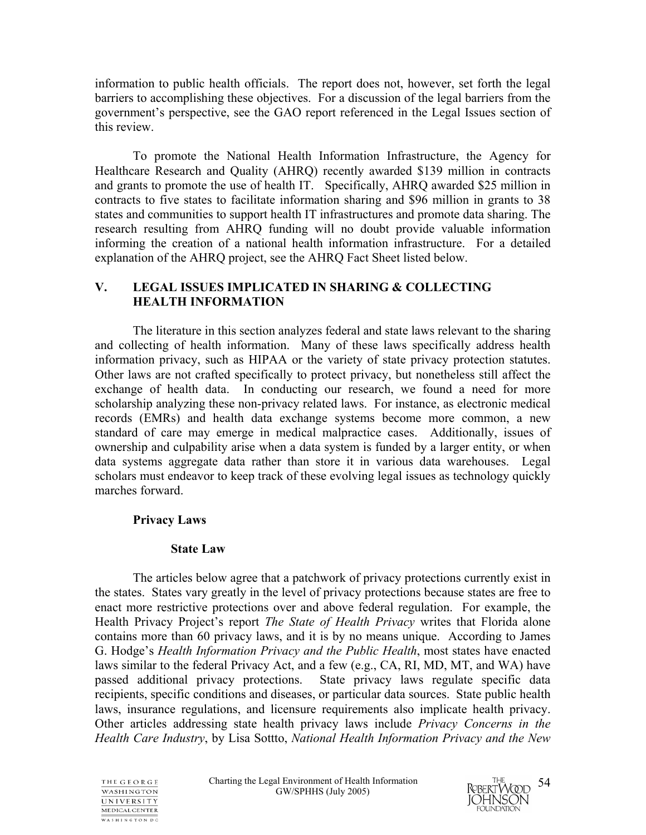information to public health officials. The report does not, however, set forth the legal barriers to accomplishing these objectives. For a discussion of the legal barriers from the government's perspective, see the GAO report referenced in the Legal Issues section of this review.

 To promote the National Health Information Infrastructure, the Agency for Healthcare Research and Quality (AHRQ) recently awarded \$139 million in contracts and grants to promote the use of health IT. Specifically, AHRQ awarded \$25 million in contracts to five states to facilitate information sharing and \$96 million in grants to 38 states and communities to support health IT infrastructures and promote data sharing. The research resulting from AHRQ funding will no doubt provide valuable information informing the creation of a national health information infrastructure. For a detailed explanation of the AHRQ project, see the AHRQ Fact Sheet listed below.

## **V. LEGAL ISSUES IMPLICATED IN SHARING & COLLECTING HEALTH INFORMATION**

The literature in this section analyzes federal and state laws relevant to the sharing and collecting of health information. Many of these laws specifically address health information privacy, such as HIPAA or the variety of state privacy protection statutes. Other laws are not crafted specifically to protect privacy, but nonetheless still affect the exchange of health data. In conducting our research, we found a need for more scholarship analyzing these non-privacy related laws. For instance, as electronic medical records (EMRs) and health data exchange systems become more common, a new standard of care may emerge in medical malpractice cases. Additionally, issues of ownership and culpability arise when a data system is funded by a larger entity, or when data systems aggregate data rather than store it in various data warehouses. Legal scholars must endeavor to keep track of these evolving legal issues as technology quickly marches forward.

## **Privacy Laws**

## **State Law**

The articles below agree that a patchwork of privacy protections currently exist in the states. States vary greatly in the level of privacy protections because states are free to enact more restrictive protections over and above federal regulation. For example, the Health Privacy Project's report *The State of Health Privacy* writes that Florida alone contains more than 60 privacy laws, and it is by no means unique. According to James G. Hodge's *Health Information Privacy and the Public Health*, most states have enacted laws similar to the federal Privacy Act, and a few (e.g., CA, RI, MD, MT, and WA) have passed additional privacy protections. State privacy laws regulate specific data recipients, specific conditions and diseases, or particular data sources. State public health laws, insurance regulations, and licensure requirements also implicate health privacy. Other articles addressing state health privacy laws include *Privacy Concerns in the Health Care Industry*, by Lisa Sottto, *National Health Information Privacy and the New* 



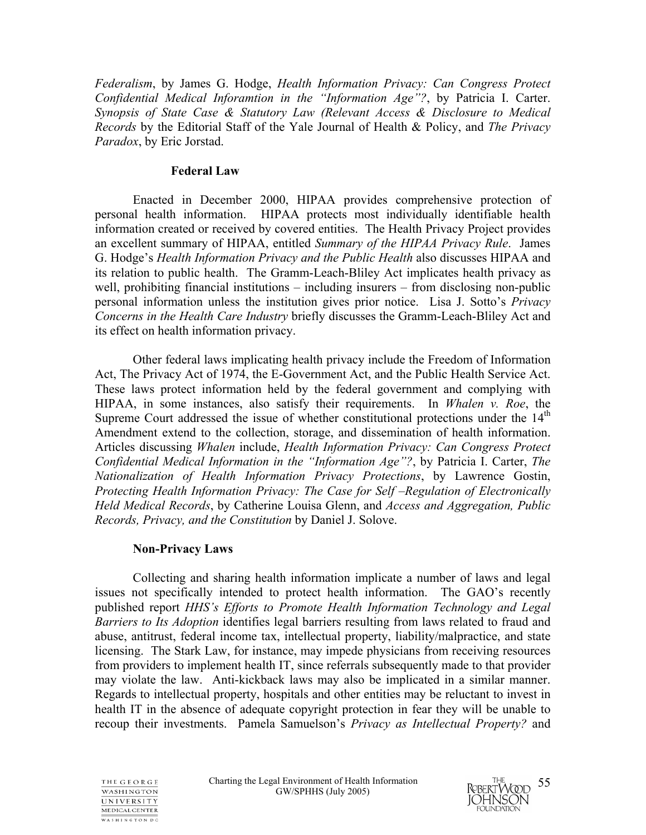*Federalism*, by James G. Hodge, *Health Information Privacy: Can Congress Protect Confidential Medical Inforamtion in the "Information Age"?*, by Patricia I. Carter. *Synopsis of State Case & Statutory Law (Relevant Access & Disclosure to Medical Records* by the Editorial Staff of the Yale Journal of Health & Policy, and *The Privacy Paradox*, by Eric Jorstad.

#### **Federal Law**

Enacted in December 2000, HIPAA provides comprehensive protection of personal health information. HIPAA protects most individually identifiable health information created or received by covered entities. The Health Privacy Project provides an excellent summary of HIPAA, entitled *Summary of the HIPAA Privacy Rule*. James G. Hodge's *Health Information Privacy and the Public Health* also discusses HIPAA and its relation to public health. The Gramm-Leach-Bliley Act implicates health privacy as well, prohibiting financial institutions – including insurers – from disclosing non-public personal information unless the institution gives prior notice. Lisa J. Sotto's *Privacy Concerns in the Health Care Industry* briefly discusses the Gramm-Leach-Bliley Act and its effect on health information privacy.

Other federal laws implicating health privacy include the Freedom of Information Act, The Privacy Act of 1974, the E-Government Act, and the Public Health Service Act. These laws protect information held by the federal government and complying with HIPAA, in some instances, also satisfy their requirements. In *Whalen v. Roe*, the Supreme Court addressed the issue of whether constitutional protections under the  $14<sup>th</sup>$ Amendment extend to the collection, storage, and dissemination of health information. Articles discussing *Whalen* include, *Health Information Privacy: Can Congress Protect Confidential Medical Information in the "Information Age"?*, by Patricia I. Carter, *The Nationalization of Health Information Privacy Protections*, by Lawrence Gostin, *Protecting Health Information Privacy: The Case for Self –Regulation of Electronically Held Medical Records*, by Catherine Louisa Glenn, and *Access and Aggregation, Public Records, Privacy, and the Constitution* by Daniel J. Solove.

#### **Non-Privacy Laws**

Collecting and sharing health information implicate a number of laws and legal issues not specifically intended to protect health information. The GAO's recently published report *HHS's Efforts to Promote Health Information Technology and Legal Barriers to Its Adoption* identifies legal barriers resulting from laws related to fraud and abuse, antitrust, federal income tax, intellectual property, liability/malpractice, and state licensing. The Stark Law, for instance, may impede physicians from receiving resources from providers to implement health IT, since referrals subsequently made to that provider may violate the law. Anti-kickback laws may also be implicated in a similar manner. Regards to intellectual property, hospitals and other entities may be reluctant to invest in health IT in the absence of adequate copyright protection in fear they will be unable to recoup their investments. Pamela Samuelson's *Privacy as Intellectual Property?* and



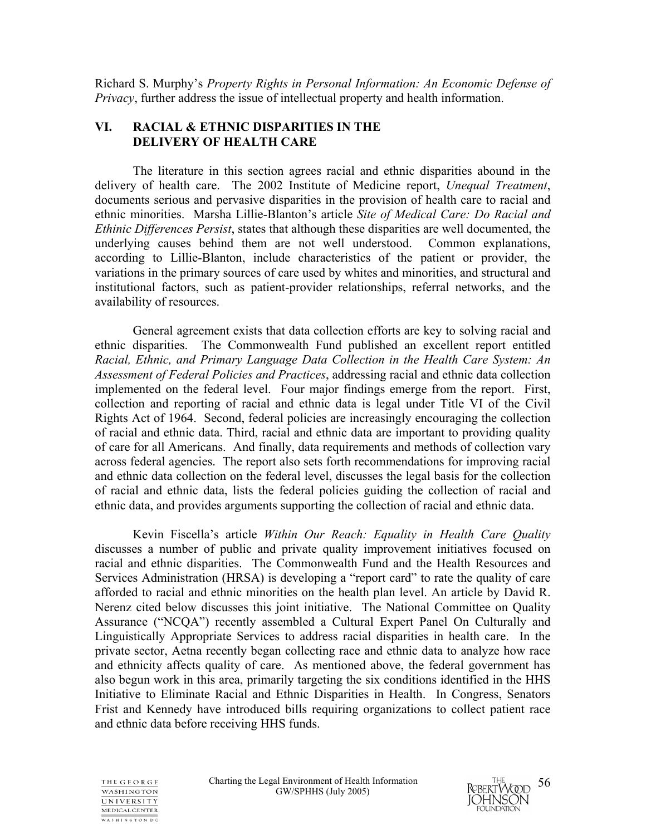Richard S. Murphy's *Property Rights in Personal Information: An Economic Defense of Privacy*, further address the issue of intellectual property and health information.

### **VI. RACIAL & ETHNIC DISPARITIES IN THE DELIVERY OF HEALTH CARE**

 The literature in this section agrees racial and ethnic disparities abound in the delivery of health care. The 2002 Institute of Medicine report, *Unequal Treatment*, documents serious and pervasive disparities in the provision of health care to racial and ethnic minorities. Marsha Lillie-Blanton's article *Site of Medical Care: Do Racial and Ethinic Differences Persist*, states that although these disparities are well documented, the underlying causes behind them are not well understood. Common explanations, according to Lillie-Blanton, include characteristics of the patient or provider, the variations in the primary sources of care used by whites and minorities, and structural and institutional factors, such as patient-provider relationships, referral networks, and the availability of resources.

General agreement exists that data collection efforts are key to solving racial and ethnic disparities. The Commonwealth Fund published an excellent report entitled *Racial, Ethnic, and Primary Language Data Collection in the Health Care System: An Assessment of Federal Policies and Practices*, addressing racial and ethnic data collection implemented on the federal level. Four major findings emerge from the report. First, collection and reporting of racial and ethnic data is legal under Title VI of the Civil Rights Act of 1964. Second, federal policies are increasingly encouraging the collection of racial and ethnic data. Third, racial and ethnic data are important to providing quality of care for all Americans. And finally, data requirements and methods of collection vary across federal agencies. The report also sets forth recommendations for improving racial and ethnic data collection on the federal level, discusses the legal basis for the collection of racial and ethnic data, lists the federal policies guiding the collection of racial and ethnic data, and provides arguments supporting the collection of racial and ethnic data.

Kevin Fiscella's article *Within Our Reach: Equality in Health Care Quality* discusses a number of public and private quality improvement initiatives focused on racial and ethnic disparities. The Commonwealth Fund and the Health Resources and Services Administration (HRSA) is developing a "report card" to rate the quality of care afforded to racial and ethnic minorities on the health plan level. An article by David R. Nerenz cited below discusses this joint initiative. The National Committee on Quality Assurance ("NCQA") recently assembled a Cultural Expert Panel On Culturally and Linguistically Appropriate Services to address racial disparities in health care. In the private sector, Aetna recently began collecting race and ethnic data to analyze how race and ethnicity affects quality of care. As mentioned above, the federal government has also begun work in this area, primarily targeting the six conditions identified in the HHS Initiative to Eliminate Racial and Ethnic Disparities in Health. In Congress, Senators Frist and Kennedy have introduced bills requiring organizations to collect patient race and ethnic data before receiving HHS funds.



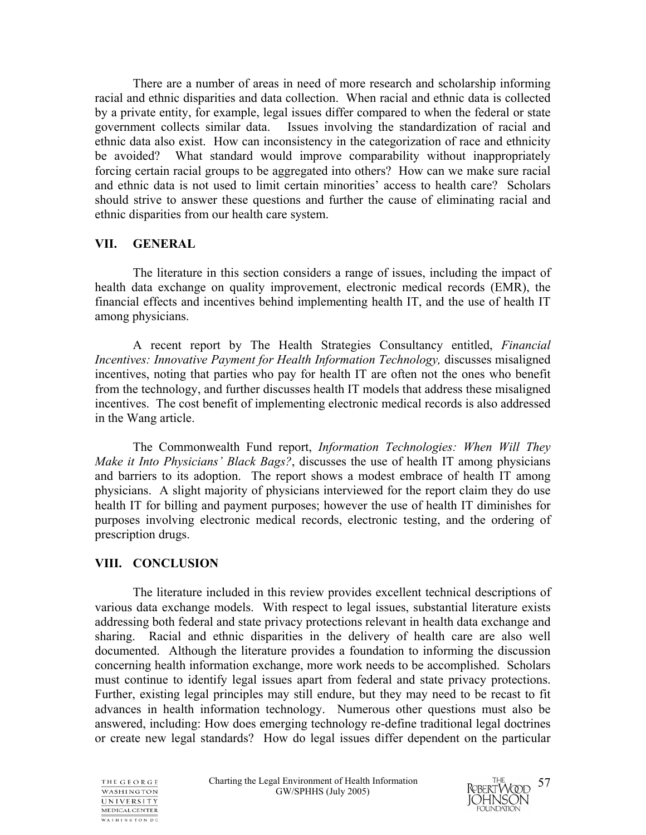There are a number of areas in need of more research and scholarship informing racial and ethnic disparities and data collection. When racial and ethnic data is collected by a private entity, for example, legal issues differ compared to when the federal or state government collects similar data. Issues involving the standardization of racial and ethnic data also exist. How can inconsistency in the categorization of race and ethnicity be avoided? What standard would improve comparability without inappropriately forcing certain racial groups to be aggregated into others? How can we make sure racial and ethnic data is not used to limit certain minorities' access to health care? Scholars should strive to answer these questions and further the cause of eliminating racial and ethnic disparities from our health care system.

## **VII. GENERAL**

 The literature in this section considers a range of issues, including the impact of health data exchange on quality improvement, electronic medical records (EMR), the financial effects and incentives behind implementing health IT, and the use of health IT among physicians.

A recent report by The Health Strategies Consultancy entitled, *Financial Incentives: Innovative Payment for Health Information Technology,* discusses misaligned incentives, noting that parties who pay for health IT are often not the ones who benefit from the technology, and further discusses health IT models that address these misaligned incentives. The cost benefit of implementing electronic medical records is also addressed in the Wang article.

The Commonwealth Fund report, *Information Technologies: When Will They Make it Into Physicians' Black Bags?*, discusses the use of health IT among physicians and barriers to its adoption. The report shows a modest embrace of health IT among physicians. A slight majority of physicians interviewed for the report claim they do use health IT for billing and payment purposes; however the use of health IT diminishes for purposes involving electronic medical records, electronic testing, and the ordering of prescription drugs.

## **VIII. CONCLUSION**

The literature included in this review provides excellent technical descriptions of various data exchange models. With respect to legal issues, substantial literature exists addressing both federal and state privacy protections relevant in health data exchange and sharing. Racial and ethnic disparities in the delivery of health care are also well documented. Although the literature provides a foundation to informing the discussion concerning health information exchange, more work needs to be accomplished. Scholars must continue to identify legal issues apart from federal and state privacy protections. Further, existing legal principles may still endure, but they may need to be recast to fit advances in health information technology. Numerous other questions must also be answered, including: How does emerging technology re-define traditional legal doctrines or create new legal standards? How do legal issues differ dependent on the particular



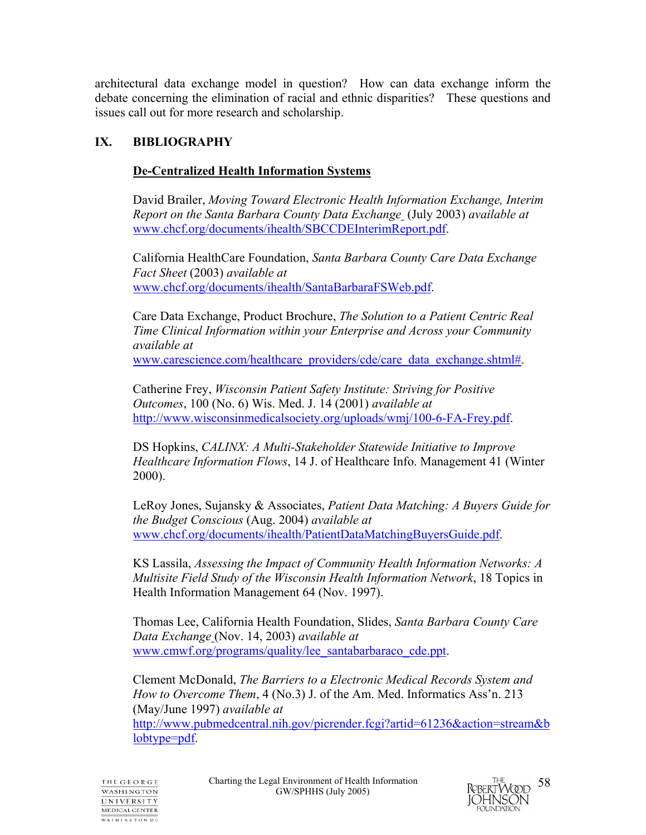architectural data exchange model in question? How can data exchange inform the debate concerning the elimination of racial and ethnic disparities? These questions and issues call out for more research and scholarship.

## **IX. BIBLIOGRAPHY**

## **De-Centralized Health Information Systems**

David Brailer, *Moving Toward Electronic Health Information Exchange, Interim Report on the Santa Barbara County Data Exchange* (July 2003) *available at*  www.chcf.org/documents/ihealth/SBCCDEInterimReport.pdf.

California HealthCare Foundation, *Santa Barbara County Care Data Exchange Fact Sheet* (2003) *available at*  www.chcf.org/documents/ihealth/SantaBarbaraFSWeb.pdf.

Care Data Exchange, Product Brochure, *The Solution to a Patient Centric Real Time Clinical Information within your Enterprise and Across your Community available at* www.carescience.com/healthcare\_providers/cde/care\_data\_exchange.shtml#.

Catherine Frey, *Wisconsin Patient Safety Institute: Striving for Positive Outcomes*, 100 (No. 6) Wis. Med. J. 14 (2001) *available at* http://www.wisconsinmedicalsociety.org/uploads/wmj/100-6-FA-Frey.pdf.

DS Hopkins, *CALINX: A Multi-Stakeholder Statewide Initiative to Improve Healthcare Information Flows*, 14 J. of Healthcare Info. Management 41 (Winter 2000).

LeRoy Jones, Sujansky & Associates, *Patient Data Matching: A Buyers Guide for the Budget Conscious* (Aug. 2004) *available at*  www.chcf.org/documents/ihealth/PatientDataMatchingBuyersGuide.pdf.

KS Lassila, *Assessing the Impact of Community Health Information Networks: A Multisite Field Study of the Wisconsin Health Information Network*, 18 Topics in Health Information Management 64 (Nov. 1997).

Thomas Lee, California Health Foundation, Slides, *Santa Barbara County Care Data Exchange* (Nov. 14, 2003) *available at*  www.cmwf.org/programs/quality/lee\_santabarbaraco\_cde.ppt.

Clement McDonald, *The Barriers to a Electronic Medical Records System and How to Overcome Them*, 4 (No.3) J. of the Am. Med. Informatics Ass'n. 213 (May/June 1997) *available at* 

http://www.pubmedcentral.nih.gov/picrender.fcgi?artid=61236&action=stream&b lobtype=pdf.



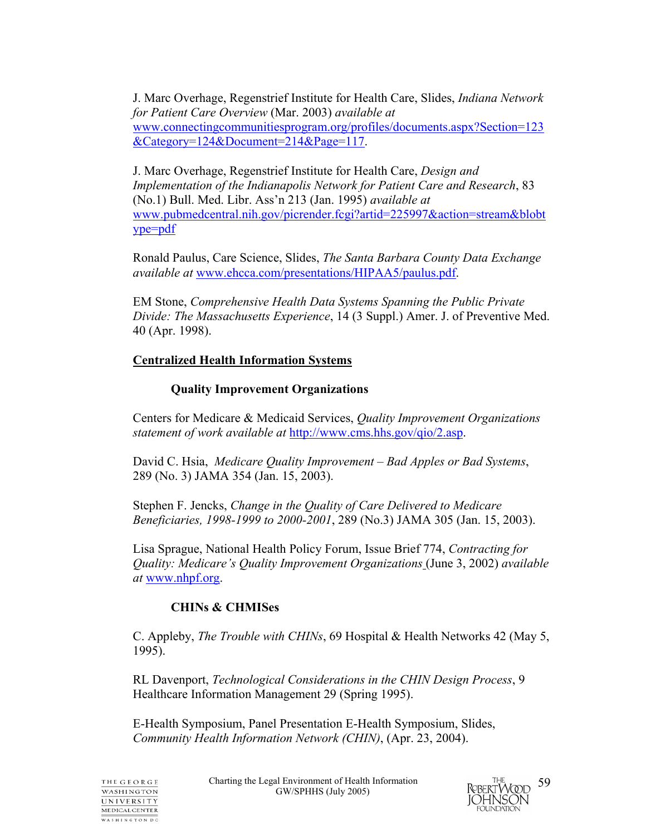J. Marc Overhage, Regenstrief Institute for Health Care, Slides, *Indiana Network for Patient Care Overview* (Mar. 2003) *available at* www.connectingcommunitiesprogram.org/profiles/documents.aspx?Section=123 &Category=124&Document=214&Page=117.

J. Marc Overhage, Regenstrief Institute for Health Care, *Design and Implementation of the Indianapolis Network for Patient Care and Research*, 83 (No.1) Bull. Med. Libr. Ass'n 213 (Jan. 1995) *available at*  www.pubmedcentral.nih.gov/picrender.fcgi?artid=225997&action=stream&blobt ype=pdf

Ronald Paulus, Care Science, Slides, *The Santa Barbara County Data Exchange available at* www.ehcca.com/presentations/HIPAA5/paulus.pdf.

EM Stone, *Comprehensive Health Data Systems Spanning the Public Private Divide: The Massachusetts Experience*, 14 (3 Suppl.) Amer. J. of Preventive Med. 40 (Apr. 1998).

## **Centralized Health Information Systems**

## **Quality Improvement Organizations**

Centers for Medicare & Medicaid Services, *Quality Improvement Organizations statement of work available at* http://www.cms.hhs.gov/qio/2.asp.

David C. Hsia, *Medicare Quality Improvement – Bad Apples or Bad Systems*, 289 (No. 3) JAMA 354 (Jan. 15, 2003).

Stephen F. Jencks, *Change in the Quality of Care Delivered to Medicare Beneficiaries, 1998-1999 to 2000-2001*, 289 (No.3) JAMA 305 (Jan. 15, 2003).

Lisa Sprague, National Health Policy Forum, Issue Brief 774, *Contracting for Quality: Medicare's Quality Improvement Organizations* (June 3, 2002) *available at* www.nhpf.org.

## **CHINs & CHMISes**

C. Appleby, *The Trouble with CHINs*, 69 Hospital & Health Networks 42 (May 5, 1995).

RL Davenport, *Technological Considerations in the CHIN Design Process*, 9 Healthcare Information Management 29 (Spring 1995).

E-Health Symposium, Panel Presentation E-Health Symposium, Slides, *Community Health Information Network (CHIN)*, (Apr. 23, 2004).

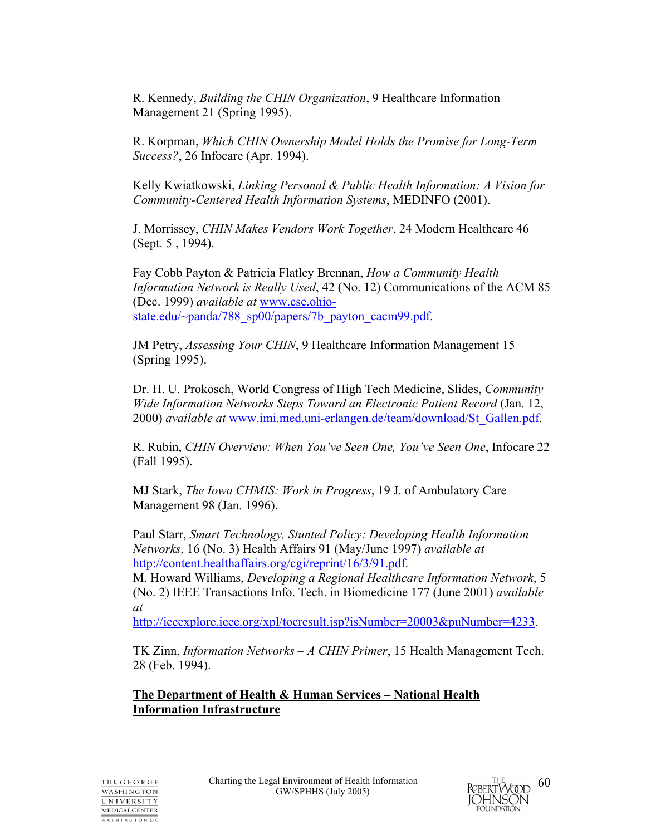R. Kennedy, *Building the CHIN Organization*, 9 Healthcare Information Management 21 (Spring 1995).

R. Korpman, *Which CHIN Ownership Model Holds the Promise for Long-Term Success?*, 26 Infocare (Apr. 1994).

Kelly Kwiatkowski, *Linking Personal & Public Health Information: A Vision for Community-Centered Health Information Systems*, MEDINFO (2001).

J. Morrissey, *CHIN Makes Vendors Work Together*, 24 Modern Healthcare 46 (Sept. 5 , 1994).

Fay Cobb Payton & Patricia Flatley Brennan, *How a Community Health Information Network is Really Used*, 42 (No. 12) Communications of the ACM 85 (Dec. 1999) *available at* www.cse.ohiostate.edu/~panda/788\_sp00/papers/7b\_payton\_cacm99.pdf.

JM Petry, *Assessing Your CHIN*, 9 Healthcare Information Management 15 (Spring 1995).

Dr. H. U. Prokosch, World Congress of High Tech Medicine, Slides, *Community Wide Information Networks Steps Toward an Electronic Patient Record* (Jan. 12, 2000) *available at* www.imi.med.uni-erlangen.de/team/download/St\_Gallen.pdf.

R. Rubin, *CHIN Overview: When You've Seen One, You've Seen One*, Infocare 22 (Fall 1995).

MJ Stark, *The Iowa CHMIS: Work in Progress*, 19 J. of Ambulatory Care Management 98 (Jan. 1996).

Paul Starr, *Smart Technology, Stunted Policy: Developing Health Information Networks*, 16 (No. 3) Health Affairs 91 (May/June 1997) *available at* http://content.healthaffairs.org/cgi/reprint/16/3/91.pdf.

M. Howard Williams, *Developing a Regional Healthcare Information Network*, 5 (No. 2) IEEE Transactions Info. Tech. in Biomedicine 177 (June 2001) *available at*

http://ieeexplore.ieee.org/xpl/tocresult.jsp?isNumber=20003&puNumber=4233.

TK Zinn, *Information Networks – A CHIN Primer*, 15 Health Management Tech. 28 (Feb. 1994).

**The Department of Health & Human Services – National Health Information Infrastructure**

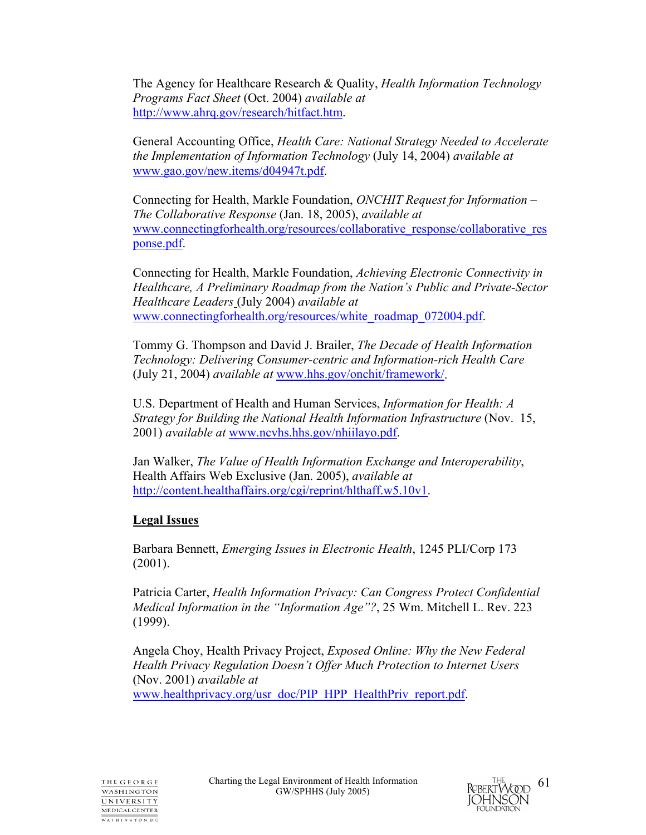The Agency for Healthcare Research & Quality, *Health Information Technology Programs Fact Sheet* (Oct. 2004) *available at*  http://www.ahrq.gov/research/hitfact.htm.

General Accounting Office, *Health Care: National Strategy Needed to Accelerate the Implementation of Information Technology* (July 14, 2004) *available at* www.gao.gov/new.items/d04947t.pdf.

Connecting for Health, Markle Foundation, *ONCHIT Request for Information – The Collaborative Response* (Jan. 18, 2005), *available at* www.connectingforhealth.org/resources/collaborative\_response/collaborative\_res ponse.pdf.

Connecting for Health, Markle Foundation, *Achieving Electronic Connectivity in Healthcare, A Preliminary Roadmap from the Nation's Public and Private-Sector Healthcare Leaders* (July 2004) *available at* www.connectingforhealth.org/resources/white\_roadmap\_072004.pdf.

Tommy G. Thompson and David J. Brailer, *The Decade of Health Information Technology: Delivering Consumer-centric and Information-rich Health Care* (July 21, 2004) *available at* www.hhs.gov/onchit/framework/.

U.S. Department of Health and Human Services, *Information for Health: A Strategy for Building the National Health Information Infrastructure* (Nov. 15, 2001) *available at* www.ncvhs.hhs.gov/nhiilayo.pdf.

Jan Walker, *The Value of Health Information Exchange and Interoperability*, Health Affairs Web Exclusive (Jan. 2005), *available at*  http://content.healthaffairs.org/cgi/reprint/hlthaff.w5.10v1.

## **Legal Issues**

Barbara Bennett, *Emerging Issues in Electronic Health*, 1245 PLI/Corp 173 (2001).

Patricia Carter, *Health Information Privacy: Can Congress Protect Confidential Medical Information in the "Information Age"?*, 25 Wm. Mitchell L. Rev. 223 (1999).

Angela Choy, Health Privacy Project, *Exposed Online: Why the New Federal Health Privacy Regulation Doesn't Offer Much Protection to Internet Users*  (Nov. 2001) *available at* www.healthprivacy.org/usr\_doc/PIP\_HPP\_HealthPriv\_report.pdf.

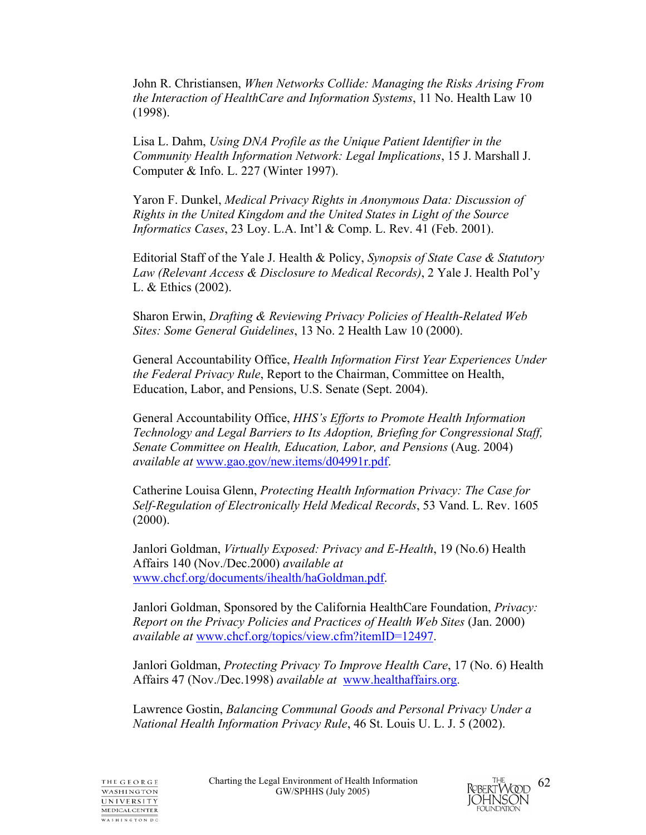John R. Christiansen, *When Networks Collide: Managing the Risks Arising From the Interaction of HealthCare and Information Systems*, 11 No. Health Law 10 (1998).

Lisa L. Dahm, *Using DNA Profile as the Unique Patient Identifier in the Community Health Information Network: Legal Implications*, 15 J. Marshall J. Computer & Info. L. 227 (Winter 1997).

Yaron F. Dunkel, *Medical Privacy Rights in Anonymous Data: Discussion of Rights in the United Kingdom and the United States in Light of the Source Informatics Cases*, 23 Loy. L.A. Int'l & Comp. L. Rev. 41 (Feb. 2001).

Editorial Staff of the Yale J. Health & Policy, *Synopsis of State Case & Statutory Law (Relevant Access & Disclosure to Medical Records)*, 2 Yale J. Health Pol'y L. & Ethics (2002).

Sharon Erwin, *Drafting & Reviewing Privacy Policies of Health-Related Web Sites: Some General Guidelines*, 13 No. 2 Health Law 10 (2000).

General Accountability Office, *Health Information First Year Experiences Under the Federal Privacy Rule*, Report to the Chairman, Committee on Health, Education, Labor, and Pensions, U.S. Senate (Sept. 2004).

General Accountability Office, *HHS's Efforts to Promote Health Information Technology and Legal Barriers to Its Adoption, Briefing for Congressional Staff, Senate Committee on Health, Education, Labor, and Pensions (Aug. 2004) available at* www.gao.gov/new.items/d04991r.pdf.

Catherine Louisa Glenn, *Protecting Health Information Privacy: The Case for Self-Regulation of Electronically Held Medical Records*, 53 Vand. L. Rev. 1605 (2000).

Janlori Goldman, *Virtually Exposed: Privacy and E-Health*, 19 (No.6) Health Affairs 140 (Nov./Dec.2000) *available at* www.chcf.org/documents/ihealth/haGoldman.pdf.

Janlori Goldman, Sponsored by the California HealthCare Foundation, *Privacy: Report on the Privacy Policies and Practices of Health Web Sites* (Jan. 2000) *available at* www.chcf.org/topics/view.cfm?itemID=12497.

Janlori Goldman, *Protecting Privacy To Improve Health Care*, 17 (No. 6) Health Affairs 47 (Nov./Dec.1998) *available at* www.healthaffairs.org.

Lawrence Gostin, *Balancing Communal Goods and Personal Privacy Under a National Health Information Privacy Rule*, 46 St. Louis U. L. J. 5 (2002).

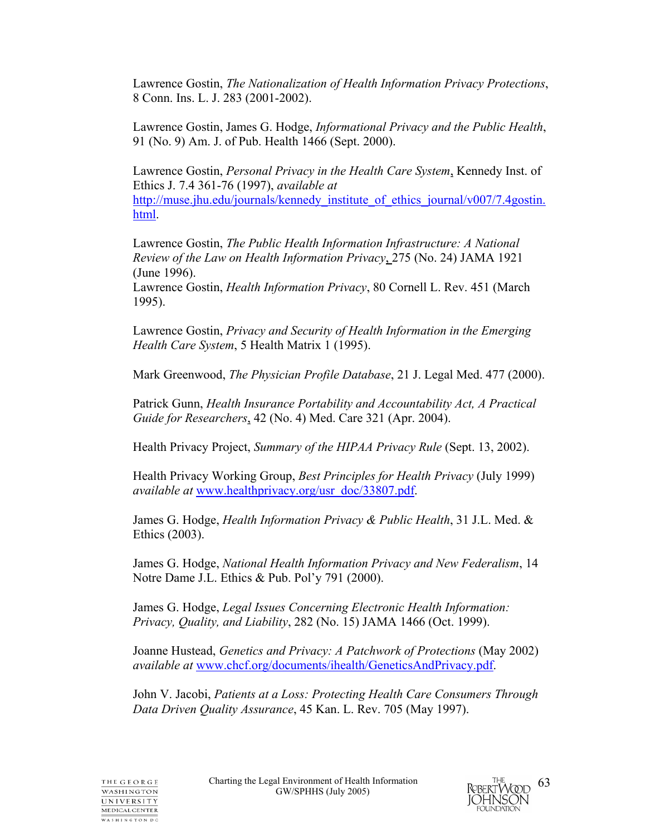Lawrence Gostin, *The Nationalization of Health Information Privacy Protections*, 8 Conn. Ins. L. J. 283 (2001-2002).

Lawrence Gostin, James G. Hodge, *Informational Privacy and the Public Health*, 91 (No. 9) Am. J. of Pub. Health 1466 (Sept. 2000).

Lawrence Gostin, *Personal Privacy in the Health Care System*, Kennedy Inst. of Ethics J. 7.4 361-76 (1997), *available at*  http://muse.jhu.edu/journals/kennedy\_institute\_of\_ethics\_journal/v007/7.4gostin. html.

Lawrence Gostin, *The Public Health Information Infrastructure: A National Review of the Law on Health Information Privacy*, 275 (No. 24) JAMA 1921 (June 1996).

Lawrence Gostin, *Health Information Privacy*, 80 Cornell L. Rev. 451 (March 1995).

Lawrence Gostin, *Privacy and Security of Health Information in the Emerging Health Care System*, 5 Health Matrix 1 (1995).

Mark Greenwood, *The Physician Profile Database*, 21 J. Legal Med. 477 (2000).

Patrick Gunn, *Health Insurance Portability and Accountability Act, A Practical Guide for Researchers*, 42 (No. 4) Med. Care 321 (Apr. 2004).

Health Privacy Project, *Summary of the HIPAA Privacy Rule* (Sept. 13, 2002).

Health Privacy Working Group, *Best Principles for Health Privacy* (July 1999) *available at* www.healthprivacy.org/usr\_doc/33807.pdf.

James G. Hodge, *Health Information Privacy & Public Health*, 31 J.L. Med. & Ethics (2003).

James G. Hodge, *National Health Information Privacy and New Federalism*, 14 Notre Dame J.L. Ethics & Pub. Pol'y 791 (2000).

James G. Hodge, *Legal Issues Concerning Electronic Health Information: Privacy, Quality, and Liability*, 282 (No. 15) JAMA 1466 (Oct. 1999).

Joanne Hustead, *Genetics and Privacy: A Patchwork of Protections* (May 2002) *available at* www.chcf.org/documents/ihealth/GeneticsAndPrivacy.pdf.

John V. Jacobi, *Patients at a Loss: Protecting Health Care Consumers Through Data Driven Quality Assurance*, 45 Kan. L. Rev. 705 (May 1997).

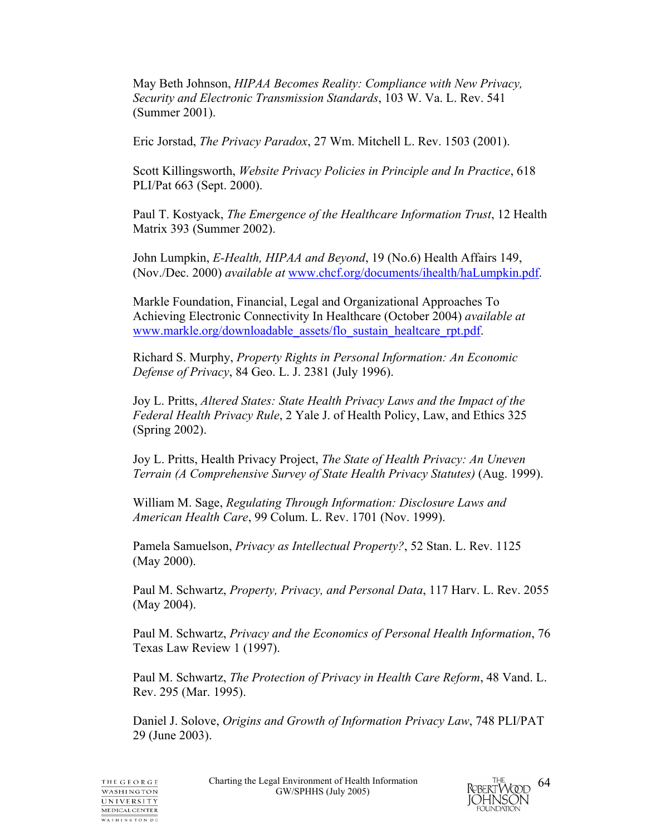May Beth Johnson, *HIPAA Becomes Reality: Compliance with New Privacy, Security and Electronic Transmission Standards*, 103 W. Va. L. Rev. 541 (Summer 2001).

Eric Jorstad, *The Privacy Paradox*, 27 Wm. Mitchell L. Rev. 1503 (2001).

Scott Killingsworth, *Website Privacy Policies in Principle and In Practice*, 618 PLI/Pat 663 (Sept. 2000).

Paul T. Kostyack, *The Emergence of the Healthcare Information Trust*, 12 Health Matrix 393 (Summer 2002).

John Lumpkin, *E-Health, HIPAA and Beyond*, 19 (No.6) Health Affairs 149, (Nov./Dec. 2000) *available at* www.chcf.org/documents/ihealth/haLumpkin.pdf.

Markle Foundation, Financial, Legal and Organizational Approaches To Achieving Electronic Connectivity In Healthcare (October 2004) *available at*  www.markle.org/downloadable\_assets/flo\_sustain\_healtcare\_rpt.pdf.

Richard S. Murphy, *Property Rights in Personal Information: An Economic Defense of Privacy*, 84 Geo. L. J. 2381 (July 1996).

Joy L. Pritts, *Altered States: State Health Privacy Laws and the Impact of the Federal Health Privacy Rule*, 2 Yale J. of Health Policy, Law, and Ethics 325 (Spring 2002).

Joy L. Pritts, Health Privacy Project, *The State of Health Privacy: An Uneven Terrain (A Comprehensive Survey of State Health Privacy Statutes)* (Aug. 1999).

William M. Sage, *Regulating Through Information: Disclosure Laws and American Health Care*, 99 Colum. L. Rev. 1701 (Nov. 1999).

Pamela Samuelson, *Privacy as Intellectual Property?*, 52 Stan. L. Rev. 1125 (May 2000).

Paul M. Schwartz, *Property, Privacy, and Personal Data*, 117 Harv. L. Rev. 2055 (May 2004).

Paul M. Schwartz, *Privacy and the Economics of Personal Health Information*, 76 Texas Law Review 1 (1997).

Paul M. Schwartz, *The Protection of Privacy in Health Care Reform*, 48 Vand. L. Rev. 295 (Mar. 1995).

Daniel J. Solove, *Origins and Growth of Information Privacy Law*, 748 PLI/PAT 29 (June 2003).

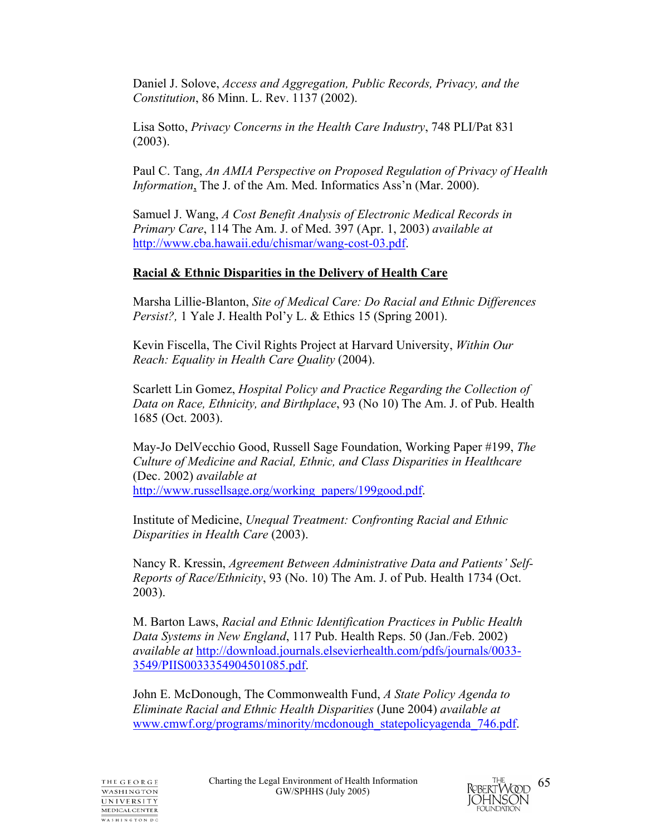Daniel J. Solove, *Access and Aggregation, Public Records, Privacy, and the Constitution*, 86 Minn. L. Rev. 1137 (2002).

Lisa Sotto, *Privacy Concerns in the Health Care Industry*, 748 PLI/Pat 831 (2003).

Paul C. Tang, *An AMIA Perspective on Proposed Regulation of Privacy of Health Information*, The J. of the Am. Med. Informatics Ass'n (Mar. 2000).

Samuel J. Wang, *A Cost Benefit Analysis of Electronic Medical Records in Primary Care*, 114 The Am. J. of Med. 397 (Apr. 1, 2003) *available at* http://www.cba.hawaii.edu/chismar/wang-cost-03.pdf.

## **Racial & Ethnic Disparities in the Delivery of Health Care**

Marsha Lillie-Blanton, *Site of Medical Care: Do Racial and Ethnic Differences Persist?,* 1 Yale J. Health Pol'y L. & Ethics 15 (Spring 2001).

Kevin Fiscella, The Civil Rights Project at Harvard University, *Within Our Reach: Equality in Health Care Quality* (2004).

Scarlett Lin Gomez, *Hospital Policy and Practice Regarding the Collection of Data on Race, Ethnicity, and Birthplace*, 93 (No 10) The Am. J. of Pub. Health 1685 (Oct. 2003).

May-Jo DelVecchio Good, Russell Sage Foundation, Working Paper #199, *The Culture of Medicine and Racial, Ethnic, and Class Disparities in Healthcare* (Dec. 2002) *available at*  http://www.russellsage.org/working\_papers/199good.pdf.

Institute of Medicine, *Unequal Treatment: Confronting Racial and Ethnic Disparities in Health Care* (2003).

Nancy R. Kressin, *Agreement Between Administrative Data and Patients' Self-Reports of Race/Ethnicity*, 93 (No. 10) The Am. J. of Pub. Health 1734 (Oct. 2003).

M. Barton Laws, *Racial and Ethnic Identification Practices in Public Health Data Systems in New England*, 117 Pub. Health Reps. 50 (Jan./Feb. 2002) *available at* http://download.journals.elsevierhealth.com/pdfs/journals/0033- 3549/PIIS0033354904501085.pdf.

John E. McDonough, The Commonwealth Fund, *A State Policy Agenda to Eliminate Racial and Ethnic Health Disparities* (June 2004) *available at* www.cmwf.org/programs/minority/mcdonough\_statepolicyagenda\_746.pdf.

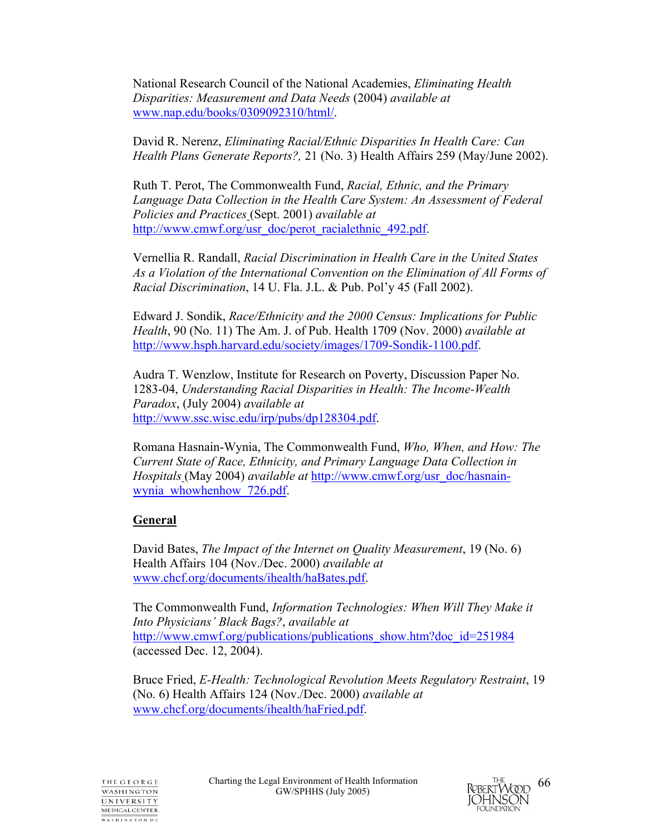National Research Council of the National Academies, *Eliminating Health Disparities: Measurement and Data Needs* (2004) *available at* www.nap.edu/books/0309092310/html/.

David R. Nerenz, *Eliminating Racial/Ethnic Disparities In Health Care: Can Health Plans Generate Reports?,* 21 (No. 3) Health Affairs 259 (May/June 2002).

Ruth T. Perot, The Commonwealth Fund, *Racial, Ethnic, and the Primary Language Data Collection in the Health Care System: An Assessment of Federal Policies and Practices* (Sept. 2001) *available at* http://www.cmwf.org/usr\_doc/perot\_racialethnic\_492.pdf.

Vernellia R. Randall, *Racial Discrimination in Health Care in the United States As a Violation of the International Convention on the Elimination of All Forms of Racial Discrimination*, 14 U. Fla. J.L. & Pub. Pol'y 45 (Fall 2002).

Edward J. Sondik, *Race/Ethnicity and the 2000 Census: Implications for Public Health*, 90 (No. 11) The Am. J. of Pub. Health 1709 (Nov. 2000) *available at* http://www.hsph.harvard.edu/society/images/1709-Sondik-1100.pdf.

Audra T. Wenzlow, Institute for Research on Poverty, Discussion Paper No. 1283-04, *Understanding Racial Disparities in Health: The Income-Wealth Paradox*, (July 2004) *available at* http://www.ssc.wisc.edu/irp/pubs/dp128304.pdf.

Romana Hasnain-Wynia, The Commonwealth Fund, *Who, When, and How: The Current State of Race, Ethnicity, and Primary Language Data Collection in Hospitals* (May 2004) *available at* http://www.cmwf.org/usr\_doc/hasnainwynia whowhenhow 726.pdf.

## **General**

David Bates, *The Impact of the Internet on Quality Measurement*, 19 (No. 6) Health Affairs 104 (Nov./Dec. 2000) *available at* www.chcf.org/documents/ihealth/haBates.pdf.

The Commonwealth Fund, *Information Technologies: When Will They Make it Into Physicians' Black Bags?*, *available at*  http://www.cmwf.org/publications/publications\_show.htm?doc\_id=251984 (accessed Dec. 12, 2004).

Bruce Fried, *E-Health: Technological Revolution Meets Regulatory Restraint*, 19 (No. 6) Health Affairs 124 (Nov./Dec. 2000) *available at*  www.chcf.org/documents/ihealth/haFried.pdf.